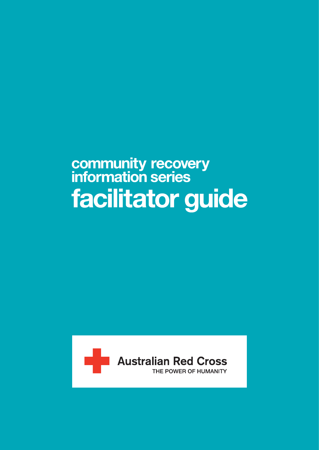# community recovery<br>information series facilitator guide

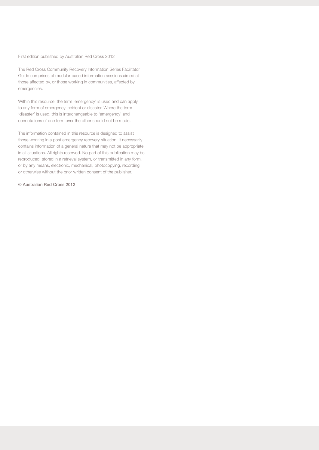First edition published by Australian Red Cross 2012

The Red Cross Community Recovery Information Series Facilitator Guide comprises of modular based information sessions aimed at those affected by, or those working in communities, affected by emergencies.

Within this resource, the term 'emergency' is used and can apply to any form of emergency incident or disaster. Where the term 'disaster' is used, this is interchangeable to 'emergency' and connotations of one term over the other should not be made.

The information contained in this resource is designed to assist those working in a post emergency recovery situation. It necessarily contains information of a general nature that may not be appropriate in all situations. All rights reserved. No part of this publication may be reproduced, stored in a retrieval system, or transmitted in any form, or by any means, electronic, mechanical, photocopying, recording or otherwise without the prior written consent of the publisher.

#### © Australian Red Cross 2012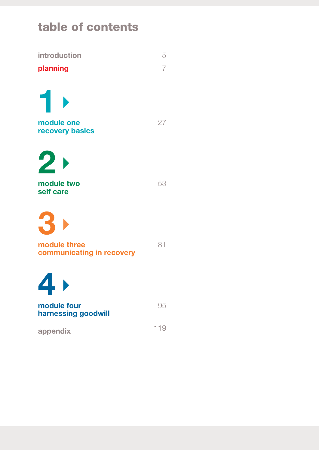# **table of contents**

| introduction                              | 5              |
|-------------------------------------------|----------------|
| planning                                  | $\overline{7}$ |
| module one<br>recovery basics             | 27             |
| module two<br>self care                   | 53             |
| module three<br>communicating in recovery | 81             |
|                                           |                |
| module four<br>harnessing goodwill        | 95             |
| appendix                                  | 119            |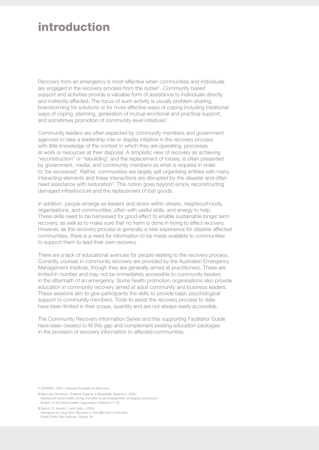### <span id="page-4-0"></span>**introduction**

Recovery from an emergency is most effective when communities and individuals are engaged in the recovery process from the outset<sup>1</sup>. Community based support and activities provide a valuable form of assistance to individuals directly and indirectly affected. The focus of such activity is usually problem-sharing, brainstorming for solutions or for more effective ways of coping including traditional ways of coping, planning, generation of mutual emotional and practical support, and sometimes promotion of community-level initiatives<sup>2</sup>.

Community leaders are often expected by community members and government agencies to take a leadership role or display initiative in the recovery process with little knowledge of the context in which they are operating, processes at work or resources at their disposal. A simplistic view of recovery as achieving "reconstruction" or "rebuilding" and the replacement of losses, is often presented by government, media, and community members as what is required in order to 'be recovered'. Rather, communities are largely self organising entities with many interacting elements and these interactions are disrupted by the disaster and often need assistance with restoration<sup>3</sup>. This notion goes beyond simply reconstructing damaged infrastructure and the replacement of lost goods.

In addition, people emerge as leaders and doers within streets, neighbourhoods, organisations, and communities, often with useful skills, and energy to help. These skills need to be harnessed for good effect to enable sustainable longer term recovery, as well as to make sure that no harm is done in trying to effect recovery. However, as the recovery process is generally a new experience for disaster affected communities, there is a need for information to be made available to communities to support them to lead their own recovery.

There are a lack of educational avenues for people relating to the recovery process. Currently courses in community recovery are provided by the Australian Emergency Management Institute, though they are generally aimed at practitioners. These are limited in number and may not be immediately accessible to community leaders in the aftermath of an emergency. Some health promotion organisations also provide education in community recovery aimed at adult community and business leaders. These sessions aim to give participants the skills to provide basic psychological support to community members. Tools to assist the recovery process to date have been limited in their scope, quantity and are not always easily accessible.

The Community Recovery Information Series and this supporting Facilitator Guide have been created to fill this gap and complement existing education packages in the provision of recovery information to affected communities.

1 CDSMAC, 2007, National Principles for Recovery

3 Alesch, D, Arendt, L and Holly J, 2009, Managing for Long Term Recovery in the aftermath of Disaster, Public Entity Risk Institute, Fairfax, VA

<sup>2</sup> Mark van Ommeren, Shekhar Saxena, & Benedetto Saraceno, 2005, Mental and social health during and after acute emergencies: emerging consensus? Bulletin of the World Health Organization 2005;83:71-76.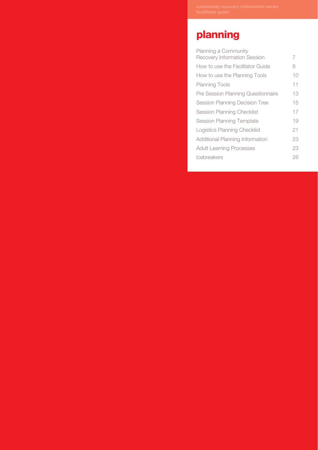<span id="page-6-0"></span>

## planning

| Planning a Community                |    |
|-------------------------------------|----|
| Recovery Information Session        | 7  |
| How to use the Facilitator Guide    | 8  |
| How to use the Planning Tools       | 10 |
| <b>Planning Tools</b>               | 11 |
| Pre Session Planning Questionnaire  | 13 |
| Session Planning Decision Tree      | 15 |
| <b>Session Planning Checklist</b>   | 17 |
| <b>Session Planning Template</b>    | 19 |
| <b>Logistics Planning Checklist</b> | 21 |
| Additional Planning Information     | 23 |
| <b>Adult Learning Processes</b>     | 23 |
| Icebreakers                         | 26 |
|                                     |    |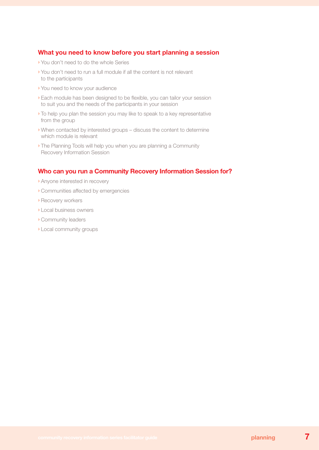### <span id="page-7-0"></span>**What you need to know before you start planning a session**

- ` You don't need to do the whole Series
- ` You don't need to run a full module if all the content is not relevant to the participants
- ` You need to know your audience
- ` Each module has been designed to be flexible, you can tailor your session to suit you and the needs of the participants in your session
- $\blacktriangleright$  To help you plan the session you may like to speak to a key representative from the group
- $\blacktriangleright$  When contacted by interested groups discuss the content to determine which module is relevant
- ` The Planning Tools will help you when you are planning a Community Recovery Information Session

### **Who can you run a Community Recovery Information Session for?**

- **Anyone interested in recovery**
- ` Communities affected by emergencies
- **E** Recovery workers
- **Local business owners**
- **Community leaders**
- **Local community groups**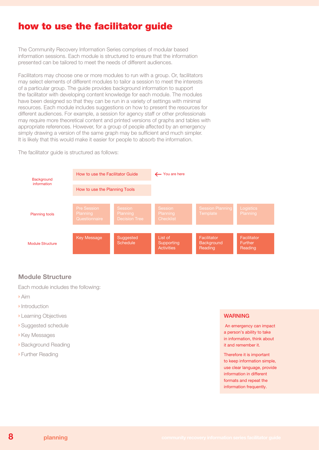### **how to use the facilitator guide**

The Community Recovery Information Series comprises of modular based information sessions. Each module is structured to ensure that the information presented can be tailored to meet the needs of different audiences.

Facilitators may choose one or more modules to run with a group. Or, facilitators may select elements of different modules to tailor a session to meet the interests of a particular group. The guide provides background information to support the facilitator with developing content knowledge for each module. The modules have been designed so that they can be run in a variety of settings with minimal resources. Each module includes suggestions on how to present the resources for different audiences. For example, a session for agency staff or other professionals may require more theoretical content and printed versions of graphs and tables with appropriate references. However, for a group of people affected by an emergency simply drawing a version of the same graph may be sufficient and much simpler. It is likely that this would make it easier for people to absorb the information.

The facilitator guide is structured as follows:



### **Module Structure**

Each module includes the following:

- ` Aim
- **Introduction**
- **Learning Objectives**
- ` Suggested schedule
- **Key Messages**
- ` Background Reading
- **Eurther Reading**

#### WARNING

 An emergency can impact a person's ability to take in information, think about it and remember it.

Therefore it is important to keep information simple, use clear language, provide information in different formats and repeat the information frequently.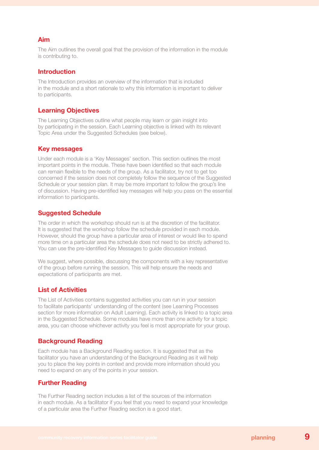### **Aim**

The Aim outlines the overall goal that the provision of the information in the module is contributing to.

### **Introduction**

The Introduction provides an overview of the information that is included in the module and a short rationale to why this information is important to deliver to participants.

### **Learning Objectives**

The Learning Objectives outline what people may learn or gain insight into by participating in the session. Each Learning objective is linked with its relevant Topic Area under the Suggested Schedules (see below).

### **Key messages**

Under each module is a 'Key Messages' section. This section outlines the most important points in the module. These have been identified so that each module can remain flexible to the needs of the group. As a facilitator, try not to get too concerned if the session does not completely follow the sequence of the Suggested Schedule or your session plan. It may be more important to follow the group's line of discussion. Having pre-identified key messages will help you pass on the essential information to participants.

### **Suggested Schedule**

The order in which the workshop should run is at the discretion of the facilitator. It is suggested that the workshop follow the schedule provided in each module. However, should the group have a particular area of interest or would like to spend more time on a particular area the schedule does not need to be strictly adhered to. You can use the pre-identified Key Messages to guide discussion instead.

We suggest, where possible, discussing the components with a key representative of the group before running the session. This will help ensure the needs and expectations of participants are met.

### **List of Activities**

The List of Activities contains suggested activities you can run in your session to facilitate participants' understanding of the content (see Learning Processes section for more information on Adult Learning). Each activity is linked to a topic area in the Suggested Schedule. Some modules have more than one activity for a topic area, you can choose whichever activity you feel is most appropriate for your group.

### **Background Reading**

Each module has a Background Reading section. It is suggested that as the facilitator you have an understanding of the Background Reading as it will help you to place the key points in context and provide more information should you need to expand on any of the points in your session.

### **Further Reading**

The Further Reading section includes a list of the sources of the information in each module. As a facilitator if you feel that you need to expand your knowledge of a particular area the Further Reading section is a good start.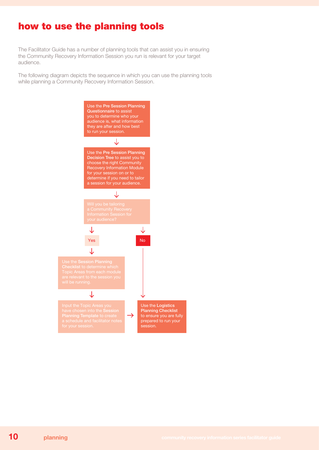### **how to use the planning tools**

The Facilitator Guide has a number of planning tools that can assist you in ensuring the Community Recovery Information Session you run is relevant for your target audience.

The following diagram depicts the sequence in which you can use the planning tools while planning a Community Recovery Information Session.

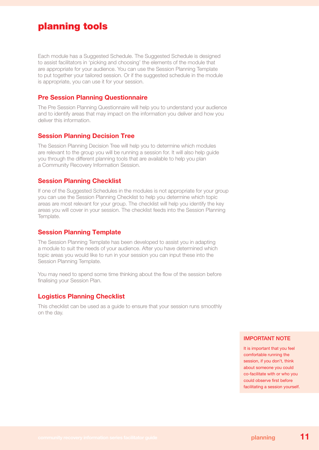### **planning tools**

Each module has a Suggested Schedule. The Suggested Schedule is designed to assist facilitators in 'picking and choosing' the elements of the module that are appropriate for your audience. You can use the Session Planning Template to put together your tailored session. Or if the suggested schedule in the module is appropriate, you can use it for your session.

### **Pre Session Planning Questionnaire**

The Pre Session Planning Questionnaire will help you to understand your audience and to identify areas that may impact on the information you deliver and how you deliver this information.

### **Session Planning Decision Tree**

The Session Planning Decision Tree will help you to determine which modules are relevant to the group you will be running a session for. It will also help guide you through the different planning tools that are available to help you plan a Community Recovery Information Session.

### **Session Planning Checklist**

If one of the Suggested Schedules in the modules is not appropriate for your group you can use the Session Planning Checklist to help you determine which topic areas are most relevant for your group. The checklist will help you identify the key areas you will cover in your session. The checklist feeds into the Session Planning Template.

### **Session Planning Template**

The Session Planning Template has been developed to assist you in adapting a module to suit the needs of your audience. After you have determined which topic areas you would like to run in your session you can input these into the Session Planning Template.

You may need to spend some time thinking about the flow of the session before finalising your Session Plan.

### **Logistics Planning Checklist**

This checklist can be used as a guide to ensure that your session runs smoothly on the day.

#### IMPORTANT NOTE

It is important that you feel comfortable running the session, if you don't, think about someone you could co-facilitate with or who you could observe first before facilitating a session yourself.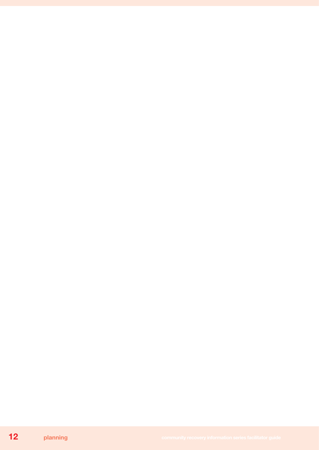### **planning community recovery information series facilitator guide**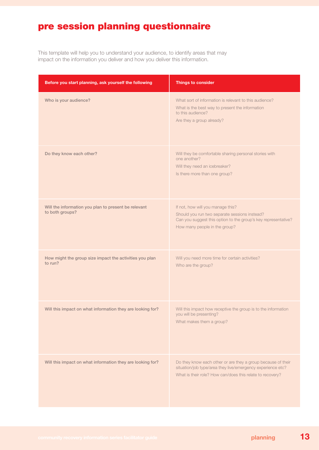### **pre session planning questionnaire**

This template will help you to understand your audience, to identify areas that may impact on the information you deliver and how you deliver this information.

| Before you start planning, ask yourself the following                   | <b>Things to consider</b>                                                                                                                                                                |
|-------------------------------------------------------------------------|------------------------------------------------------------------------------------------------------------------------------------------------------------------------------------------|
| Who is your audience?                                                   | What sort of information is relevant to this audience?<br>What is the best way to present the information<br>to this audience?<br>Are they a group already?                              |
| Do they know each other?                                                | Will they be comfortable sharing personal stories with<br>one another?<br>Will they need an icebreaker?<br>Is there more than one group?                                                 |
| Will the information you plan to present be relevant<br>to both groups? | If not, how will you manage this?<br>Should you run two separate sessions instead?<br>Can you suggest this option to the group's key representative?<br>How many people in the group?    |
| How might the group size impact the activities you plan<br>to run?      | Will you need more time for certain activities?<br>Who are the group?                                                                                                                    |
| Will this impact on what information they are looking for?              | Will this impact how receptive the group is to the information<br>you will be presenting?<br>What makes them a group?                                                                    |
| Will this impact on what information they are looking for?              | Do they know each other or are they a group because of their<br>situation/job type/area they live/emergency experience etc?<br>What is their role? How can/does this relate to recovery? |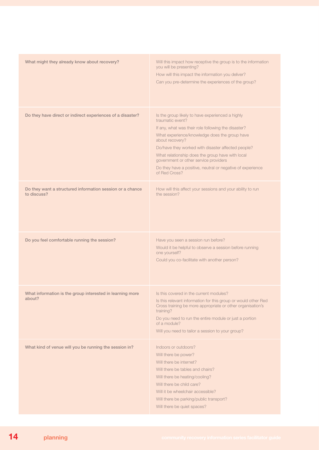| What might they already know about recovery?                             | Will this impact how receptive the group is to the information<br>you will be presenting?<br>How will this impact the information you deliver?                                                                                                                                                                                                                                                                                    |
|--------------------------------------------------------------------------|-----------------------------------------------------------------------------------------------------------------------------------------------------------------------------------------------------------------------------------------------------------------------------------------------------------------------------------------------------------------------------------------------------------------------------------|
|                                                                          | Can you pre-determine the experiences of the group?                                                                                                                                                                                                                                                                                                                                                                               |
| Do they have direct or indirect experiences of a disaster?               | Is the group likely to have experienced a highly<br>traumatic event?<br>If any, what was their role following the disaster?<br>What experience/knowledge does the group have<br>about recovery?<br>Do/have they worked with disaster affected people?<br>What relationship does the group have with local<br>government or other service providers<br>Do they have a positive, neutral or negative of experience<br>of Red Cross? |
| Do they want a structured information session or a chance<br>to discuss? | How will this affect your sessions and your ability to run<br>the session?                                                                                                                                                                                                                                                                                                                                                        |
| Do you feel comfortable running the session?                             | Have you seen a session run before?<br>Would it be helpful to observe a session before running<br>one yourself?<br>Could you co-facilitate with another person?                                                                                                                                                                                                                                                                   |
| What information is the group interested in learning more<br>about?      | Is this covered in the current modules?<br>Is this relevant information for this group or would other Red<br>Cross training be more appropriate or other organisation's<br>training?<br>Do you need to run the entire module or just a portion<br>of a module?<br>Will you need to tailor a session to your group?                                                                                                                |
| What kind of venue will you be running the session in?                   | Indoors or outdoors?<br>Will there be power?<br>Will there be internet?<br>Will there be tables and chairs?<br>Will there be heating/cooling?<br>Will there be child care?<br>Will it be wheelchair accessible?<br>Will there be parking/public transport?<br>Will there be quiet spaces?                                                                                                                                         |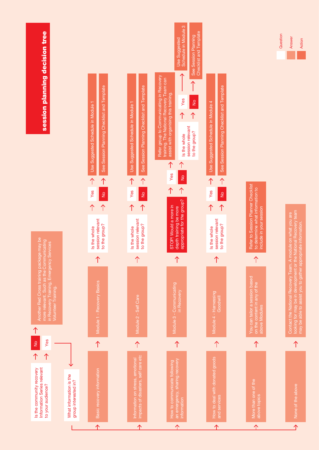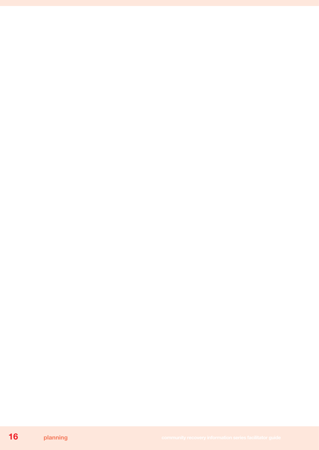### **planning planning community recovery information series facilitator guide**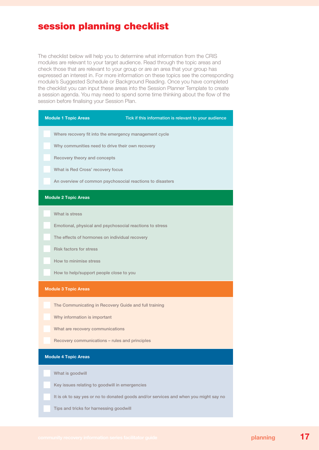### **session planning checklist**

The checklist below will help you to determine what information from the CRIS modules are relevant to your target audience. Read through the topic areas and check those that are relevant to your group or are an area that your group has expressed an interest in. For more information on these topics see the corresponding module's Suggested Schedule or Background Reading. Once you have completed the checklist you can input these areas into the Session Planner Template to create a session agenda. You may need to spend some time thinking about the flow of the session before finalising your Session Plan.

| <b>Module 1 Topic Areas</b>                               | Tick if this information is relevant to your audience                                |
|-----------------------------------------------------------|--------------------------------------------------------------------------------------|
| Where recovery fit into the emergency management cycle    |                                                                                      |
| Why communities need to drive their own recovery          |                                                                                      |
| Recovery theory and concepts                              |                                                                                      |
| What is Red Cross' recovery focus                         |                                                                                      |
| An overview of common psychosocial reactions to disasters |                                                                                      |
| <b>Module 2 Topic Areas</b>                               |                                                                                      |
| What is stress                                            |                                                                                      |
| Emotional, physical and psychosocial reactions to stress  |                                                                                      |
| The effects of hormones on individual recovery            |                                                                                      |
| <b>Risk factors for stress</b>                            |                                                                                      |
| How to minimise stress                                    |                                                                                      |
| How to help/support people close to you                   |                                                                                      |
| <b>Module 3 Topic Areas</b>                               |                                                                                      |
| The Communicating in Recovery Guide and full training     |                                                                                      |
| Why information is important                              |                                                                                      |
| What are recovery communications                          |                                                                                      |
| Recovery communications - rules and principles            |                                                                                      |
| <b>Module 4 Topic Areas</b>                               |                                                                                      |
| What is goodwill                                          |                                                                                      |
| Key issues relating to goodwill in emergencies            |                                                                                      |
|                                                           | It is ok to say yes or no to donated goods and/or services and when you might say no |
| Tips and tricks for harnessing goodwill                   |                                                                                      |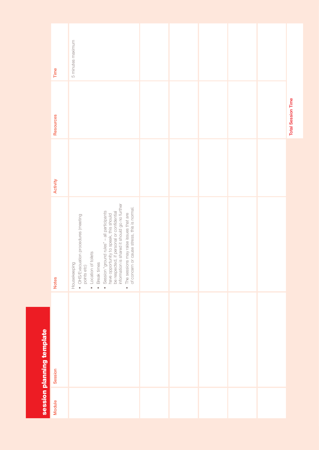|                           | Time                  | 5 minutes maximum                                                                                                                                                                                                                                                                                                                                                                                                                |  |  | <b>Total Session Time</b> |
|---------------------------|-----------------------|----------------------------------------------------------------------------------------------------------------------------------------------------------------------------------------------------------------------------------------------------------------------------------------------------------------------------------------------------------------------------------------------------------------------------------|--|--|---------------------------|
|                           | Resources<br>Activity |                                                                                                                                                                                                                                                                                                                                                                                                                                  |  |  |                           |
|                           | <b>Notes</b>          | have opportunity to speak, this should<br>be respected, if personal or confidential<br>information is shared it should go no further<br>The sessions may raise issues that are<br>of concern or cause stress, this is normal.<br>Session "ground rules" - all participants<br>• OHS/Evacuation procedures (meeting<br>• Location of toilets<br>Break times<br>Housekeeping<br>points etc)<br>$\bullet$<br>$\bullet$<br>$\bullet$ |  |  |                           |
| session planning template | Session               |                                                                                                                                                                                                                                                                                                                                                                                                                                  |  |  |                           |
|                           | <b>Module</b>         |                                                                                                                                                                                                                                                                                                                                                                                                                                  |  |  |                           |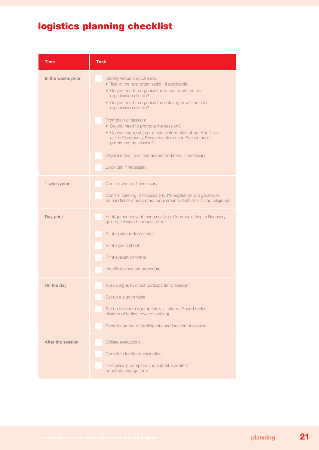### **logistics planning checklist**

| Time               | <b>Task</b>                                                                                                                                                                                                                                                                                                                                                                                                                                                                                                                                            |
|--------------------|--------------------------------------------------------------------------------------------------------------------------------------------------------------------------------------------------------------------------------------------------------------------------------------------------------------------------------------------------------------------------------------------------------------------------------------------------------------------------------------------------------------------------------------------------------|
| In the weeks prior | Identify venue and caterers:<br>• Talk to the host organisation, if applicable<br>• Do you need to organise the venue or will the host<br>organisation do this?<br>• Do you need to organise the catering or will the host<br>organisation do this?<br>Promotion of session:<br>• Do you need to promote the session?<br>• Can you support (e.g. provide information about Red Cross<br>or the Community Recovery Information Series) those<br>promoting the session?<br>Organise any travel and accommodation, if necessary<br>Book car, if necessary |
| 1 week prior       | Confirm Venue, if necessary<br>Confirm catering, if necessary (50% vegetarian is a good rule,<br>be mindful of other dietary requirements, both health and religious)                                                                                                                                                                                                                                                                                                                                                                                  |
| Day prior          | Print/gather relevant resources (e.g. Communicating in Recovery<br>guides, relevant handouts, etc)<br>Print signs for door/venue<br>Print sign-in sheet<br>Print evaluation forms<br>Identify evacuation procedure                                                                                                                                                                                                                                                                                                                                     |
| On the day         | Put up signs to direct participants to session<br>Set up a sign-in table<br>Set up the room appropriately (U shape, Round tables,<br>clusters of tables, rows of seating)<br>Record number of participants and location of session                                                                                                                                                                                                                                                                                                                     |
| After the session  | Collate evaluations<br>Complete facilitator evaluation<br>If necessary, complete and submit a content<br>or activity change form                                                                                                                                                                                                                                                                                                                                                                                                                       |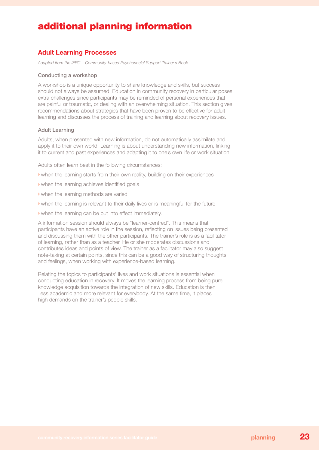### **additional planning information**

### **Adult Learning Processes**

Adapted from the IFRC – Community-based Psychosocial Support Trainer's Book

#### Conducting a workshop

A workshop is a unique opportunity to share knowledge and skills, but success should not always be assumed. Education in community recovery in particular poses extra challenges since participants may be reminded of personal experiences that are painful or traumatic, or dealing with an overwhelming situation. This section gives recommendations about strategies that have been proven to be effective for adult learning and discusses the process of training and learning about recovery issues.

#### Adult Learning

Adults, when presented with new information, do not automatically assimilate and apply it to their own world. Learning is about understanding new information, linking it to current and past experiences and adapting it to one's own life or work situation.

Adults often learn best in the following circumstances:

- ` when the learning starts from their own reality, building on their experiences
- $\blacktriangleright$  when the learning achieves identified goals
- ` when the learning methods are varied
- ` when the learning is relevant to their daily lives or is meaningful for the future
- ` when the learning can be put into effect immediately.

A information session should always be "learner-centred". This means that participants have an active role in the session, reflecting on issues being presented and discussing them with the other participants. The trainer's role is as a facilitator of learning, rather than as a teacher. He or she moderates discussions and contributes ideas and points of view. The trainer as a facilitator may also suggest note-taking at certain points, since this can be a good way of structuring thoughts and feelings, when working with experience-based learning.

Relating the topics to participants' lives and work situations is essential when conducting education in recovery. It moves the learning process from being pure knowledge acquisition towards the integration of new skills. Education is then less academic and more relevant for everybody. At the same time, it places high demands on the trainer's people skills.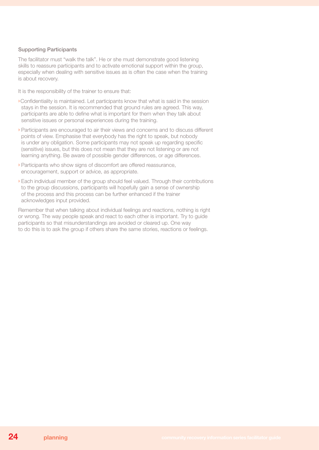#### Supporting Participants

The facilitator must "walk the talk". He or she must demonstrate good listening skills to reassure participants and to activate emotional support within the group, especially when dealing with sensitive issues as is often the case when the training is about recovery.

It is the responsibility of the trainer to ensure that:

- `Confidentiality is maintained. Let participants know that what is said in the session stays in the session. It is recommended that ground rules are agreed. This way, participants are able to define what is important for them when they talk about sensitive issues or personal experiences during the training.
- ` Participants are encouraged to air their views and concerns and to discuss different points of view. Emphasise that everybody has the right to speak, but nobody is under any obligation. Some participants may not speak up regarding specific (sensitive) issues, but this does not mean that they are not listening or are not learning anything. Be aware of possible gender differences, or age differences.
- ` Participants who show signs of discomfort are offered reassurance, encouragement, support or advice, as appropriate.
- ` Each individual member of the group should feel valued. Through their contributions to the group discussions, participants will hopefully gain a sense of ownership of the process and this process can be further enhanced if the trainer acknowledges input provided.

Remember that when talking about individual feelings and reactions, nothing is right or wrong. The way people speak and react to each other is important. Try to guide participants so that misunderstandings are avoided or cleared up. One way to do this is to ask the group if others share the same stories, reactions or feelings.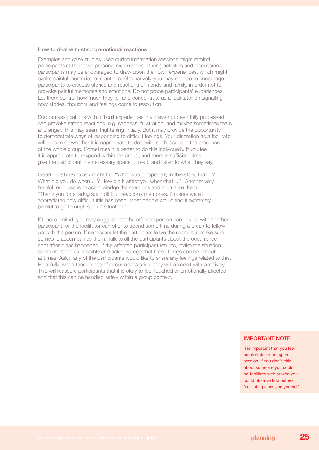#### How to deal with strong emotional reactions

Examples and case studies used during information sessions might remind participants of their own personal experiences. During activities and discussions participants may be encouraged to draw upon their own experiences, which might evoke painful memories or reactions. Alternatively, you may choose to encourage participants to discuss stories and reactions of friends and family, in order not to provoke painful memories and emotions. Do not probe participants' experiences. Let them control how much they tell and concentrate as a facilitator on signalling how stories, thoughts and feelings come to resolution.

Sudden associations with difficult experiences that have not been fully processed can provoke strong reactions, e.g. sadness, frustration, and maybe sometimes tears and anger. This may seem frightening initially. But it may provide the opportunity to demonstrate ways of responding to difficult feelings. Your discretion as a facilitator will determine whether it is appropriate to deal with such issues in the presence of the whole group. Sometimes it is better to do this individually. If you feel it is appropriate to respond within the group, and there is sufficient time, give the participant the necessary space to react and listen to what they say.

Good questions to ask might be: "What was it especially in this story, that…? What did you do when …? How did it affect you when/that…?" Another very helpful response is to acknowledge the reactions and normalise them: "Thank you for sharing such difficult reactions/memories. I'm sure we all appreciated how difficult this has been. Most people would find it extremely painful to go through such a situation."

If time is limited, you may suggest that the affected person can link up with another participant, or the facilitator can offer to spend some time during a break to follow up with the person. If necessary let the participant leave the room, but make sure someone accompanies them. Talk to all the participants about the occurrence right after it has happened. If the affected participant returns, make the situation as comfortable as possible and acknowledge that these things can be difficult at times. Ask if any of the participants would like to share any feelings related to this. Hopefully, when these kinds of occurrences arise, they will be dealt with positively. This will reassure participants that it is okay to feel touched or emotionally affected and that this can be handled safely within a group context.

#### IMPORTANT NOTE

It is important that you feel comfortable running the session, if you don't, think about someone you could co-facilitate with or who you could observe first before facilitating a session yourself.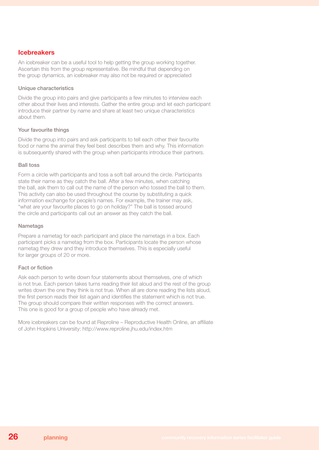### **Icebreakers**

An icebreaker can be a useful tool to help getting the group working together. Ascertain this from the group representative. Be mindful that depending on the group dynamics, an icebreaker may also not be required or appreciated

#### Unique characteristics

Divide the group into pairs and give participants a few minutes to interview each other about their lives and interests. Gather the entire group and let each participant introduce their partner by name and share at least two unique characteristics about them.

### Your favourite things

Divide the group into pairs and ask participants to tell each other their favourite food or name the animal they feel best describes them and why. This information is subsequently shared with the group when participants introduce their partners.

#### Ball toss

Form a circle with participants and toss a soft ball around the circle. Participants state their name as they catch the ball. After a few minutes, when catching the ball, ask them to call out the name of the person who tossed the ball to them. This activity can also be used throughout the course by substituting a quick information exchange for people's names. For example, the trainer may ask, "what are your favourite places to go on holiday?" The ball is tossed around the circle and participants call out an answer as they catch the ball.

#### **Nametags**

Prepare a nametag for each participant and place the nametags in a box. Each participant picks a nametag from the box. Participants locate the person whose nametag they drew and they introduce themselves. This is especially useful for larger groups of 20 or more.

### Fact or fiction

Ask each person to write down four statements about themselves, one of which is not true. Each person takes turns reading their list aloud and the rest of the group writes down the one they think is not true. When all are done reading the lists aloud, the first person reads their list again and identifies the statement which is not true. The group should compare their written responses with the correct answers. This one is good for a group of people who have already met.

More icebreakers can be found at Reproline – Reproductive Health Online, an affiliate of John Hopkins University: http://www.reproline.jhu.edu/index.htm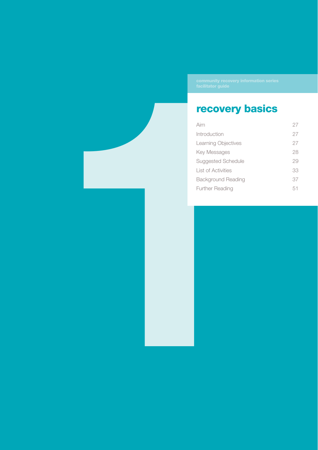## recovery basics

<span id="page-27-0"></span>

| facilitator guide                               | community recovery information series |          |
|-------------------------------------------------|---------------------------------------|----------|
|                                                 | recovery basics                       |          |
| Aim<br>Introduction                             |                                       | 27<br>27 |
| Learning Objectives<br>Key Messages             |                                       | 27<br>28 |
| Suggested Schedule<br><b>List of Activities</b> |                                       | 29<br>33 |
| <b>Background Reading</b>                       |                                       | 37<br>51 |
| Further Reading                                 |                                       |          |
|                                                 |                                       |          |
|                                                 |                                       |          |
|                                                 |                                       |          |
|                                                 |                                       |          |
|                                                 |                                       |          |
|                                                 |                                       |          |
|                                                 |                                       |          |
|                                                 |                                       |          |
|                                                 |                                       |          |
|                                                 |                                       |          |
|                                                 |                                       |          |
|                                                 |                                       |          |
|                                                 |                                       |          |
|                                                 |                                       |          |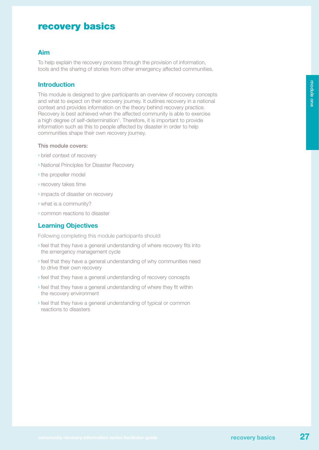# module one module one

### **recovery basics**

### **Aim**

To help explain the recovery process through the provision of information, tools and the sharing of stories from other emergency affected communities.

### **Introduction**

This module is designed to give participants an overview of recovery concepts and what to expect on their recovery journey. It outlines recovery in a national context and provides information on the theory behind recovery practice. Recovery is best achieved when the affected community is able to exercise a high degree of self-determination<sup>1</sup>. Therefore, it is important to provide information such as this to people affected by disaster in order to help communities shape their own recovery journey.

#### This module covers:

- ` brief context of recovery
- ` National Principles for Disaster Recovery
- ` the propeller model
- ` recovery takes time
- ` impacts of disaster on recovery
- ` what is a community?
- ` common reactions to disaster

### **Learning Objectives**

Following completing this module participants should:

- ` feel that they have a general understanding of where recovery fits into the emergency management cycle
- ` feel that they have a general understanding of why communities need to drive their own recovery
- ` feel that they have a general understanding of recovery concepts
- ` feel that they have a general understanding of where they fit within the recovery environment
- $\blacktriangleright$  feel that they have a general understanding of typical or common reactions to disasters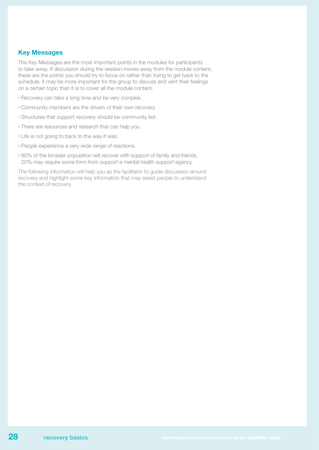### **Key Messages**

The Key Messages are the most important points in the modules for participants to take away. If discussion during the session moves away from the module content, these are the points you should try to focus on rather than trying to get back to the schedule. It may be more important for the group to discuss and vent their feelings on a certain topic than it is to cover all the module content.

- ` Recovery can take a long time and be very complex.
- ` Community members are the drivers of their own recovery.
- ` Structures that support recovery should be community led.
- ` There are resources and research that can help you.
- Life is not going to back to the way it was.
- ` People experience a very wide range of reactions.
- ▶ 80% of the broader population will recover with support of family and friends, 20% may require some form from support a mental health support agency.

The following information will help you as the facilitator to guide discussion around recovery and highlight some key information that may assist people to understand the context of recovery.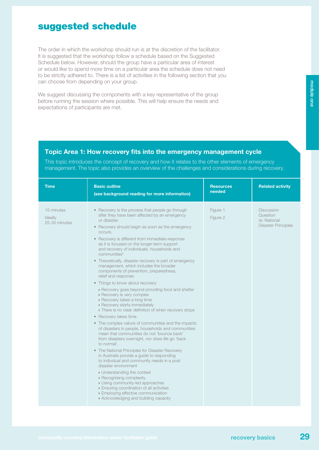### **suggested schedule**

The order in which the workshop should run is at the discretion of the facilitator. It is suggested that the workshop follow a schedule based on the Suggested Schedule below. However, should the group have a particular area of interest or would like to spend more time on a particular area the schedule does not need to be strictly adhered to. There is a list of activities in the following section that you can choose from depending on your group.

We suggest discussing the components with a key representative of the group before running the session where possible. This will help ensure the needs and expectations of participants are met.

### **Topic Area 1: How recovery fits into the emergency management cycle**

This topic introduces the concept of recovery and how it relates to the other elements of emergency management. The topic also provides an overview of the challenges and considerations during recovery.

| <b>Time</b>                            | <b>Basic outline</b><br>(see background reading for more information)                                                                                                                                                                                                                                                                                                                                                                                                                                                                                                                                                                                                                                                                                                                                                                                                                                                                                                                                                                                                                                                                                                                                                                                                                                                                                                                                                                  | <b>Resources</b><br>needed | <b>Related activity</b>                                                     |
|----------------------------------------|----------------------------------------------------------------------------------------------------------------------------------------------------------------------------------------------------------------------------------------------------------------------------------------------------------------------------------------------------------------------------------------------------------------------------------------------------------------------------------------------------------------------------------------------------------------------------------------------------------------------------------------------------------------------------------------------------------------------------------------------------------------------------------------------------------------------------------------------------------------------------------------------------------------------------------------------------------------------------------------------------------------------------------------------------------------------------------------------------------------------------------------------------------------------------------------------------------------------------------------------------------------------------------------------------------------------------------------------------------------------------------------------------------------------------------------|----------------------------|-----------------------------------------------------------------------------|
| 15 minutes<br>Ideally<br>25-30 minutes | • Recovery is the process that people go through<br>after they have been affected by an emergency<br>or disaster.<br>• Recovery should begin as soon as the emergency<br>occurs.<br>• Recovery is different from immediate response<br>as it is focused on the longer-term support<br>and recovery of individuals, households and<br>communities <sup>2</sup> .<br>• Theoretically, disaster recovery is part of emergency<br>management, which includes the broader<br>components of prevention, preparedness,<br>relief and response.<br>• Things to know about recovery:<br>Recovery goes beyond providing food and shelter<br>Recovery is very complex<br>▶ Recovery takes a long time<br>▶ Recovery starts immediately<br>There is no clear definition of when recovery stops<br>• Recovery takes time.<br>• The complex nature of communities and the impacts<br>of disasters in people, households and communities<br>mean that communities do not 'bounce back'<br>from disasters overnight, nor does life go 'back<br>to normal'.<br>• The National Principles for Disaster Recovery<br>in Australia provide a guide to responding<br>to individual and community needs in a post<br>disaster environment<br>• Understanding the context<br>▶ Recognising complexity<br>Using community-led approaches<br>Ensuring coordination of all activities<br>Employing effective communication<br>Acknowledging and building capacity | Figure 1<br>Figure 2       | <b>Discussion</b><br>Question<br>re: National<br><b>Disaster Principles</b> |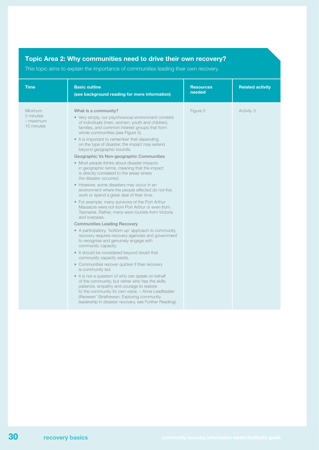### **Topic Area 2: Why communities need to drive their own recovery?**

This topic aims to explain the importance of communities leading their own recovery.

| <b>Time</b>                                     | <b>Basic outline</b><br>(see background reading for more information)                                                                                                                                                                                                                                                                                                                                                                                                                                                                                                                                                                                                                                                                                                                                                                                                                                                                                                                                                                                                                                                                                                                                                                                                                                                                                                                                                                                                                                                                                                                              | <b>Resources</b><br>needed | <b>Related activity</b> |
|-------------------------------------------------|----------------------------------------------------------------------------------------------------------------------------------------------------------------------------------------------------------------------------------------------------------------------------------------------------------------------------------------------------------------------------------------------------------------------------------------------------------------------------------------------------------------------------------------------------------------------------------------------------------------------------------------------------------------------------------------------------------------------------------------------------------------------------------------------------------------------------------------------------------------------------------------------------------------------------------------------------------------------------------------------------------------------------------------------------------------------------------------------------------------------------------------------------------------------------------------------------------------------------------------------------------------------------------------------------------------------------------------------------------------------------------------------------------------------------------------------------------------------------------------------------------------------------------------------------------------------------------------------------|----------------------------|-------------------------|
| Minimum<br>5 minutes<br>- maximum<br>15 minutes | What is a community?<br>• Very simply, our psychosocial environment consists<br>of individuals (men, women, youth and children),<br>families, and common interest groups that form<br>whole communities (see Figure 5).<br>• It is important to remember that depending<br>on the type of disaster, the impact may extend<br>beyond geographic bounds.<br>Geographic Vs Non-geographic Communities<br>• Most people thinks about disaster impacts<br>in geographic terms, meaning that the impact<br>is directly correlated to the areas where<br>the disaster occurred.<br>• However, some disasters may occur in an<br>environment where the people affected do not live,<br>work or spend a great deal of their time.<br>• For example, many survivors of the Port Arthur<br>Massacre were not from Port Arthur or even from<br>Tasmania. Rather, many were tourists from Victoria<br>and overseas.<br><b>Communities Leading Recovery</b><br>• A participatory, 'bottom-up' approach to community<br>recovery requires recovery agencies and government<br>to recognise and genuinely engage with<br>community capacity.<br>• It should be considered beyond doubt that<br>community capacity exists.<br>• Communities recover quicker if their recovery<br>is community led.<br>• It is not a question of who can speak on behalf<br>of the community, but rather who has the skills,<br>patience, empathy and courage to restore<br>to the community its own voice. - Anne Leadbeater<br>(Renewin' Strathewen: Exploring community<br>leadership in disaster recovery, see Further Reading). | Figure 5                   | <b>Activity 3</b>       |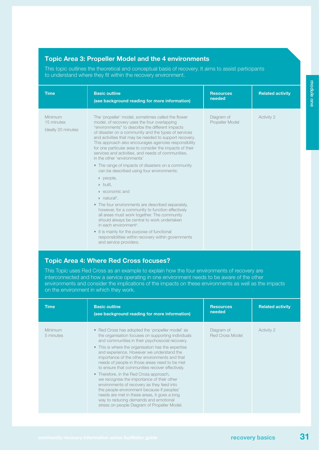### **Topic Area 3: Propeller Model and the 4 environments**

This topic outlines the theoretical and conceptual basis of recovery. It aims to assist participants to understand where they fit within the recovery environment.

| <b>Time</b>                                 | <b>Basic outline</b><br>(see background reading for more information)                                                                                                                                                                                                                                                                                                                                                                                                                                                                                                                                                                                                                                                                                                                                                                                                                                                                                                                                                                                                                                  | <b>Resources</b><br>needed    | <b>Related activity</b> |
|---------------------------------------------|--------------------------------------------------------------------------------------------------------------------------------------------------------------------------------------------------------------------------------------------------------------------------------------------------------------------------------------------------------------------------------------------------------------------------------------------------------------------------------------------------------------------------------------------------------------------------------------------------------------------------------------------------------------------------------------------------------------------------------------------------------------------------------------------------------------------------------------------------------------------------------------------------------------------------------------------------------------------------------------------------------------------------------------------------------------------------------------------------------|-------------------------------|-------------------------|
| Minimum<br>15 minutes<br>Ideally 20 minutes | The 'propeller' model, sometimes called the flower<br>model, of recovery uses the four overlapping<br>"environments" to describe the different impacts<br>of disaster on a community and the types of services<br>and activities that may be needed to support recovery.<br>This approach also encourages agencies responsibility<br>for one particular area to consider the impacts of their<br>services and activities, and needs of communities,<br>in the other 'environments'<br>• The range of impacts of disasters on a community<br>can be described using four environments:<br>$\triangleright$ people,<br>$\triangleright$ built,<br>$\triangleright$ economic and<br>$\triangleright$ natural <sup>3</sup> .<br>• The four environments are described separately,<br>however, for a community to function effectively<br>all areas must work together. The community<br>should always be central to work undertaken<br>in each environment <sup>4</sup> .<br>• It is mainly for the purpose of functional<br>responsibilities within recovery within governments<br>and service providers. | Diagram of<br>Propeller Model | <b>Activity 2</b>       |

### **Topic Area 4: Where Red Cross focuses?**

This Topic uses Red Cross as an example to explain how the four environments of recovery are interconnected and how a service operating in one environment needs to be aware of the other environments and consider the implications of the impacts on these environments as well as the impacts on the environment in which they work.

| <b>Time</b>          | <b>Basic outline</b><br>(see background reading for more information)                                                                                                                                                                                                                                                                                                                                                                                                                                                                                                                                                                                                                                                                           | <b>Resources</b><br>needed           | <b>Related activity</b> |
|----------------------|-------------------------------------------------------------------------------------------------------------------------------------------------------------------------------------------------------------------------------------------------------------------------------------------------------------------------------------------------------------------------------------------------------------------------------------------------------------------------------------------------------------------------------------------------------------------------------------------------------------------------------------------------------------------------------------------------------------------------------------------------|--------------------------------------|-------------------------|
| Minimum<br>5 minutes | • Red Cross has adopted the 'propeller model' as<br>the organisation focuses on supporting individuals<br>and communities in their psychosocial recovery.<br>• This is where the organisation has the expertise<br>and experience. However we understand the<br>importance of the other environments and that<br>needs of people in those areas need to be met<br>to ensure that communities recover effectively.<br>• Therefore, in the Red Cross approach,<br>we recognise the importance of their other<br>environments of recovery as they feed into<br>the people environment because if peoples'<br>needs are met in these areas, it goes a long<br>way to reducing demands and emotional<br>stress on people Diagram of Propeller Model. | Diagram of<br><b>Red Cross Model</b> | Activity 2              |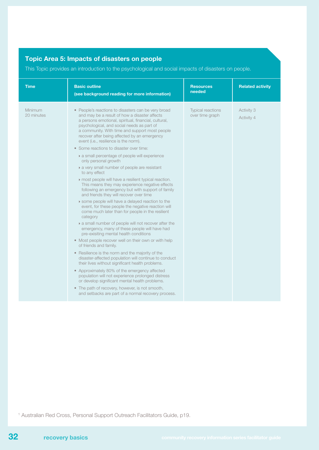### **Topic Area 5: Impacts of disasters on people**

This Topic provides an introduction to the psychological and social impacts of disasters on people.

| <b>Time</b>           | <b>Basic outline</b><br>(see background reading for more information)                                                                                                                                                                                                                                                                                                                                                                                                                                                                                                                                                                                                                                                                                                                                                                                                                                                                                                                                                                                                                                                                                                                                                                                                                                                              | <b>Resources</b><br>needed                  | <b>Related activity</b>  |
|-----------------------|------------------------------------------------------------------------------------------------------------------------------------------------------------------------------------------------------------------------------------------------------------------------------------------------------------------------------------------------------------------------------------------------------------------------------------------------------------------------------------------------------------------------------------------------------------------------------------------------------------------------------------------------------------------------------------------------------------------------------------------------------------------------------------------------------------------------------------------------------------------------------------------------------------------------------------------------------------------------------------------------------------------------------------------------------------------------------------------------------------------------------------------------------------------------------------------------------------------------------------------------------------------------------------------------------------------------------------|---------------------------------------------|--------------------------|
| Minimum<br>20 minutes | • People's reactions to disasters can be very broad<br>and may be a result of how a disaster affects<br>a persons emotional, spiritual, financial, cultural,<br>psychological, and social needs as part of<br>a community. With time and support most people<br>recover after being affected by an emergency<br>event (i.e., resilience is the norm).<br>• Some reactions to disaster over time:<br>a small percentage of people will experience<br>only personal growth<br>a very small number of people are resistant<br>to any effect<br>most people will have a resilient typical reaction.<br>This means they may experience negative effects<br>following an emergency but with support of family<br>and friends they will recover over time<br>some people will have a delayed reaction to the<br>event, for these people the negative reaction will<br>come much later than for people in the resilient<br>category<br>• a small number of people will not recover after the<br>emergency, many of these people will have had<br>pre-exisiting mental health conditions<br>• Most people recover well on their own or with help<br>of friends and family.<br>• Resilience is the norm and the majority of the<br>disaster-affected population will continue to conduct<br>their lives without significant health problems. | <b>Typical reactions</b><br>over time graph | Activity 3<br>Activity 4 |
|                       | • Approximately 80% of the emergency affected<br>population will not experience prolonged distress<br>or develop significant mental health problems.<br>• The path of recovery, however, is not smooth,<br>and setbacks are part of a normal recovery process.                                                                                                                                                                                                                                                                                                                                                                                                                                                                                                                                                                                                                                                                                                                                                                                                                                                                                                                                                                                                                                                                     |                                             |                          |
|                       |                                                                                                                                                                                                                                                                                                                                                                                                                                                                                                                                                                                                                                                                                                                                                                                                                                                                                                                                                                                                                                                                                                                                                                                                                                                                                                                                    |                                             |                          |

<sup>1</sup> Australian Red Cross, Personal Support Outreach Facilitators Guide, p19.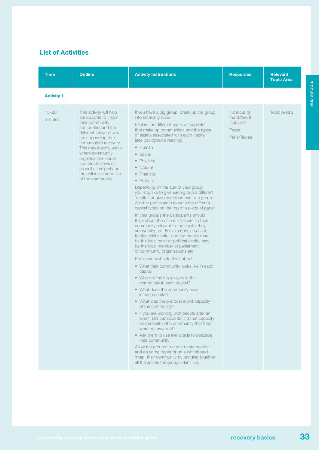### **List of Activities**

| <b>Time</b>          | <b>Outline</b>                                                                                                                                                                                                                                                                                                                               | <b>Activity Instructions</b>                                                                                                                                                                                                                                                                                                                                                                                                                                                                                                                                                                                                                                                                                                                                                                                                                                                                                                                                                                                                                                                                                                                                                                                                                                                                                                                                                                                                                                                                                                                                                                  | <b>Resources</b>                                                  | <b>Relevant</b><br><b>Topic Area</b> |
|----------------------|----------------------------------------------------------------------------------------------------------------------------------------------------------------------------------------------------------------------------------------------------------------------------------------------------------------------------------------------|-----------------------------------------------------------------------------------------------------------------------------------------------------------------------------------------------------------------------------------------------------------------------------------------------------------------------------------------------------------------------------------------------------------------------------------------------------------------------------------------------------------------------------------------------------------------------------------------------------------------------------------------------------------------------------------------------------------------------------------------------------------------------------------------------------------------------------------------------------------------------------------------------------------------------------------------------------------------------------------------------------------------------------------------------------------------------------------------------------------------------------------------------------------------------------------------------------------------------------------------------------------------------------------------------------------------------------------------------------------------------------------------------------------------------------------------------------------------------------------------------------------------------------------------------------------------------------------------------|-------------------------------------------------------------------|--------------------------------------|
| <b>Activity 1</b>    |                                                                                                                                                                                                                                                                                                                                              |                                                                                                                                                                                                                                                                                                                                                                                                                                                                                                                                                                                                                                                                                                                                                                                                                                                                                                                                                                                                                                                                                                                                                                                                                                                                                                                                                                                                                                                                                                                                                                                               |                                                                   |                                      |
| $15 - 20$<br>minutes | This activity will help<br>participants to 'map'<br>their community<br>and understand the<br>different 'players' who<br>are supporting their<br>community's recovery.<br>This may identify areas<br>where community<br>organisations could<br>coordinate services,<br>as well as help shape<br>the collective narrative<br>of the community. | If you have a big group, break up the group<br>into smaller groups.<br>Explain the different types of 'capitals'<br>that make up communities and the types<br>of assets associated with each capital<br>(see background reading).<br>• Human<br>• Social<br>• Physical<br>• Natural<br>• Financial<br>• Political<br>Depending on the size of your group<br>you may like to give each group a different<br>'capital' or give more than one to a group.<br>Ask the participants to write the different<br>capital types on the top of a piece of paper.<br>In their groups the participants should<br>think about the different 'assets' in their<br>community relevant to the capital they<br>are working on. For example, an asset<br>for financial capital in a community may<br>be the local bank or political capital may<br>be the local member of parliament<br>or community organisations etc.<br>Participants should think about:<br>• What their community looks like in each<br>capital<br>• Who are the key players in their<br>community in each capital?<br>• What does the community have<br>in each capital?<br>• What was the pre/post event capacity<br>of the community?<br>• If you are working with people after an<br>event: Did participants find that capacity<br>existed within the community that they<br>were not aware of?<br>• Ask them to use five words to describe<br>their community<br>Allow the groups to come back together<br>and on some paper or on a whiteboard<br>'map' their community by bringing together<br>all the assets the groups identified. | Handout of<br>the different<br>'capitals'<br>Paper<br>Pens/Textas | Topic Area 2                         |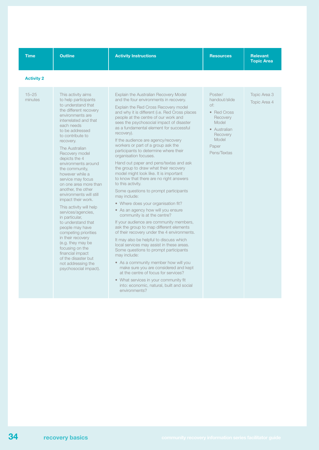| <b>Time</b>          | <b>Outline</b>                                                                                                                                                                                                                                                                                                                                                                                                                                                                                                                                                                                                                                                                                                                             | <b>Activity Instructions</b>                                                                                                                                                                                                                                                                                                                                                                                                                                                                                                                                                                                                                                                                                                                                                                                                                                                                                                                                                                                                                                                                                                                                                                                                                                                                                                                                         | <b>Resources</b>                                                                                                                 | <b>Relevant</b><br><b>Topic Area</b> |
|----------------------|--------------------------------------------------------------------------------------------------------------------------------------------------------------------------------------------------------------------------------------------------------------------------------------------------------------------------------------------------------------------------------------------------------------------------------------------------------------------------------------------------------------------------------------------------------------------------------------------------------------------------------------------------------------------------------------------------------------------------------------------|----------------------------------------------------------------------------------------------------------------------------------------------------------------------------------------------------------------------------------------------------------------------------------------------------------------------------------------------------------------------------------------------------------------------------------------------------------------------------------------------------------------------------------------------------------------------------------------------------------------------------------------------------------------------------------------------------------------------------------------------------------------------------------------------------------------------------------------------------------------------------------------------------------------------------------------------------------------------------------------------------------------------------------------------------------------------------------------------------------------------------------------------------------------------------------------------------------------------------------------------------------------------------------------------------------------------------------------------------------------------|----------------------------------------------------------------------------------------------------------------------------------|--------------------------------------|
| <b>Activity 2</b>    |                                                                                                                                                                                                                                                                                                                                                                                                                                                                                                                                                                                                                                                                                                                                            |                                                                                                                                                                                                                                                                                                                                                                                                                                                                                                                                                                                                                                                                                                                                                                                                                                                                                                                                                                                                                                                                                                                                                                                                                                                                                                                                                                      |                                                                                                                                  |                                      |
| $15 - 25$<br>minutes | This activity aims<br>to help participants<br>to understand that<br>the different recovery<br>environments are<br>interrelated and that<br>each needs<br>to be addressed<br>to contribute to<br>recovery.<br>The Australian<br>Recovery model<br>depicts the 4<br>environments around<br>the community.<br>however while a<br>service may focus<br>on one area more than<br>another, the other<br>environments will still<br>impact their work.<br>This activity will help<br>services/agencies,<br>in particular,<br>to understand that<br>people may have<br>competing priorities<br>in their recovery<br>(e.g. they may be<br>focusing on the<br>financial impact<br>of the disaster but<br>not addressing the<br>psychosocial impact). | <b>Explain the Australian Recovery Model</b><br>and the four environments in recovery.<br>Explain the Red Cross Recovery model<br>and why it is different (i.e. Red Cross places<br>people at the centre of our work and<br>sees the psychosocial impact of disaster<br>as a fundamental element for successful<br>recovery).<br>If the audience are agency/recovery<br>workers or part of a group ask the<br>participants to determine where their<br>organisation focuses.<br>Hand out paper and pens/textas and ask<br>the group to draw what their recovery<br>model might look like. It is important<br>to know that there are no right answers<br>to this activity.<br>Some questions to prompt participants<br>may include:<br>• Where does your organisation fit?<br>• As an agency how will you ensure<br>community is at the centre?<br>If your audience are community members,<br>ask the group to map different elements<br>of their recovery under the 4 environments.<br>It may also be helpful to discuss which<br>local services may assist in these areas.<br>Some questions to prompt participants<br>may include:<br>• As a community member how will you<br>make sure you are considered and kept<br>at the centre of focus for services?<br>• What services in your community fit<br>into: economic, natural, built and social<br>environments? | Poster/<br>handout/slide<br>Of:<br>• Red Cross<br>Recovery<br>Model<br>• Australian<br>Recovery<br>Model<br>Paper<br>Pens/Textas | Topic Area 3<br>Topic Area 4         |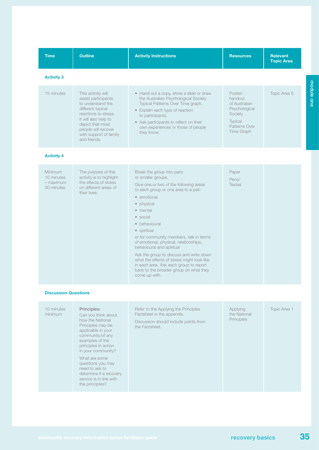| <b>Time</b>                                      | <b>Outline</b>                                                                                                                                                                                                          | <b>Activity Instructions</b>                                                                                                                                                                                                                                                                                                                                                                                                                                                                                                            | <b>Resources</b>                                                                                                 | <b>Relevant</b><br><b>Topic Area</b> |
|--------------------------------------------------|-------------------------------------------------------------------------------------------------------------------------------------------------------------------------------------------------------------------------|-----------------------------------------------------------------------------------------------------------------------------------------------------------------------------------------------------------------------------------------------------------------------------------------------------------------------------------------------------------------------------------------------------------------------------------------------------------------------------------------------------------------------------------------|------------------------------------------------------------------------------------------------------------------|--------------------------------------|
| <b>Activity 3</b>                                |                                                                                                                                                                                                                         |                                                                                                                                                                                                                                                                                                                                                                                                                                                                                                                                         |                                                                                                                  |                                      |
| 15 minutes                                       | This activity will<br>assist participants<br>to understand the<br>different typical<br>reactions to stress.<br>It will also help to<br>depict that most<br>people will recover<br>with support of family<br>and friends | • Hand out a copy, show a slide or draw<br>the Australian Psychological Society<br>Typical Patterns Over Time graph.<br>• Explain each type of reaction<br>to participants.<br>• Ask participants to reflect on their<br>own experiences or those of people<br>they know.                                                                                                                                                                                                                                                               | Poster/<br>handout<br>of Australian<br>Psychological<br>Society<br><b>Typical</b><br>Patterns Over<br>Time Graph | Topic Area 5                         |
| <b>Activity 4</b>                                |                                                                                                                                                                                                                         |                                                                                                                                                                                                                                                                                                                                                                                                                                                                                                                                         |                                                                                                                  |                                      |
| Minimum<br>10 minutes<br>- maximum<br>30 minutes | The purpose of this<br>activity is to highlight<br>the effects of stress<br>on different areas of<br>their lives.                                                                                                       | Break the group into pairs<br>or smaller groups.<br>Give one or two of the following areas<br>to each group or one area to a pair:<br>• emotional<br>• physical<br>• mental<br>• social<br>• behavioural<br>• spiritual<br>or for community members, talk in terms<br>of emotional, physical, relationships,<br>behavioural and spiritual<br>Ask the group to discuss and write down<br>what the effects of stress might look like<br>in each area. Ask each group to report<br>back to the broader group on what they<br>come up with. | Paper<br>Pens/<br><b>Textas</b>                                                                                  |                                      |
| <b>Discussion Questions</b>                      |                                                                                                                                                                                                                         |                                                                                                                                                                                                                                                                                                                                                                                                                                                                                                                                         |                                                                                                                  |                                      |
| 10 minutes<br>minimum                            | Principles:<br>Can you think about<br>how the National                                                                                                                                                                  | Refer to the Applying the Principles<br>Factsheet in the appendix.<br>Discussion should include points from                                                                                                                                                                                                                                                                                                                                                                                                                             | Applying<br>the National<br>Principles                                                                           | Topic Area 1                         |

Principles may be applicable in your community/of any examples of the principles in action in your community? What are some questions you may need to ask to determine if a recovery service is in line with the principles?

the Factsheet.

module one

module one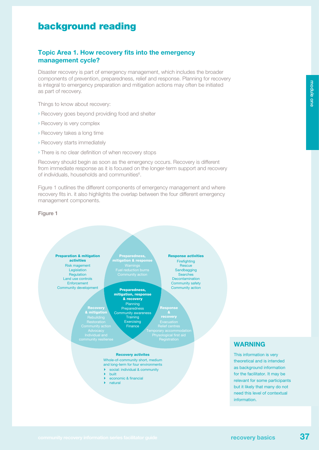# **background reading**

### **Topic Area 1. How recovery fits into the emergency management cycle?**

Disaster recovery is part of emergency management, which includes the broader components of prevention, preparedness, relief and response. Planning for recovery is integral to emergency preparation and mitigation actions may often be initiated as part of recovery.

Things to know about recovery:

- ` Recovery goes beyond providing food and shelter
- Recovery is very complex
- ` Recovery takes a long time
- ` Recovery starts immediately
- $\blacktriangleright$  There is no clear definition of when recovery stops

Recovery should begin as soon as the emergency occurs. Recovery is different from immediate response as it is focused on the longer-term support and recovery of individuals, households and communities<sup>6</sup>.

Figure 1 outlines the different components of emergency management and where recovery fits in. it also highlights the overlap between the four different emergency management components.

### Figure 1



### **WARNING**

This information is very theoretical and is intended as background information for the facilitator. It may be relevant for some participants but it likely that many do not need this level of contextual information.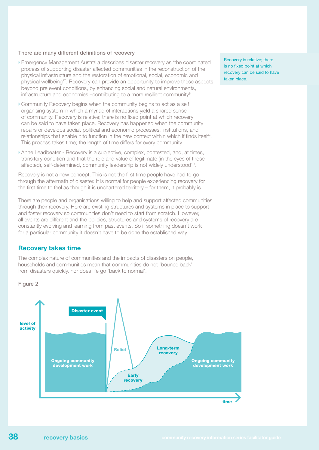### There are many different definitions of recovery

- ` Emergency Management Australia describes disaster recovery as 'the coordinated process of supporting disaster affected communities in the reconstruction of the physical infrastructure and the restoration of emotional, social, economic and physical wellbeing'7 . Recovery can provide an opportunity to improve these aspects beyond pre event conditions, by enhancing social and natural environments, infrastructure and economies -contributing to a more resilient community<sup>8</sup>.
- ` Community Recovery begins when the community begins to act as a self organising system in which a myriad of interactions yield a shared sense of community. Recovery is relative; there is no fixed point at which recovery can be said to have taken place. Recovery has happened when the community repairs or develops social, political and economic processes, institutions, and relationships that enable it to function in the new context within which if finds itself<sup>9</sup>. This process takes time; the length of time differs for every community.
- ` Anne Leadbeater Recovery is a subjective, complex, contested, and, at times, transitory condition and that the role and value of legitimate (in the eyes of those affected), self-determined, community leadership is not widely understood<sup>10</sup>.

Recovery is not a new concept. This is not the first time people have had to go through the aftermath of disaster. It is normal for people experiencing recovery for the first time to feel as though it is unchartered territory – for them, it probably is.

There are people and organisations willing to help and support affected communities through their recovery. Here are existing structures and systems in place to support and foster recovery so communities don't need to start from scratch. However, all events are different and the policies, structures and systems of recovery are constantly evolving and learning from past events. So if something doesn't work for a particular community it doesn't have to be done the established way.

### **Recovery takes time**

The complex nature of communities and the impacts of disasters on people, households and communities mean that communities do not 'bounce back' from disasters quickly, nor does life go 'back to normal'.





Recovery is relative; there is no fixed point at which recovery can be said to have taken place.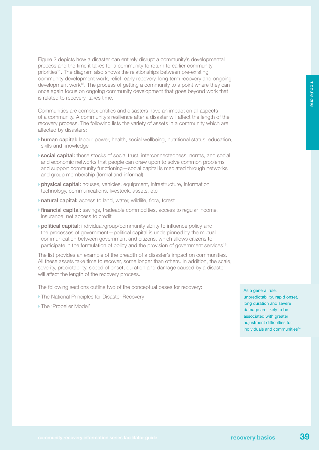Figure 2 depicts how a disaster can entirely disrupt a community's developmental process and the time it takes for a community to return to earlier community priorities<sup>11</sup>. The diagram also shows the relationships between pre-existing community development work, relief, early recovery, long term recovery and ongoing development work<sup>12</sup>. The process of getting a community to a point where they can once again focus on ongoing community development that goes beyond work that is related to recovery, takes time.

Communities are complex entities and disasters have an impact on all aspects of a community. A community's resilience after a disaster will affect the length of the recovery process. The following lists the variety of assets in a community which are affected by disasters:

- I human capital: labour power, health, social wellbeing, nutritional status, education, skills and knowledge
- ` social capital: those stocks of social trust, interconnectedness, norms, and social and economic networks that people can draw upon to solve common problems and support community functioning—social capital is mediated through networks and group membership (formal and informal)
- `physical capital: houses, vehicles, equipment, infrastructure, information technology, communications, livestock, assets, etc
- **hatural capital:** access to land, water, wildlife, flora, forest
- ` financial capital: savings, tradeable commodities, access to regular income, insurance, net access to credit
- `political capital: individual/group/community ability to influence policy and the processes of government—political capital is underpinned by the mutual communication between government and citizens, which allows citizens to participate in the formulation of policy and the provision of government services<sup>13</sup>.

The list provides an example of the breadth of a disaster's impact on communities. All these assets take time to recover, some longer than others. In addition, the scale, severity, predictability, speed of onset, duration and damage caused by a disaster will affect the length of the recovery process.

The following sections outline two of the conceptual bases for recovery:

- $\triangleright$  The National Principles for Disaster Recovery
- ` The 'Propeller Model'

As a general rule, unpredictability, rapid onset, long duration and severe damage are likely to be associated with greater adjustment difficulties for individuals and communities<sup>14</sup>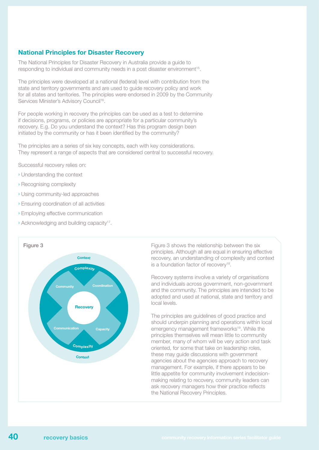### **National Principles for Disaster Recovery**

The National Principles for Disaster Recovery in Australia provide a guide to responding to individual and community needs in a post disaster environment<sup>15</sup>.

The principles were developed at a national (federal) level with contribution from the state and territory governments and are used to guide recovery policy and work for all states and territories. The principles were endorsed in 2009 by the Community Services Minister's Advisory Council<sup>16</sup>.

For people working in recovery the principles can be used as a test to determine if decisions, programs, or policies are appropriate for a particular community's recovery. E.g. Do you understand the context? Has this program design been initiated by the community or has it been identified by the community?

The principles are a series of six key concepts, each with key considerations. They represent a range of aspects that are considered central to successful recovery.

Successful recovery relies on:

- ` Understanding the context
- **Recognising complexity**
- ` Using community-led approaches
- ` Ensuring coordination of all activities
- **Employing effective communication**
- $\blacktriangleright$  Acknowledging and building capacity<sup>17</sup>.



Figure 3 shows the relationship between the six principles. Although all are equal in ensuring effective recovery, an understanding of complexity and context is a foundation factor of recovery<sup>18</sup>.

Recovery systems involve a variety of organisations and individuals across government, non-government and the community. The principles are intended to be adopted and used at national, state and territory and local levels.

The principles are guidelines of good practice and should underpin planning and operations within local emergency management frameworks<sup>19</sup>. While the principles themselves will mean little to community member, many of whom will be very action and task oriented, for some that take on leadership roles, these may guide discussions with government agencies about the agencies approach to recovery management. For example, if there appears to be little appetite for community involvement indecisionmaking relating to recovery, community leaders can ask recovery managers how their practice reflects the National Recovery Principles.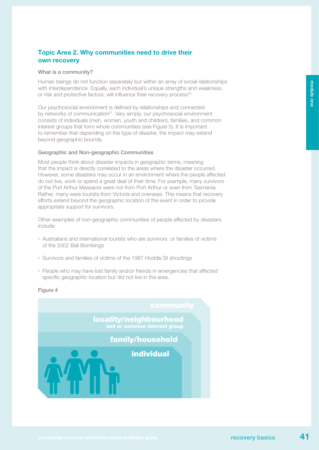### **Topic Area 2. Why communities need to drive their own recovery**

### What is a community?

Human beings do not function separately but within an array of social relationships with interdependence. Equally, each individual's unique strengths and weakness, or risk and protective factors, will influence their recovery process<sup>20</sup>.

Our psychosocial environment is defined by relationships and connected by networks of communication<sup>21</sup>. Very simply, our psychosocial environment consists of individuals (men, women, youth and children), families, and common interest groups that form whole communities (see Figure 5). It is important to remember that depending on the type of disaster, the impact may extend beyond geographic bounds.

### Geographic and Non-geographic Communities

Most people think about disaster impacts in geographic terms, meaning that the impact is directly correlated to the areas where the disaster occurred. However, some disasters may occur in an environment where the people affected do not live, work or spend a great deal of their time. For example, many survivors of the Port Arthur Massacre were not from Port Arthur or even from Tasmania. Rather, many were tourists from Victoria and overseas. This means that recovery efforts extend beyond the geographic location of the event in order to provide appropriate support for survivors.

Other examples of non-geographic communities of people affected by disasters include:

- ` Australians and international tourists who are survivors or families of victims of the 2002 Bali Bombings
- ▶ Survivors and families of victims of the 1987 Hoddle St shootings
- ` People who may have lost family and/or friends in emergencies that affected specific geographic location but did not live in the area.



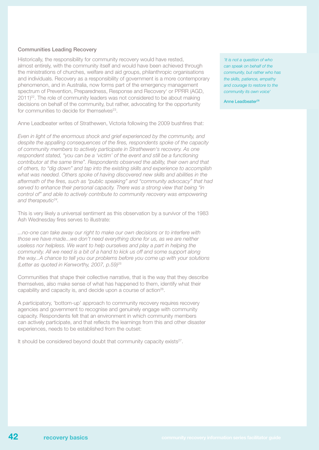### Communities Leading Recovery

Historically, the responsibility for community recovery would have rested, almost entirely, with the community itself and would have been achieved through the ministrations of churches, welfare and aid groups, philanthropic organisations and individuals. Recovery as a responsibility of government is a more contemporary phenomenon, and in Australia, now forms part of the emergency management spectrum of Prevention, Preparedness, Response and Recovery' or PPRR (AGD, 2011)22. The role of community leaders was not considered to be about making decisions on behalf of the community, but rather, advocating for the opportunity for communities to decide for themselves $23$ .

Anne Leadbeater writes of Strathewen, Victoria following the 2009 bushfires that:

Even in light of the enormous shock and grief experienced by the community, and despite the appalling consequences of the fires, respondents spoke of the capacity of community members to actively participate in Strathewen's recovery. As one respondent stated, "you can be a 'victim' of the event and still be a functioning contributor at the same time". Respondents observed the ability, their own and that of others, to "dig down" and tap into the existing skills and experience to accomplish what was needed. Others spoke of having discovered new skills and abilities in the aftermath of the fires, such as "public speaking" and "community advocacy" that had served to enhance their personal capacity. There was a strong view that being "in control of" and able to actively contribute to community recovery was empowering and therapeutic<sup>24</sup>.

This is very likely a universal sentiment as this observation by a survivor of the 1983 Ash Wednesday fires serves to illustrate:

...no-one can take away our right to make our own decisions or to interfere with those we have made...we don't need everything done for us, as we are neither useless nor helpless. We want to help ourselves and play a part in helping the community. All we need is a bit of a hand to kick us off and some support along the way...A chance to tell you our problems before you come up with your solutions (Letter as quoted in Kenworthy, 2007, p.59)<sup>25</sup>

Communities that shape their collective narrative, that is the way that they describe themselves, also make sense of what has happened to them, identify what their capability and capacity is, and decide upon a course of action<sup>26</sup>.

A participatory, 'bottom-up' approach to community recovery requires recovery agencies and government to recognise and genuinely engage with community capacity. Respondents felt that an environment in which community members can actively participate, and that reflects the learnings from this and other disaster experiences, needs to be established from the outset:

It should be considered beyond doubt that community capacity exists<sup>27</sup>.

'It is not a question of who can speak on behalf of the community, but rather who has the skills, patience, empathy and courage to restore to the community its own voice'

Anne Leadbeater<sup>28</sup>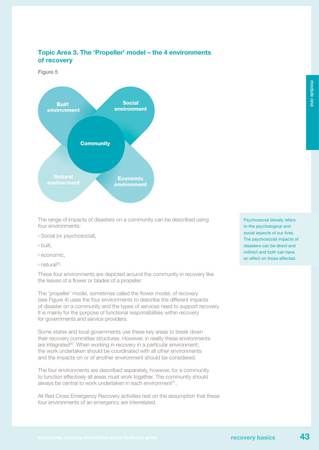### **Topic Area 3. The 'Propeller' model – the 4 environments of recovery**

Figure 5



The range of impacts of disasters on a community can be described using four environments:

- Social (or psychosocial),
- ` built,
- $\blacktriangleright$  economic.
- $\triangleright$  natural<sup>29</sup>.

These four environments are depicted around the community in recovery like the leaves of a flower or blades of a propeller.

The 'propeller' model, sometimes called the flower model, of recovery (see Figure 4) uses the four environments to describe the different impacts of disaster on a community and the types of services need to support recovery. It is mainly for the purpose of functional responsibilities within recovery for governments and service providers.

Some states and local governments use these key areas to break down their recovery committee structures. However, in reality these environments are integrated<sup>30</sup>. When working in recovery in a particular environment, the work undertaken should be coordinated with all other environments and the impacts on or of another environment should be considered.

The four environments are described separately, however, for a community to function effectively all areas must work together. The community should always be central to work undertaken in each environment<sup>31</sup>.

All Red Cross Emergency Recovery activities rest on the assumption that these four environments of an emergency are interrelated.

Psychosocial literally refers to the psychological and social aspects of our lives. The psychosocial impacts of disasters can be direct and indirect and both can have an effect on those affected.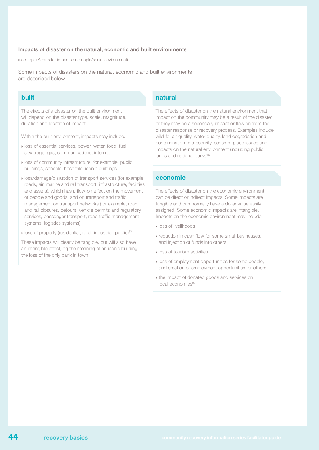### Impacts of disaster on the natural, economic and built environments

(see Topic Area 5 for impacts on people/social environment)

Some impacts of disasters on the natural, economic and built environments are described below.

### **built**

The effects of a disaster on the built environment will depend on the disaster type, scale, magnitude, duration and location of impact.

Within the built environment, impacts may include:

- **Ioss of essential services, power, water, food, fuel,** sewerage, gas, communications, internet
- **I** loss of community infrastructure; for example, public buildings, schools, hospitals, iconic buildings
- **I** loss/damage/disruption of transport services (for example, roads, air, marine and rail transport infrastructure, facilities and assets), which has a flow-on effect on the movement of people and goods, and on transport and traffic management on transport networks (for example, road and rail closures, detours, vehicle permits and regulatory services, passenger transport, road traffic management systems, logistics systems)
- $\blacktriangleright$  loss of property (residential, rural, industrial, public)<sup>32</sup>.

These impacts will clearly be tangible, but will also have an intangible effect, eg the meaning of an iconic building, the loss of the only bank in town.

### **natural**

The effects of disaster on the natural environment that impact on the community may be a result of the disaster or they may be a secondary impact or flow on from the disaster response or recovery process. Examples include wildlife, air quality, water quality, land degradation and contamination, bio-security, sense of place issues and impacts on the natural environment (including public lands and national parks)<sup>33</sup>.

### **economic**

The effects of disaster on the economic environment can be direct or indirect impacts. Some impacts are tangible and can normally have a dollar value easily assigned. Some economic impacts are intangible. Impacts on the economic environment may include:

- ` loss of livelihoods
- **reduction in cash flow for some small businesses.** and injection of funds into others
- **I** loss of tourism activities
- **Doss of employment opportunities for some people,** and creation of employment opportunities for others
- $\triangleright$  the impact of donated goods and services on local economies<sup>34</sup>.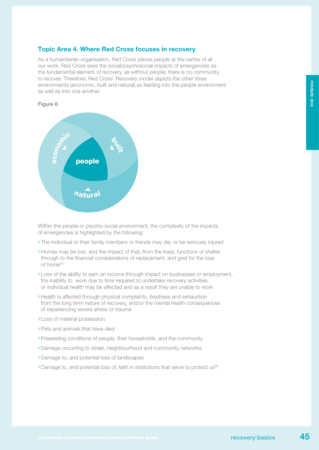### **Topic Area 4. Where Red Cross focuses in recovery**

As a humanitarian organisation, Red Cross places people at the centre of all our work. Red Cross sees the social/psychosocial impacts of emergencies as the fundamental element of recovery, as without people; there is no community to recover. Therefore, Red Cross' Recovery model depicts the other three environments (economic, built and natural) as feeding into the people environment as well as into one another.

### Figure 6



Within the people or psycho-social environment, the complexity of the impacts of emergencies is highlighted by the following:

- ` The individual or their family members or friends may die, or be seriously injured
- ` Homes may be lost, and the impact of that, from the basic functions of shelter through to the financial considerations of replacement, and grief for the loss of home<sup>35</sup>
- ` Loss of the ability to earn an income through impact on businesses or employment, the inability to work due to time required to undertake recovery activities, or individual health may be affected and as a result they are unable to work
- ` Health is affected through physical complaints, tiredness and exhaustion from the long term nature of recovery, and/or the mental health consequences of experiencing severe stress or trauma
- Loss of material possession,
- ` Pets and animals that have died
- ` Preexisting conditions of people, their households, and the community
- ` Damage occurring to street, neighbourhood and community networks
- ` Damage to, and potential loss of landscapes
- Damage to, and potential loss of, faith in institutions that serve to protect us<sup>36</sup>.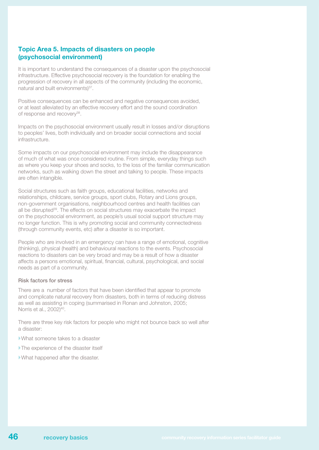### **Topic Area 5. Impacts of disasters on people (psychosocial environment)**

It is important to understand the consequences of a disaster upon the psychosocial infrastructure. Effective psychosocial recovery is the foundation for enabling the progression of recovery in all aspects of the community (including the economic, natural and built environments)<sup>37</sup>.

Positive consequences can be enhanced and negative consequences avoided, or at least alleviated by an effective recovery effort and the sound coordination of response and recovery<sup>38</sup>.

Impacts on the psychosocial environment usually result in losses and/or disruptions to peoples' lives, both individually and on broader social connections and social infrastructure.

Some impacts on our psychosocial environment may include the disappearance of much of what was once considered routine. From simple, everyday things such as where you keep your shoes and socks, to the loss of the familiar communication networks, such as walking down the street and talking to people. These impacts are often intangible.

Social structures such as faith groups, educational facilities, networks and relationships, childcare, service groups, sport clubs, Rotary and Lions groups, non-government organisations, neighbourhood centres and health facilities can all be disrupted<sup>39</sup>. The effects on social structures may exacerbate the impact on the psychosocial environment, as people's usual social support structure may no longer function. This is why promoting social and community connectedness (through community events, etc) after a disaster is so important.

People who are involved in an emergency can have a range of emotional, cognitive (thinking), physical (health) and behavioural reactions to the events. Psychosocial reactions to disasters can be very broad and may be a result of how a disaster affects a persons emotional, spiritual, financial, cultural, psychological, and social needs as part of a community.

### Risk factors for stress

There are a number of factors that have been identified that appear to promote and complicate natural recovery from disasters, both in terms of reducing distress as well as assisting in coping (summarised in Ronan and Johnston, 2005; Norris et al., 2002)40.

There are three key risk factors for people who might not bounce back so well after a disaster:

- ` What someone takes to a disaster
- If The experience of the disaster itself
- ` What happened after the disaster.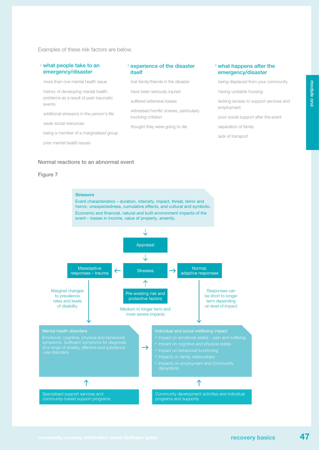Examples of these risk factors are below.

### $\triangleright$  what people take to an emergency/disaster

more than one mental health issue

history of developing mental health problems as a result of past traumatic events

additional stressors in the person's life

weak social resources

being a member of a marginalised group

prior mental health issues

### Normal reactions to an abnormal event

### Figure 7



lost family/friends in the disaster

have been seriously injured

suffered extensive losses

witnessed horrific scenes, particularly involving children

thought they were going to die

### $\rightarrow$  what happens after the emergency/disaster

being displaced from your community

having unstable housing

lacking access to support services and employment

poor social support after the event

separation of family

lack of transport

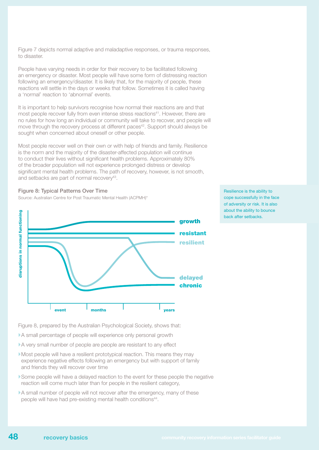Figure 7 depicts normal adaptive and maladaptive responses, or trauma responses, to disaster.

People have varying needs in order for their recovery to be facilitated following an emergency or disaster. Most people will have some form of distressing reaction following an emergency/disaster. It is likely that, for the majority of people, these reactions will settle in the days or weeks that follow. Sometimes it is called having a 'normal' reaction to 'abnormal' events.

It is important to help survivors recognise how normal their reactions are and that most people recover fully from even intense stress reactions<sup>41</sup>. However, there are no rules for how long an individual or community will take to recover, and people will move through the recovery process at different paces<sup>42</sup>. Support should always be sought when concerned about oneself or other people.

Most people recover well on their own or with help of friends and family. Resilience is the norm and the majority of the disaster-affected population will continue to conduct their lives without significant health problems. Approximately 80% of the broader population will not experience prolonged distress or develop significant mental health problems. The path of recovery, however, is not smooth, and setbacks are part of normal recovery<sup>43</sup>.

### Figure 8: Typical Patterns Over Time

Source: Australian Centre for Post Traumatic Mental Health (ACPMH)\*



Resilience is the ability to cope successfully in the face of adversity or risk. It is also about the ability to bounce back after setbacks.

Figure 8, prepared by the Australian Psychological Society, shows that:

- A small percentage of people will experience only personal growth
- A very small number of people are people are resistant to any effect
- ` Most people will have a resilient prototypical reaction. This means they may experience negative effects following an emergency but with support of family and friends they will recover over time
- Some people will have a delayed reaction to the event for these people the negative reaction will come much later than for people in the resilient category,
- A small number of people will not recover after the emergency, many of these people will have had pre-existing mental health conditions<sup>44</sup>.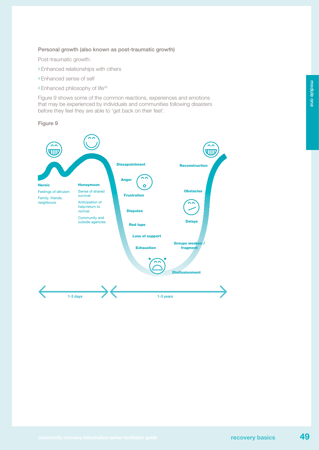### Personal growth (also known as post-traumatic growth)

Post-traumatic growth:

- **Enhanced relationships with others**
- ` Enhanced sense of self
- **Enhanced philosophy of life**<sup>45</sup>

Figure 9 shows some of the common reactions, experiences and emotions that may be experienced by individuals and communities following disasters before they feel they are able to 'get back on their feet'.

Figure 9

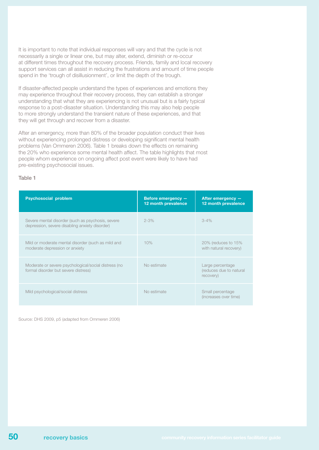It is important to note that individual responses will vary and that the cycle is not necessarily a single or linear one, but may alter, extend, diminish or re-occur at different times throughout the recovery process. Friends, family and local recovery support services can all assist in reducing the frustrations and amount of time people spend in the 'trough of disillusionment', or limit the depth of the trough.

If disaster-affected people understand the types of experiences and emotions they may experience throughout their recovery process, they can establish a stronger understanding that what they are experiencing is not unusual but is a fairly typical response to a post-disaster situation. Understanding this may also help people to more strongly understand the transient nature of these experiences, and that they will get through and recover from a disaster.

After an emergency, more than 80% of the broader population conduct their lives without experiencing prolonged distress or developing significant mental health problems (Van Ommeren 2006). Table 1 breaks down the effects on remaining the 20% who experience some mental health affect. The table highlights that most people whom experience on ongoing affect post event were likely to have had pre-existing psychosocial issues.

### Table 1

| <b>Psychosocial problem</b>                                                                         | Before emergency -<br>12 month prevalence | After emergency -<br>12 month prevalence                 |
|-----------------------------------------------------------------------------------------------------|-------------------------------------------|----------------------------------------------------------|
| Severe mental disorder (such as psychosis, severe<br>depression, severe disabling anxiety disorder) | $2 - 3%$                                  | $3 - 4\%$                                                |
| Mild or moderate mental disorder (such as mild and<br>moderate depression or anxiety                | 10%                                       | 20% (reduces to 15%)<br>with natural recovery)           |
| Moderate or severe psychological/social distress (no<br>formal disorder but severe distress)        | No estimate                               | Large percentage<br>(reduces due to natural<br>recovery) |
| Mild psychological/social distress                                                                  | No estimate                               | Small percentage<br>(increases over time)                |

Source: DHS 2009, p5 (adapted from Ommeren 2006)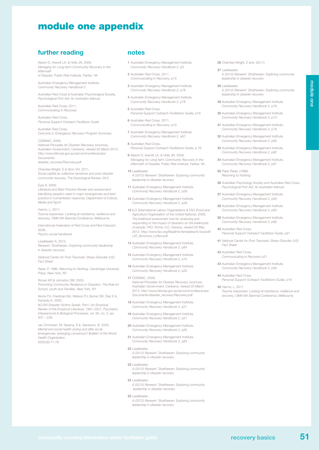# **module one appendix**

### further reading **notes**

Alesch D, Arendt LA, & Holly JN, 2009, Managing for Long-term Community Recovery in the Aftermath

of Disaster, Public Risk Institute, Fairfax, VA.

Australian Emergency Management Institute, Community Recovery Handbook 2

Australian Red Cross & Australian Psychological Society, Psychological First Aid: An Australian Manual

Australian Red Cross, 2011, Communicating in Recovery

Australian Red Cross, Personal Support Outreach Facilitator Guide

Australian Red Cross, Outcome 3: Emergency Recovery Program Summary

CDSMAC, 2009, National Principles for Disaster Recovery, brochure, Australian Government, Canberra, viewed 20 March 2012, http://www.fahcsia.gov.au/sa/communities/pubs/ Documents/ disaster\_recovery/Recovery.pdf

Chamlee-Wright, E & Storr VH, 2011, Social capital as collective narratives and post-disaster community recovery, The Sociological Review, 59:2.

Eyre A, 2006, Literature and Best Practice Review and assessment: Identifying people's need in major emergencies and best practice in humanitarian response, Department of Culture, Media and Sport

Harms, L, 2011, Trauma responses: Looking at resistance, resilience and recovery, CIMA 6th Biennial Conference, Melbourne

International Federation of Red Cross and Red Crescent, 2008,

Psycho-social handbook

Leadbeater A, 2012, Renewin' Strathewen: Exploring community leadership in disaster recovery

National Center for Post Traumatic Stress Disorder (US) Fact Sheet

Read, P, 1996, Returning to Nothing, Cambridge University Press, New York, NY

Ronan KR & Johnston DM, 2005, Promoting Community Resilience in Disasters: The Role for School, youth and Families, New York, NY

Norris FH, Friedman MJ, Watson PJ, Byrne CM, Diaz E & Kaniasty K, 2002,

60,000 Disaster Victims Speak: Part I. An Empirical Review of the Empirical Literature, 1981–2001, Psychiatry: Interpersonal & Biological Processes, vol. 65, no. 3, pp. 207 – 239.

van Ommeren, M, Saxena, S & Saraceno, B, 2005, Mental and social health during and after acute emergencies: emerging consensus? Bulletin of the World Health Organization 2005;83:71-76

- 1 Australian Emergency Management Institute, Community Recovery Handbook 2, p3
- 2 Australian Red Cross, 2011 Communicating in Recovery, p10
- 3 Australian Emergency Management Institute, Community Recovery Handbook 2, p78
- 4 Australian Emergency Management Institute, Community Recovery Handbook 2, p78
- 5 Australian Red Cross, Personal Support Outreach Facilitators Guide, p19
- 6 Australian Red Cross, 2011, Communicating in Recovery, p10
- 7 Australian Emergency Management Institute, Community Recovery Handbook 2, p67.
- 8 Australian Red Cross, Personal Support Outreach Facilitators Guide, p 16.
- 9 Alesch D, Arendt LA, & Holly JN, 2009, Managing for Long-term Community Recovery in the Aftermath of Disaster, Public Risk Institute, Fairfax, VA.
- 10 Leadbeater, A (2012) Renewin' Strathewen: Exploring community adership in disaster recovery
- 11 Australian Emergency Management Institute, Community Recovery Handbook 2, p28.
- 12 Australian Emergency Management Institute, Community Recovery Handbook 2, p28.
- 13 ILO (International Labour Organisation) & FAO (Food and Agriculture Organisation of the United Nations), 2009, The livelihood assessment tool-kit: analysing and responding to the impact of disasters on the livelihoods of people, FAO, Rome, ILO, Geneva, viewed 20 May 2012, http://www.fao.org/fileadmin/templates/tc/tce/pdf/ LAT\_Brochure\_LoRes.pdf
- 14 Australian Emergency Management Institute, Community Recovery Handbook 2, p84
- 15 Australian Emergency Management Institute, Community Recovery Handbook 2, p16
- 16 Australian Emergency Management Institute, Community Recovery Handbook 2, p20
- 17 CDSMAC, 2009, National Principles for Disaster Recovery, brochure, Australian Government, Canberra, viewed 20 March 2012, http://www.fahcsia.gov.au/sa/communities/pubs/ Documents/disaster\_recovery/Recovery.pdf
- 18 Australian Emergency Management Institute, Community Recovery Handbook 2, p21
- 19 Australian Emergency Management Institute, Community Recovery Handbook 2, p21
- 20 Australian Emergency Management Institute, Community Recovery Handbook 2, p83
- 21 Australian Emergency Management Institute, Community Recovery Handbook 2, p83
- 22 Leadbeater,
	- A (2012) Renewin' Strathewen: Exploring community leadership in disaster recovery
- 23 Leadbeater, A (2012) Renewin' Strathewen: Exploring community leadership in disaster recovery
- 24 Leadheater A (2012) Renewin' Strathewen: Exploring community leadership in disaster recovery
- 25 Leadbeater,

A (2012) Renewin' Strathewen: Exploring community leadership in disaster recovery

26 Chamlee-Wright, E and, (2011)

### 27 Leadbeater,

- A (2012) Renewin' Strathewen: Exploring community leadership in disaster recovery
- 28 Leadbeater, A (2012) Renewin' Strathewen: Exploring community leadership in disaster recovery
- 29 Australian Emergency Management Institute, Community Recovery Handbook 2, p78
- 30 Australian Emergency Management Institute, Community Recovery Handbook 2, p74
- 31 Australian Emergency Management Institute, Community Recovery Handbook 2, p78
- 32 Australian Emergency Management Institute, Community Recovery Handbook 2, p80
- 33 Australian Emergency Management Institute, Community Recovery Handbook 2, p82
- 34 Australian Emergency Management Institute, Community Recovery Handbook 2, p81
- 35 Peter Read, (1996), Returning to Nothing
- 36 Australian Psychology Society and Australian Red Cross, Psychological First Aid: An Australian Manual
- 37 Australian Emergency Management Institute Community Recovery Handbook 2, p83
- 38 Australian Emergency Management Institute, Community Recovery Handbook 2, p83
- 39 Australian Emergency Management Institute, Community Recovery Handbook 2, p80
- 40 Australian Red Cross, Personal Support Outreach Facilitator Guide, p21
- 41 National Center for Post Traumatic Stress Disorder (US) Fact Sheet
- 42 Australian Red Cross, Communicating in Recovery p21
- 43 Australian Emergency Management Institute, Community Recovery Handbook 2, p90
- 44 Australian Red Cross,
- Personal Support Outreach Facilitators Guide, p19 45 Harms, L, 2011
	- Trauma responses: Looking at resistance, resilience and recovery, CIMA 6th Biennial Conference, Melbourne

- 
-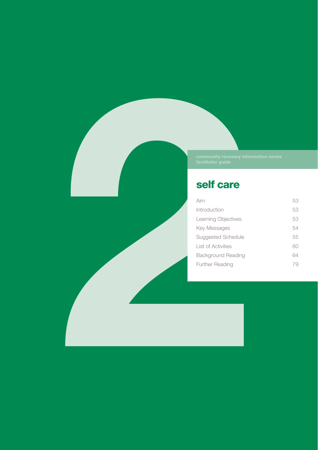# self care

| community recovery information series<br>facilitator guide                                      |                      |
|-------------------------------------------------------------------------------------------------|----------------------|
| self care<br>Aim<br>Introduction<br>Learning Objectives<br>Key Messages                         | 53<br>53<br>53<br>54 |
| Suggested Schedule<br><b>List of Activities</b><br><b>Background Reading</b><br>Further Reading | 55<br>60<br>64<br>79 |
|                                                                                                 |                      |
|                                                                                                 |                      |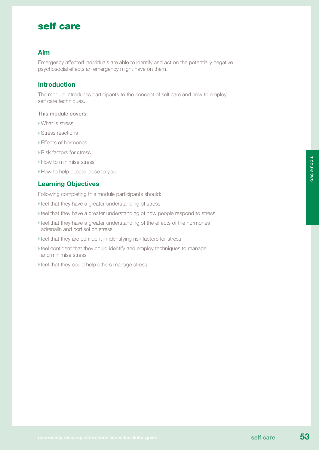# **self care**

### **Aim**

Emergency affected individuals are able to identify and act on the potentially negative psychosocial effects an emergency might have on them.

### **Introduction**

The module introduces participants to the concept of self care and how to employ self care techniques.

### This module covers:

- ▶ What is stress
- ▶ Stress reactions
- $\triangleright$  Effects of hormones
- ` Risk factors for stress
- ` How to minimise stress
- ` How to help people close to you

### **Learning Objectives**

Following completing this module participants should:

- ` feel that they have a greater understanding of stress
- ` feel that they have a greater understanding of how people respond to stress
- ` feel that they have a greater understanding of the effects of the hormones adrenalin and cortisol on stress
- ` feel that they are confident in identifying risk factors for stress
- ` feel confident that they could identify and employ techniques to manage and minimise stress
- ` feel that they could help others manage stress.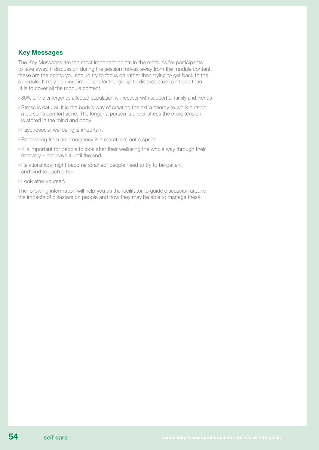### **Key Messages**

The Key Messages are the most important points in the modules for participants to take away. If discussion during the session moves away from the module content, these are the points you should try to focus on rather than trying to get back to the schedule. It may be more important for the group to discuss a certain topic than it is to cover all the module content.

- ▶ 80% of the emergency affected population will recover with support of family and friends
- Stress is natural. It is the body's way of creating the extra energy to work outside a person's comfort zone. The longer a person is under stress the more tension is stored in the mind and body
- ` Psychosocial wellbeing is important
- ` Recovering from an emergency is a marathon, not a sprint
- It is important for people to look after their wellbeing the whole way through their recovery – not leave it until the end.
- ` Relationships might become strained; people need to try to be patient and kind to each other
- **Look after yourself.**

The following information will help you as the facilitator to guide discussion around the impacts of disasters on people and how they may be able to manage these.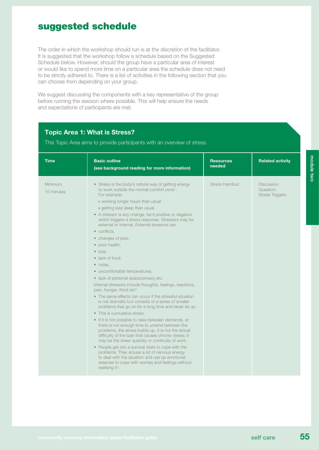# **suggested schedule**

The order in which the workshop should run is at the discretion of the facilitator. It is suggested that the workshop follow a schedule based on the Suggested Schedule below. However, should the group have a particular area of interest or would like to spend more time on a particular area the schedule does not need to be strictly adhered to. There is a list of activities in the following section that you can choose from depending on your group.

We suggest discussing the components with a key representative of the group before running the session where possible. This will help ensure the needs and expectations of participants are met.

### **Topic Area 1: What is Stress?**

This Topic Area aims to provide participants with an overview of stress.

| <b>Time</b>           | <b>Basic outline</b><br>(see background reading for more information)                                                                                                                                                                                                                                                                                                                                                                                                                                                                                                                                                                                                                                                                                                                                                                                                                                                                                                                                                                                                                                                                                                                                                                                                                                                                                                                                           | <b>Resources</b><br>needed | <b>Related activity</b>                                  |
|-----------------------|-----------------------------------------------------------------------------------------------------------------------------------------------------------------------------------------------------------------------------------------------------------------------------------------------------------------------------------------------------------------------------------------------------------------------------------------------------------------------------------------------------------------------------------------------------------------------------------------------------------------------------------------------------------------------------------------------------------------------------------------------------------------------------------------------------------------------------------------------------------------------------------------------------------------------------------------------------------------------------------------------------------------------------------------------------------------------------------------------------------------------------------------------------------------------------------------------------------------------------------------------------------------------------------------------------------------------------------------------------------------------------------------------------------------|----------------------------|----------------------------------------------------------|
| Minimum<br>10 minutes | • Stress is the body's natural way of getting energy<br>to work outside the normal comfort zone <sup>1</sup> .<br>For example:<br>▶ working longer hours than usual<br>▶ getting less sleep than usual.<br>• A stressor is any change, be it positive or negative,<br>which triggers a stress response. Stressors may be<br>external or internal. External stressors are:<br>• conflicts.<br>• changes of jobs,<br>• poor health,<br>$\bullet$ loss,<br>· lack of food,<br>• noise,<br>• uncomfortable temperatures,<br>· lack of personal space/privacy etc.<br>Internal stressors include thoughts, feelings, reactions,<br>pain, hunger, thirst etc <sup>2</sup> .<br>• The same effects can occur if the stressful situation<br>is not dramatic but consists of a series of smaller<br>problems that go on for a long time and never let up.<br>• This is cumulative stress.<br>• If it is not possible to relax between demands, or<br>there is not enough time to unwind between the<br>problems, the stress builds up. It is not the actual<br>difficulty of the task that causes chronic stress; it<br>may be the sheer quantity or continuity of work.<br>• People get into a survival state to cope with the<br>problems. They arouse a lot of nervous energy<br>to deal with the situation and use up emotional<br>reserves to cope with worries and feelings without<br>realising it <sup>3</sup> . | Stress Handout             | <b>Discussion</b><br>Question:<br><b>Stress Triggers</b> |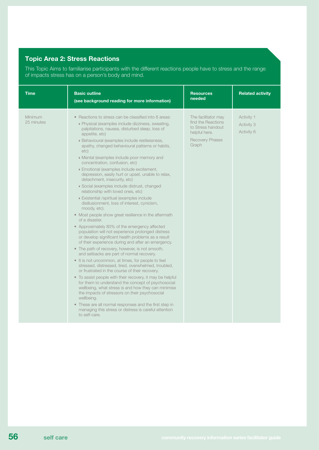## **Topic Area 2: Stress Reactions**

This Topic Aims to familiarise participants with the different reactions people have to stress and the range of impacts stress has on a person's body and mind.

| <b>Time</b>           | <b>Basic outline</b><br>(see background reading for more information)                                                                                                                                                                                                                                                                                                                                                                                                                                                                                                                                                                                                                                                                                                                                                                                                                                                                                                                                                                                                                                                                                                                                                                                                                                                                                                                                                                                                                                                                                                                                                                                | <b>Resources</b><br>needed                                                                                         | <b>Related activity</b>                |
|-----------------------|------------------------------------------------------------------------------------------------------------------------------------------------------------------------------------------------------------------------------------------------------------------------------------------------------------------------------------------------------------------------------------------------------------------------------------------------------------------------------------------------------------------------------------------------------------------------------------------------------------------------------------------------------------------------------------------------------------------------------------------------------------------------------------------------------------------------------------------------------------------------------------------------------------------------------------------------------------------------------------------------------------------------------------------------------------------------------------------------------------------------------------------------------------------------------------------------------------------------------------------------------------------------------------------------------------------------------------------------------------------------------------------------------------------------------------------------------------------------------------------------------------------------------------------------------------------------------------------------------------------------------------------------------|--------------------------------------------------------------------------------------------------------------------|----------------------------------------|
| Minimum<br>25 minutes | • Reactions to stress can be classified into 6 areas:<br>▶ Physical (examples include dizziness, sweating,<br>palpitations, nausea, disturbed sleep, loss of<br>appetite, etc)<br>▶ Behavioural (examples include restlessness,<br>apathy, changed behavioural patterns or habits,<br>etc)<br>▶ Mental (examples include poor memory and<br>concentration, confusion, etc)<br>Emotional (examples include excitement,<br>depression, easily hurt or upset, unable to relax,<br>detachment, insecurity, etc)<br>Social (examples include distrust, changed<br>relationship with loved ones, etc)<br>Existential /spiritual (examples include<br>disillusionment, loss of interest, cynicism,<br>moody, etc).<br>• Most people show great resilience in the aftermath<br>of a disaster.<br>• Approximately 80% of the emergency affected<br>population will not experience prolonged distress<br>or develop significant health problems as a result<br>of their experience during and after an emergency.<br>• The path of recovery, however, is not smooth,<br>and setbacks are part of normal recovery.<br>• It is not uncommon, at times, for people to feel<br>stressed, distressed, tired, overwhelmed, troubled,<br>or frustrated in the course of their recovery.<br>• To assist people with their recovery, it may be helpful<br>for them to understand the concept of psychosocial<br>wellbeing, what stress is and how they can minimise<br>the impacts of stressors on their psychosocial<br>wellbeing.<br>• These are all normal responses and the first step in<br>managing this stress or distress is careful attention<br>to self-care. | The facilitator may<br>find the Reactions<br>to Stress handout<br>helpful here.<br><b>Recovery Phases</b><br>Graph | Activity 1<br>Activity 3<br>Activity 6 |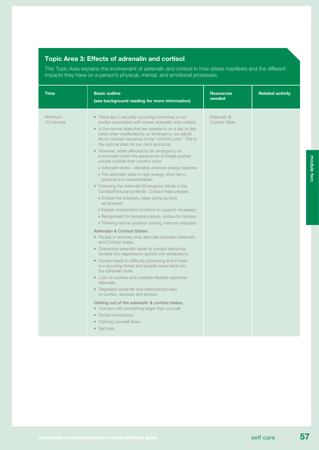## **Topic Area 3: Effects of adrenalin and cortisol**

This Topic Area explains the involvement of adrenalin and cortisol in how stress manifests and the different impacts they have on a person's physical, mental, and emotional processes.

| Time                  | <b>Basic outline</b><br>(see background reading for more information)                                                                                                                                                                                                                                                                                                                                                                                                                                                                                                                                                                                                                                                                                                                                                                                                                                                                                                                                                                                                                                                                                                                                                                                                                                                                                                                                                                                                                                                                                                                                                                                                                            | <b>Resources</b><br>needed           | <b>Related activity</b> |
|-----------------------|--------------------------------------------------------------------------------------------------------------------------------------------------------------------------------------------------------------------------------------------------------------------------------------------------------------------------------------------------------------------------------------------------------------------------------------------------------------------------------------------------------------------------------------------------------------------------------------------------------------------------------------------------------------------------------------------------------------------------------------------------------------------------------------------------------------------------------------------------------------------------------------------------------------------------------------------------------------------------------------------------------------------------------------------------------------------------------------------------------------------------------------------------------------------------------------------------------------------------------------------------------------------------------------------------------------------------------------------------------------------------------------------------------------------------------------------------------------------------------------------------------------------------------------------------------------------------------------------------------------------------------------------------------------------------------------------------|--------------------------------------|-------------------------|
| Minimum<br>10 minutes | • There are 2 naturally occurring hormones in our<br>bodies associated with stress: adrenalin and cortisol.<br>• In the normal state that we operate in on a day to day<br>basis when unaffected by an emergency, we adjust<br>life to maintain ourselves in the "comfort zone". This is<br>the optimal state for our mind and body.<br>• However, when affected by an emergency or<br>a traumatic event the experience of threat pushes<br>people outside their comfort zone.<br>▶ Adrenalin stress – liberates unknown energy reserves<br>The adrenalin state is high energy, short term,<br>physical and unsustainable <sup>4</sup> .<br>• Following the Adrenalin/Emergency Mode is the<br>Cortisol/Endurance Mode. Cortisol helps people:<br>Endure the adversity, keep going as long<br>as required<br>Exploit unimportant functions to support necessary<br>▶ Reorganised for necessary issues, endure for duration<br>• Thinking narrow problem solving, memory reduced.<br><b>Adrenalin &amp; Cortisol States</b><br>• People in recovery may alternate between Adrenalin<br>and Cortisol states.<br>• Overactive adrenalin leads to cortisol rebounds<br>(anxiety into depression; activity into exhaustion).<br>• Cortisol leads to difficulty prioritising and if there<br>is a recurring threat and people move back into<br>the adrenalin state<br>• Loss of routines and unstable lifestyle reactivate<br>adrenalin.<br>• Degraded social life and relationships lead<br>to conflict, stresses and tension.<br>Getting out of the adrenalin & cortisol states:<br>• Connect with something larger than yourself<br>• Social connections<br>• Calming yourself down<br>• Self care | Adrenalin &<br><b>Cortisol Table</b> |                         |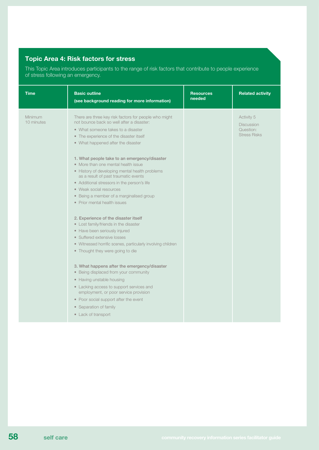## **Topic Area 4: Risk factors for stress**

This Topic Area introduces participants to the range of risk factors that contribute to people experience of stress following an emergency.

| <b>Time</b>                  | <b>Basic outline</b><br>(see background reading for more information)                                                                                                                                                                                                                                                                                                                                                                                                                                                                                                                                                                                                                                                                                                                                                                                                                                                                                                                                                                                                                                                      | <b>Resources</b><br>needed | <b>Related activity</b>                                             |
|------------------------------|----------------------------------------------------------------------------------------------------------------------------------------------------------------------------------------------------------------------------------------------------------------------------------------------------------------------------------------------------------------------------------------------------------------------------------------------------------------------------------------------------------------------------------------------------------------------------------------------------------------------------------------------------------------------------------------------------------------------------------------------------------------------------------------------------------------------------------------------------------------------------------------------------------------------------------------------------------------------------------------------------------------------------------------------------------------------------------------------------------------------------|----------------------------|---------------------------------------------------------------------|
| <b>Minimum</b><br>10 minutes | There are three key risk factors for people who might<br>not bounce back so well after a disaster:<br>• What someone takes to a disaster<br>• The experience of the disaster itself<br>• What happened after the disaster<br>1. What people take to an emergency/disaster<br>• More than one mental health issue<br>• History of developing mental health problems<br>as a result of past traumatic events<br>• Additional stressors in the person's life<br>• Weak social resources<br>• Being a member of a marginalised group<br>• Prior mental health issues<br>2. Experience of the disaster itself<br>• Lost family/friends in the disaster<br>• Have been seriously injured<br>• Suffered extensive losses<br>• Witnessed horrific scenes, particularly involving children<br>• Thought they were going to die<br>3. What happens after the emergency/disaster<br>• Being displaced from your community<br>• Having unstable housing<br>• Lacking access to support services and<br>employment, or poor service provision<br>• Poor social support after the event<br>• Separation of family<br>• Lack of transport |                            | Activity 5<br><b>Discussion</b><br>Question:<br><b>Stress Risks</b> |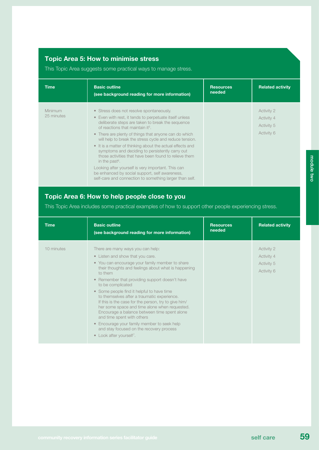# **Topic Area 5: How to minimise stress**

This Topic Area suggests some practical ways to manage stress.

| <b>Time</b>           | <b>Basic outline</b><br>(see background reading for more information)                                                                                                                                                                                                                                                                                                                                                                                                                                                                                                                                                                                                                                             | <b>Resources</b><br>needed | <b>Related activity</b>                                     |
|-----------------------|-------------------------------------------------------------------------------------------------------------------------------------------------------------------------------------------------------------------------------------------------------------------------------------------------------------------------------------------------------------------------------------------------------------------------------------------------------------------------------------------------------------------------------------------------------------------------------------------------------------------------------------------------------------------------------------------------------------------|----------------------------|-------------------------------------------------------------|
| Minimum<br>25 minutes | • Stress does not resolve spontaneously.<br>• Even with rest, it tends to perpetuate itself unless<br>deliberate steps are taken to break the sequence<br>of reactions that maintain it <sup>5</sup> .<br>• There are plenty of things that anyone can do which<br>will help to break the stress cycle and reduce tension.<br>• It is a matter of thinking about the actual effects and<br>symptoms and deciding to persistently carry out<br>those activities that have been found to relieve them<br>in the past <sup><math>6</math></sup> .<br>Looking after yourself is very important. This can<br>be enhanced by social support, self awareness,<br>self-care and connection to something larger than self. |                            | <b>Activity 2</b><br>Activity 4<br>Activity 5<br>Activity 6 |

### **Topic Area 6: How to help people close to you**

This Topic Area includes some practical examples of how to support other people experiencing stress.

| <b>Time</b> | <b>Basic outline</b><br>(see background reading for more information)                                                                                                                                                                                                                                                                                                                                                                                                                                                                                                                                                                                                                                          | <b>Resources</b><br>needed | <b>Related activity</b>                                     |
|-------------|----------------------------------------------------------------------------------------------------------------------------------------------------------------------------------------------------------------------------------------------------------------------------------------------------------------------------------------------------------------------------------------------------------------------------------------------------------------------------------------------------------------------------------------------------------------------------------------------------------------------------------------------------------------------------------------------------------------|----------------------------|-------------------------------------------------------------|
| 10 minutes  | There are many ways you can help:<br>• Listen and show that you care.<br>• You can encourage your family member to share<br>their thoughts and feelings about what is happening<br>to them<br>• Remember that providing support doesn't have<br>to be complicated<br>• Some people find it helpful to have time<br>to themselves after a traumatic experience.<br>If this is the case for the person, try to give him/<br>her some space and time alone when requested.<br>Encourage a balance between time spent alone<br>and time spent with others<br>Encourage your family member to seek help<br>$\bullet$<br>and stay focused on the recovery process<br>Look after yourself <sup>7</sup> .<br>$\bullet$ |                            | <b>Activity 2</b><br>Activity 4<br>Activity 5<br>Activity 6 |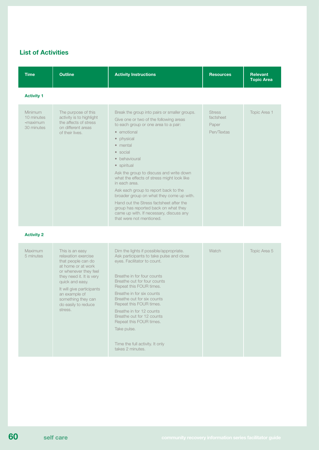# **List of Activities**

| <b>Time</b>                                     | <b>Outline</b>                                                                                                    | <b>Activity Instructions</b>                                                                                                                                                                                                                                                                                                                                                                                                                                                                                                                                                            | <b>Resources</b>                                  | <b>Relevant</b><br><b>Topic Area</b> |
|-------------------------------------------------|-------------------------------------------------------------------------------------------------------------------|-----------------------------------------------------------------------------------------------------------------------------------------------------------------------------------------------------------------------------------------------------------------------------------------------------------------------------------------------------------------------------------------------------------------------------------------------------------------------------------------------------------------------------------------------------------------------------------------|---------------------------------------------------|--------------------------------------|
| <b>Activity 1</b>                               |                                                                                                                   |                                                                                                                                                                                                                                                                                                                                                                                                                                                                                                                                                                                         |                                                   |                                      |
| Minimum<br>10 minutes<br>-maximum<br>30 minutes | The purpose of this<br>activity is to highlight<br>the affects of stress<br>on different areas<br>of their lives. | Break the group into pairs or smaller groups.<br>Give one or two of the following areas<br>to each group or one area to a pair:<br>• emotional<br>physical<br>$\bullet$<br>• mental<br>• social<br>• behavioural<br>• spiritual<br>Ask the group to discuss and write down<br>what the effects of stress might look like<br>in each area.<br>Ask each group to report back to the<br>broader group on what they come up with.<br>Hand out the Stress factsheet after the<br>group has reported back on what they<br>came up with. If necessary, discuss any<br>that were not mentioned. | <b>Stress</b><br>factsheet<br>Paper<br>Pen/Textas | Topic Area 1                         |

### **Activity 2**

| Maximum<br>5 minutes | This is an easy<br>relaxation exercise<br>that people can do<br>at home or at work<br>or whenever they feel<br>they need it. It is very<br>quick and easy.<br>It will give participants<br>an example of<br>something they can<br>do easily to reduce<br>stress. | Dim the lights if possible/appropriate.<br>Ask participants to take pulse and close<br>eyes. Facilitator to count.<br>Breathe in for four counts<br>Breathe out for four counts<br>Repeat this FOUR times.<br>Breathe in for six counts<br>Breathe out for six counts<br>Repeat this FOUR times.<br>Breathe in for 12 counts<br>Breathe out for 12 counts<br>Repeat this FOUR times.<br>Take pulse.<br>Time the full activity. It only<br>takes 2 minutes. | Watch | Topic Area 5 |
|----------------------|------------------------------------------------------------------------------------------------------------------------------------------------------------------------------------------------------------------------------------------------------------------|------------------------------------------------------------------------------------------------------------------------------------------------------------------------------------------------------------------------------------------------------------------------------------------------------------------------------------------------------------------------------------------------------------------------------------------------------------|-------|--------------|
|----------------------|------------------------------------------------------------------------------------------------------------------------------------------------------------------------------------------------------------------------------------------------------------------|------------------------------------------------------------------------------------------------------------------------------------------------------------------------------------------------------------------------------------------------------------------------------------------------------------------------------------------------------------------------------------------------------------------------------------------------------------|-------|--------------|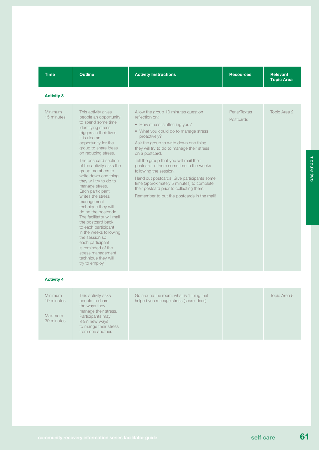| <b>Time</b>                                                  | <b>Outline</b>                                                                                                                                                                                                                                                                                                                                                                                                                                                                                                                                                                                                                                                                            | <b>Activity Instructions</b>                                                                                                                                                                                                                                                                                                                                                                                                                                                                                                                                  | <b>Resources</b>         | <b>Relevant</b><br><b>Topic Area</b> |
|--------------------------------------------------------------|-------------------------------------------------------------------------------------------------------------------------------------------------------------------------------------------------------------------------------------------------------------------------------------------------------------------------------------------------------------------------------------------------------------------------------------------------------------------------------------------------------------------------------------------------------------------------------------------------------------------------------------------------------------------------------------------|---------------------------------------------------------------------------------------------------------------------------------------------------------------------------------------------------------------------------------------------------------------------------------------------------------------------------------------------------------------------------------------------------------------------------------------------------------------------------------------------------------------------------------------------------------------|--------------------------|--------------------------------------|
| <b>Activity 3</b>                                            |                                                                                                                                                                                                                                                                                                                                                                                                                                                                                                                                                                                                                                                                                           |                                                                                                                                                                                                                                                                                                                                                                                                                                                                                                                                                               |                          |                                      |
| <b>Minimum</b><br>15 minutes                                 | This activity gives<br>people an opportunity<br>to spend some time<br>identifying stress<br>triggers in their lives.<br>It is also an<br>opportunity for the<br>group to share ideas<br>on reducing stress.<br>The postcard section<br>of the activity asks the<br>group members to<br>write down one thing<br>they will try to do to<br>manage stress.<br>Each participant<br>writes the stress<br>management<br>technique they will<br>do on the postcode.<br>The facilitator will mail<br>the postcard back<br>to each participant<br>in the weeks following<br>the session so<br>each participant<br>is reminded of the<br>stress management<br>technique they will<br>try to employ. | Allow the group 10 minutes question<br>reflection on:<br>• How stress is affecting you?<br>• What you could do to manage stress<br>proactively?<br>Ask the group to write down one thing<br>they will try to do to manage their stress<br>on a postcard.<br>Tell the group that you will mail their<br>postcard to them sometime in the weeks<br>following the session.<br>Hand out postcards. Give participants some<br>time (approximately 5 minutes) to complete<br>their postcard prior to collecting them.<br>Remember to put the postcards in the mail! | Pens/Textas<br>Postcards | Topic Area 2                         |
| <b>Activity 4</b>                                            |                                                                                                                                                                                                                                                                                                                                                                                                                                                                                                                                                                                                                                                                                           |                                                                                                                                                                                                                                                                                                                                                                                                                                                                                                                                                               |                          |                                      |
| <b>Minimum</b><br>10 minutes<br><b>Maximum</b><br>30 minutes | This activity asks<br>people to share<br>the ways they<br>manage their stress.<br>Participants may<br>learn new ways<br>to mange their stress                                                                                                                                                                                                                                                                                                                                                                                                                                                                                                                                             | Go around the room: what is 1 thing that<br>helped you manage stress (share ideas).                                                                                                                                                                                                                                                                                                                                                                                                                                                                           |                          | Topic Area 5                         |

from one another.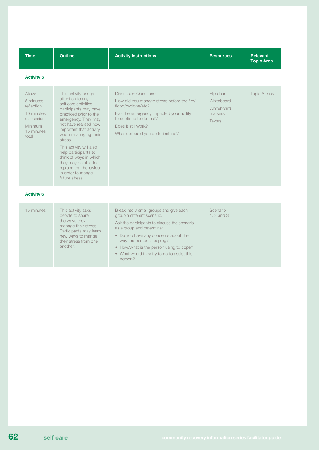| <b>Time</b>                                                                                            | <b>Outline</b>                                                                                                                                                                                                                                                                                                                                                                                          | <b>Activity Instructions</b>                                                                                                                                                                                                                                                                                                 | <b>Resources</b>                                                   | <b>Relevant</b><br><b>Topic Area</b> |
|--------------------------------------------------------------------------------------------------------|---------------------------------------------------------------------------------------------------------------------------------------------------------------------------------------------------------------------------------------------------------------------------------------------------------------------------------------------------------------------------------------------------------|------------------------------------------------------------------------------------------------------------------------------------------------------------------------------------------------------------------------------------------------------------------------------------------------------------------------------|--------------------------------------------------------------------|--------------------------------------|
| <b>Activity 5</b>                                                                                      |                                                                                                                                                                                                                                                                                                                                                                                                         |                                                                                                                                                                                                                                                                                                                              |                                                                    |                                      |
| Allow:<br>5 minutes<br>reflection<br>10 minutes<br>discussion<br><b>Minimum</b><br>15 minutes<br>total | This activity brings<br>attention to any<br>self care activities<br>participants may have<br>practiced prior to the<br>emergency. They may<br>not have realised how<br>important that activity<br>was in managing their<br>stress.<br>This activity will also<br>help participants to<br>think of ways in which<br>they may be able to<br>replace that behaviour<br>in order to mange<br>future stress. | <b>Discussion Questions:</b><br>How did you manage stress before the fire/<br>flood/cyclone/etc?<br>Has the emergency impacted your ability<br>to continue to do that?<br>Does it still work?<br>What do/could you do to instead?                                                                                            | Flip chart<br>Whiteboard<br>Whiteboard<br>markers<br><b>Textas</b> | Topic Area 5                         |
| <b>Activity 6</b>                                                                                      |                                                                                                                                                                                                                                                                                                                                                                                                         |                                                                                                                                                                                                                                                                                                                              |                                                                    |                                      |
| 15 minutes                                                                                             | This activity asks<br>people to share<br>the ways they<br>manage their stress.<br>Participants may learn<br>new ways to mange<br>their stress from one<br>another.                                                                                                                                                                                                                                      | Break into 3 small groups and give each<br>group a different scenario.<br>Ask the participants to discuss the scenario<br>as a group and determine:<br>• Do you have any concerns about the<br>way the person is coping?<br>• How/what is the person using to cope?<br>• What would they try to do to assist this<br>person? | Scenario<br>1, 2 and 3                                             |                                      |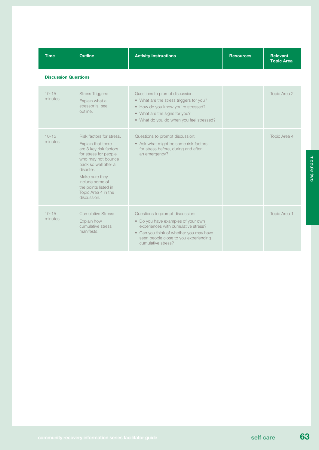| <b>Time</b>                 | <b>Outline</b>                                                                                                                                                                                                                                                  | <b>Activity Instructions</b>                                                                                                                                                                                           | <b>Resources</b> | Relevant<br><b>Topic Area</b> |  |  |
|-----------------------------|-----------------------------------------------------------------------------------------------------------------------------------------------------------------------------------------------------------------------------------------------------------------|------------------------------------------------------------------------------------------------------------------------------------------------------------------------------------------------------------------------|------------------|-------------------------------|--|--|
| <b>Discussion Questions</b> |                                                                                                                                                                                                                                                                 |                                                                                                                                                                                                                        |                  |                               |  |  |
| $10 - 15$<br>minutes        | <b>Stress Triggers:</b><br>Explain what a<br>stressor is, see<br>outline.                                                                                                                                                                                       | Questions to prompt discussion:<br>• What are the stress triggers for you?<br>• How do you know you're stressed?<br>• What are the signs for you?<br>• What do you do when you feel stressed?                          |                  | Topic Area 2                  |  |  |
| $10 - 15$<br>minutes        | Risk factors for stress.<br>Explain that there<br>are 3 key risk factors<br>for stress for people<br>who may not bounce<br>back so well after a<br>disaster.<br>Make sure they<br>include some of<br>the points listed in<br>Topic Area 4 in the<br>discussion. | Questions to prompt discussion:<br>• Ask what might be some risk factors<br>for stress before, during and after<br>an emergency?                                                                                       |                  | Topic Area 4                  |  |  |
| $10 - 15$<br>minutes        | <b>Cumulative Stress:</b><br>Explain how<br>cumulative stress<br>manifests.                                                                                                                                                                                     | Questions to prompt discussion:<br>• Do you have examples of your own<br>experiences with cumulative stress?<br>• Can you think of whether you may have<br>seen people close to you experiencing<br>cumulative stress? |                  | Topic Area 1                  |  |  |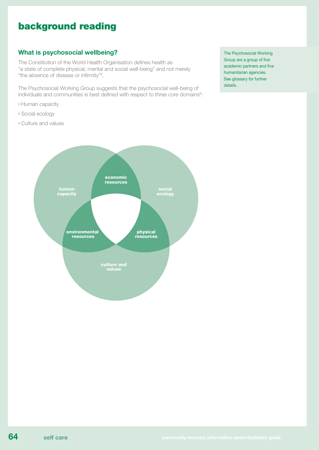# **background reading**

### **What is psychosocial wellbeing?**

The Constitution of the World Health Organisation defines health as "a state of complete physical, mental and social well-being" and not merely "the absence of disease or infirmity"8 .

The Psychosocial Working Group suggests that the psychosocial well-being of individuals and communities is best defined with respect to three core domains $^{\circ}$ :

- ` Human capacity
- ` Social ecology
- ` Culture and values



The Psychosocial Working Group are a group of five academic partners and five humanitarian agencies. See glossary for further details.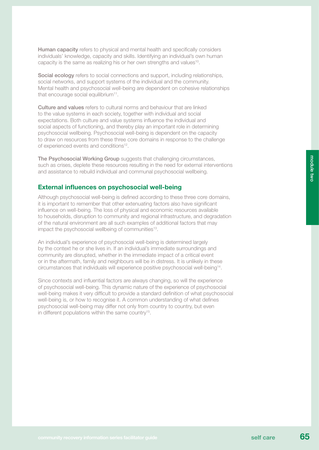Human capacity refers to physical and mental health and specifically considers individuals' knowledge, capacity and skills. Identifying an individual's own human capacity is the same as realizing his or her own strengths and values<sup>10</sup>.

Social ecology refers to social connections and support, including relationships, social networks, and support systems of the individual and the community. Mental health and psychosocial well-being are dependent on cohesive relationships that encourage social equilibrium $11$ .

Culture and values refers to cultural norms and behaviour that are linked to the value systems in each society, together with individual and social expectations. Both culture and value systems influence the individual and social aspects of functioning, and thereby play an important role in determining psychosocial wellbeing. Psychosocial well-being is dependent on the capacity to draw on resources from these three core domains in response to the challenge of experienced events and conditions12.

The Psychosocial Working Group suggests that challenging circumstances, such as crises, deplete these resources resulting in the need for external interventions and assistance to rebuild individual and communal psychosocial wellbeing.

### **External influences on psychosocial well-being**

Although psychosocial well-being is defined according to these three core domains, it is important to remember that other extenuating factors also have significant influence on well-being. The loss of physical and economic resources available to households, disruption to community and regional infrastructure, and degradation of the natural environment are all such examples of additional factors that may impact the psychosocial wellbeing of communities<sup>13</sup>.

An individual's experience of psychosocial well-being is determined largely by the context he or she lives in. If an individual's immediate surroundings and community are disrupted, whether in the immediate impact of a critical event or in the aftermath, family and neighbours will be in distress. It is unlikely in these circumstances that individuals will experience positive psychosocial well-being14.

Since contexts and influential factors are always changing, so will the experience of psychosocial well-being. This dynamic nature of the experience of psychosocial well-being makes it very difficult to provide a standard definition of what psychosocial well-being is, or how to recognise it. A common understanding of what defines psychosocial well-being may differ not only from country to country, but even in different populations within the same country<sup>15</sup>.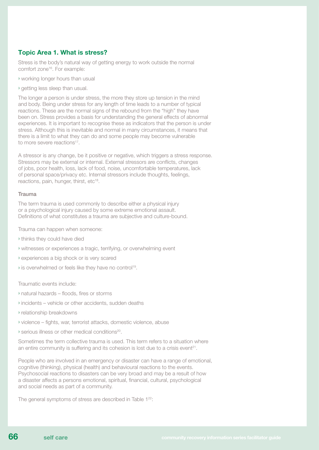### **Topic Area 1. What is stress?**

Stress is the body's natural way of getting energy to work outside the normal comfort zone<sup>16</sup>. For example:

- ` working longer hours than usual
- ` getting less sleep than usual.

The longer a person is under stress, the more they store up tension in the mind and body. Being under stress for any length of time leads to a number of typical reactions. These are the normal signs of the rebound from the "high" they have been on. Stress provides a basis for understanding the general effects of abnormal experiences. It is important to recognise these as indicators that the person is under stress. Although this is inevitable and normal in many circumstances, it means that there is a limit to what they can do and some people may become vulnerable to more severe reactions<sup>17</sup>.

A stressor is any change, be it positive or negative, which triggers a stress response. Stressors may be external or internal. External stressors are conflicts, changes of jobs, poor health, loss, lack of food, noise, uncomfortable temperatures, lack of personal space/privacy etc. Internal stressors include thoughts, feelings, reactions, pain, hunger, thirst, etc<sup>18</sup>.

### Trauma

The term trauma is used commonly to describe either a physical injury or a psychological injury caused by some extreme emotional assault. Definitions of what constitutes a trauma are subjective and culture-bound.

Trauma can happen when someone:

- $\triangleright$  thinks they could have died
- ` witnesses or experiences a tragic, terrifying, or overwhelming event
- ` experiences a big shock or is very scared
- $\blacktriangleright$  is overwhelmed or feels like they have no control<sup>19</sup>.

Traumatic events include:

- ` natural hazards floods, fires or storms
- $\triangleright$  incidents vehicle or other accidents, sudden deaths
- ` relationship breakdowns
- ` violence fights, war, terrorist attacks, domestic violence, abuse
- **Exerious illness or other medical conditions**<sup>20</sup>

Sometimes the term collective trauma is used. This term refers to a situation where an entire community is suffering and its cohesion is lost due to a crisis event<sup>21</sup>.

People who are involved in an emergency or disaster can have a range of emotional, cognitive (thinking), physical (health) and behavioural reactions to the events. Psychosocial reactions to disasters can be very broad and may be a result of how a disaster affects a persons emotional, spiritual, financial, cultural, psychological and social needs as part of a community.

The general symptoms of stress are described in Table 1<sup>22</sup>: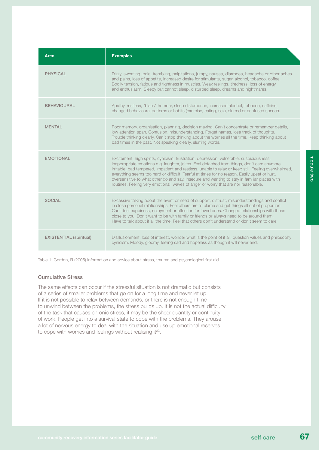| <b>Area</b>                    | <b>Examples</b>                                                                                                                                                                                                                                                                                                                                                                                                                                                                                                                                                                        |
|--------------------------------|----------------------------------------------------------------------------------------------------------------------------------------------------------------------------------------------------------------------------------------------------------------------------------------------------------------------------------------------------------------------------------------------------------------------------------------------------------------------------------------------------------------------------------------------------------------------------------------|
| <b>PHYSICAL</b>                | Dizzy, sweating, pale, trembling, palpitations, jumpy, nausea, diarrhoea, headache or other aches<br>and pains, loss of appetite, increased desire for stimulants, sugar, alcohol, tobacco, coffee.<br>Bodily tension, fatigue and tightness in muscles. Weak feelings, tiredness, loss of energy<br>and enthusiasm. Sleepy but cannot sleep, disturbed sleep, dreams and nightmares.                                                                                                                                                                                                  |
| <b>BEHAVIOURAL</b>             | Apathy, restless, "black" humour, sleep disturbance, increased alcohol, tobacco, caffeine,<br>changed behavioural patterns or habits (exercise, eating, sex), slurred or confused speech.                                                                                                                                                                                                                                                                                                                                                                                              |
| <b>MENTAL</b>                  | Poor memory, organisation, planning, decision making. Can't concentrate or remember details,<br>low attention span. Confusion, misunderstanding. Forget names, lose track of thoughts.<br>Trouble thinking clearly. Can't stop thinking about the worries all the time. Keep thinking about<br>bad times in the past. Not speaking clearly, slurring words.                                                                                                                                                                                                                            |
| <b>EMOTIONAL</b>               | Excitement, high spirits, cynicism, frustration, depression, vulnerable, suspiciousness.<br>Inappropriate emotions e.g. laughter, jokes. Feel detached from things, don't care anymore.<br>Irritable, bad tempered, impatient and restless, unable to relax or keep still. Feeling overwhelmed,<br>everything seems too hard or difficult. Tearful at times for no reason. Easily upset or hurt,<br>oversensitive to what other do and say. Insecure and wanting to stay in familiar places with<br>routines. Feeling very emotional, waves of anger or worry that are nor reasonable. |
| <b>SOCIAL</b>                  | Excessive talking about the event or need of support, distrust, misunderstandings and conflict<br>in close personal relationships. Feel others are to blame and get things all out of proportion.<br>Can't feel happiness, enjoyment or affection for loved ones. Changed relationships with those<br>close to you. Don't want to be with family or friends or always need to be around them.<br>Have to talk about it all the time. Feel that others don't understand or don't seem to care.                                                                                          |
| <b>EXISTENTIAL (spiritual)</b> | Disillusionment, loss of interest, wonder what is the point of it all, question values and philosophy<br>cynicism. Moody, gloomy, feeling sad and hopeless as though it will never end.                                                                                                                                                                                                                                                                                                                                                                                                |

Table 1: Gordon, R (2005) Information and advice about stress, trauma and psychological first aid.

### Cumulative Stress

The same effects can occur if the stressful situation is not dramatic but consists of a series of smaller problems that go on for a long time and never let up. If it is not possible to relax between demands, or there is not enough time to unwind between the problems, the stress builds up. It is not the actual difficulty of the task that causes chronic stress; it may be the sheer quantity or continuity of work. People get into a survival state to cope with the problems. They arouse a lot of nervous energy to deal with the situation and use up emotional reserves to cope with worries and feelings without realising it<sup>23</sup>.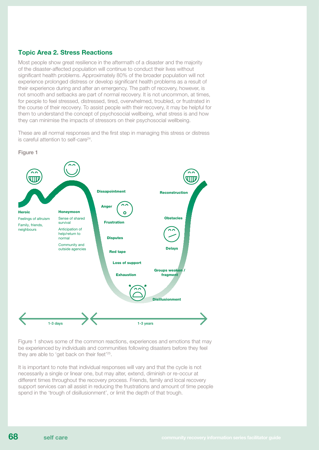### **Topic Area 2. Stress Reactions**

Most people show great resilience in the aftermath of a disaster and the majority of the disaster-affected population will continue to conduct their lives without significant health problems. Approximately 80% of the broader population will not experience prolonged distress or develop significant health problems as a result of their experience during and after an emergency. The path of recovery, however, is not smooth and setbacks are part of normal recovery. It is not uncommon, at times, for people to feel stressed, distressed, tired, overwhelmed, troubled, or frustrated in the course of their recovery. To assist people with their recovery, it may be helpful for them to understand the concept of psychosocial wellbeing, what stress is and how they can minimise the impacts of stressors on their psychosocial wellbeing.

These are all normal responses and the first step in managing this stress or distress is careful attention to self-care<sup>24</sup>.



Figure 1

Figure 1 shows some of the common reactions, experiences and emotions that may be experienced by individuals and communities following disasters before they feel they are able to 'get back on their feet'25.

It is important to note that individual responses will vary and that the cycle is not necessarily a single or linear one, but may alter, extend, diminish or re-occur at different times throughout the recovery process. Friends, family and local recovery support services can all assist in reducing the frustrations and amount of time people spend in the 'trough of disillusionment', or limit the depth of that trough.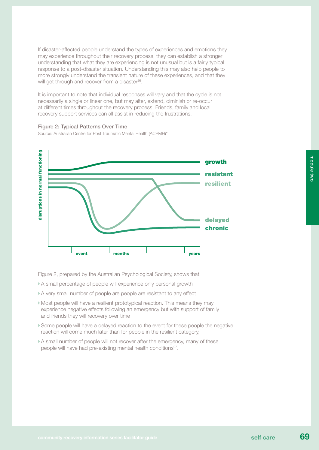If disaster-affected people understand the types of experiences and emotions they may experience throughout their recovery process, they can establish a stronger understanding that what they are experiencing is not unusual but is a fairly typical response to a post-disaster situation. Understanding this may also help people to more strongly understand the transient nature of these experiences, and that they will get through and recover from a disaster<sup>26</sup>.

It is important to note that individual responses will vary and that the cycle is not necessarily a single or linear one, but may alter, extend, diminish or re-occur at different times throughout the recovery process. Friends, family and local recovery support services can all assist in reducing the frustrations.

### Figure 2: Typical Patterns Over Time

Source: Australian Centre for Post Traumatic Mental Health (ACPMH)\*



Figure 2, prepared by the Australian Psychological Society, shows that:

- ` A small percentage of people will experience only personal growth
- ` A very small number of people are people are resistant to any effect
- ` Most people will have a resilient prototypical reaction. This means they may experience negative effects following an emergency but with support of family and friends they will recovery over time
- ` Some people will have a delayed reaction to the event for these people the negative reaction will come much later than for people in the resilient category,
- A small number of people will not recover after the emergency, many of these people will have had pre-existing mental health conditions<sup>27</sup>.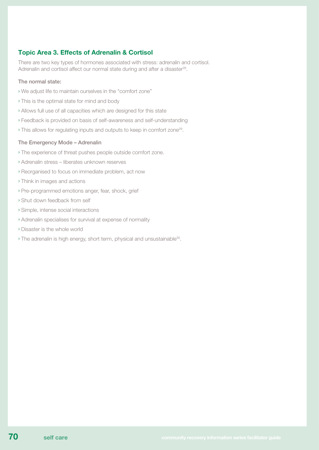# **Topic Area 3. Effects of Adrenalin & Cortisol**

There are two key types of hormones associated with stress: adrenalin and cortisol. Adrenalin and cortisol affect our normal state during and after a disaster<sup>28</sup>.

### The normal state:

- ` We adjust life to maintain ourselves in the "comfort zone"
- ` This is the optimal state for mind and body
- ` Allows full use of all capacities which are designed for this state
- ` Feedback is provided on basis of self-awareness and self-understanding
- ` This allows for regulating inputs and outputs to keep in comfort zone29.

### The Emergency Mode – Adrenalin

- ` The experience of threat pushes people outside comfort zone.
- ` Adrenalin stress liberates unknown reserves
- ` Reorganised to focus on immediate problem, act now
- ` Think in images and actions
- ` Pre-programmed emotions anger, fear, shock, grief
- ` Shut down feedback from self
- ` Simple, intense social interactions
- ` Adrenalin specialises for survival at expense of normality
- ` Disaster is the whole world
- ▶ The adrenalin is high energy, short term, physical and unsustainable<sup>30</sup>.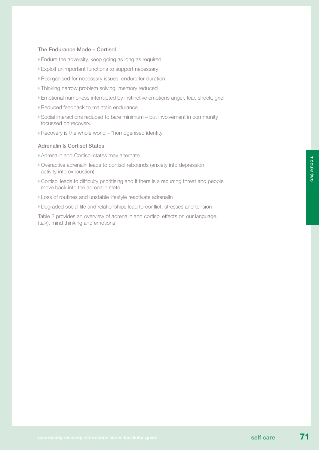### The Endurance Mode – Cortisol

- ` Endure the adversity, keep going as long as required
- ` Exploit unimportant functions to support necessary
- ` Reorganised for necessary issues, endure for duration
- ` Thinking narrow problem solving, memory reduced
- ` Emotional numbness interrupted by instinctive emotions anger, fear, shock, grief
- ` Reduced feedback to maintain endurance
- ` Social interactions reduced to bare minimum but involvement in community focussed on recovery
- ` Recovery is the whole world "homogenised identity"

### Adrenalin & Cortisol States

- ` Adrenalin and Cortisol states may alternate
- ` Overactive adrenalin leads to cortisol rebounds (anxiety into depression; activity into exhaustion)
- ` Cortisol leads to difficulty prioritising and if there is a recurring threat and people move back into the adrenalin state
- ` Loss of routines and unstable lifestyle reactivate adrenalin
- ` Degraded social life and relationships lead to conflict, stresses and tension

Table 2 provides an overview of adrenalin and cortisol effects on our language, (talk), mind thinking and emotions.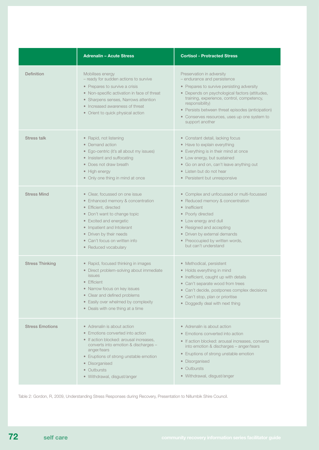|                        | <b>Adrenalin - Acute Stress</b>                                                                                                                                                                                                                                             | <b>Cortisol - Protracted Stress</b>                                                                                                                                                                                                                                                                                                               |
|------------------------|-----------------------------------------------------------------------------------------------------------------------------------------------------------------------------------------------------------------------------------------------------------------------------|---------------------------------------------------------------------------------------------------------------------------------------------------------------------------------------------------------------------------------------------------------------------------------------------------------------------------------------------------|
| <b>Definition</b>      | Mobilises energy<br>- ready for sudden actions to survive<br>• Prepares to survive a crisis<br>• Non-specific activation in face of threat<br>• Sharpens senses, Narrows attention<br>• Increased awareness of threat<br>• Orient to quick physical action                  | Preservation in adversity<br>- endurance and persistence<br>• Prepares to survive persisting adversity<br>• Depends on psychological factors (attitudes,<br>training, experience, control, competency,<br>responsibility)<br>• Persists between threat episodes (anticipation)<br>• Conserves resources, uses up one system to<br>support another |
| <b>Stress talk</b>     | • Rapid, not listening<br>• Demand action<br>• Ego-centric (it's all about my issues)<br>• Insistent and suffocating<br>• Does not draw breath<br>$\bullet$ High energy<br>• Only one thing in mind at once                                                                 | • Constant detail, lacking focus<br>• Have to explain everything<br>• Everything is in their mind at once<br>• Low energy, but sustained<br>• Go on and on, can't leave anything out<br>• Listen but do not hear<br>• Persistent but unresponsive                                                                                                 |
| <b>Stress Mind</b>     | • Clear, focussed on one issue<br>• Enhanced memory & concentration<br>• Efficient, directed<br>• Don't want to change topic<br>• Excited and energetic<br>• Impatient and Intolerant<br>• Driven by their needs<br>• Can't focus on written info<br>• Reduced vocabulary   | • Complex and unfocussed or multi-focussed<br>• Reduced memory & concentration<br>· Inefficient<br>• Poorly directed<br>• Low energy and dull<br>• Resigned and accepting<br>• Driven by external demands<br>• Preoccupied by written words,<br>but can't understand                                                                              |
| <b>Stress Thinking</b> | • Rapid, focused thinking in images<br>• Direct problem-solving about immediate<br><i>issues</i><br>• Efficient<br>• Narrow focus on key issues<br>• Clear and defined problems<br>• Easily over whelmed by complexity<br>• Deals with one thing at a time                  | • Methodical, persistent<br>• Holds everything in mind<br>• Inefficient, caught up with details<br>• Can't separate wood from trees<br>• Can't decide, postpones complex decisions<br>• Can't stop, plan or prioritise<br>• Doggedly deal with next thing                                                                                         |
| <b>Stress Emotions</b> | • Adrenalin is about action<br>• Emotions converted into action<br>• If action blocked: arousal increases,<br>converts into emotion & discharges -<br>anger/tears<br>• Eruptions of strong unstable emotion<br>• Disorganised<br>• Outbursts<br>• Withdrawal, disgust/anger | • Adrenalin is about action<br>• Emotions converted into action<br>• If action blocked: arousal increases, converts<br>into emotion & discharges - anger/tears<br>• Eruptions of strong unstable emotion<br>• Disorganised<br>• Outbursts<br>• Withdrawal, disgust/anger                                                                          |

Table 2: Gordon, R, 2009, Understanding Stress Responses during Recovery, Presentation to Nillumbik Shire Council.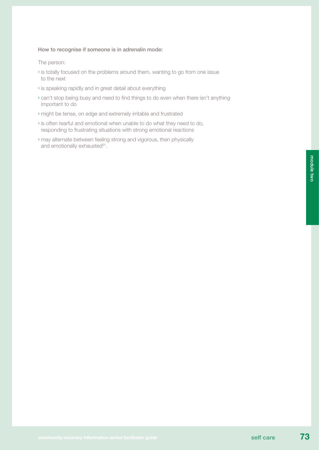### How to recognise if someone is in adrenalin mode:

The person:

- $\triangleright$  is totally focused on the problems around them, wanting to go from one issue to the next
- ` is speaking rapidly and in great detail about everything
- ` can't stop being busy and need to find things to do even when there isn't anything important to do
- ` might be tense, on edge and extremely irritable and frustrated
- $\blacktriangleright$  is often tearful and emotional when unable to do what they need to do, responding to frustrating situations with strong emotional reactions
- ` may alternate between feeling strong and vigorous, then physically and emotionally exhausted<sup>31</sup>.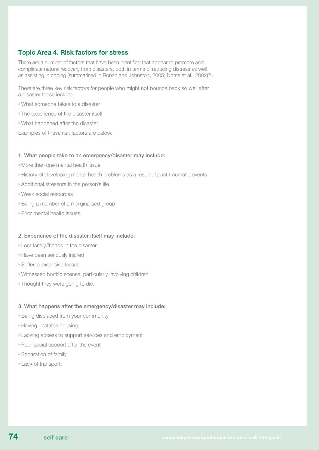# **Topic Area 4. Risk factors for stress**

There are a number of factors that have been identified that appear to promote and complicate natural recovery from disasters, both in terms of reducing distress as well as assisting in coping (summarised in Ronan and Johnston, 2005; Norris et al., 2002)<sup>32</sup>.

There are three key risk factors for people who might not bounce back so well after a disaster these include:

- ` What someone takes to a disaster
- $\blacktriangleright$  The experience of the disaster itself
- ` What happened after the disaster

Examples of these risk factors are below.

### 1. What people take to an emergency/disaster may include:

- ` More than one mental health issue
- ` History of developing mental health problems as a result of past traumatic events
- ` Additional stressors in the person's life
- ` Weak social resources
- ` Being a member of a marginalised group
- ` Prior mental health issues.

### 2. Experience of the disaster itself may include:

- ` Lost family/friends in the disaster
- ` Have been seriously injured
- ` Suffered extensive losses
- ` Witnessed horrific scenes, particularly involving children
- If Thought they were going to die.

### 3. What happens after the emergency/disaster may include:

- ` Being displaced from your community
- ` Having unstable housing
- ` Lacking access to support services and employment
- ` Poor social support after the event
- ` Separation of family
- **Lack of transport.**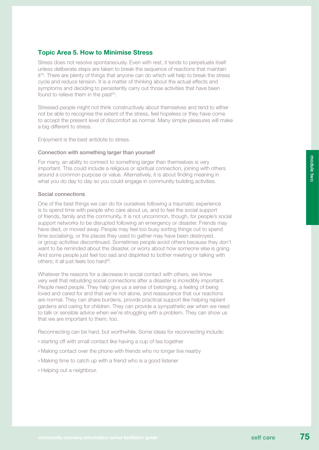### **Topic Area 5. How to Minimise Stress**

Stress does not resolve spontaneously. Even with rest, it tends to perpetuate itself unless deliberate steps are taken to break the sequence of reactions that maintain it<sup>33</sup>. There are plenty of things that anyone can do which will help to break the stress cycle and reduce tension. It is a matter of thinking about the actual effects and symptoms and deciding to persistently carry out those activities that have been found to relieve them in the past<sup>34</sup>.

Stressed people might not think constructively about themselves and tend to either not be able to recognise the extent of the stress, feel hopeless or they have come to accept the present level of discomfort as normal. Many simple pleasures will make a big different to stress.

Enjoyment is the best antidote to stress.

#### Connection with something larger than yourself

For many, an ability to connect to something larger than themselves is very important. This could include a religious or spiritual connection, joining with others around a common purpose or value. Alternatively, it is about finding meaning in what you do day to day so you could engage in community building activities.

### Social connections

One of the best things we can do for ourselves following a traumatic experience is to spend time with people who care about us, and to feel the social support of friends, family and the community. It is not uncommon, though, for people's social support networks to be disrupted following an emergency or disaster. Friends may have died, or moved away. People may feel too busy sorting things out to spend time socialising, or the places they used to gather may have been destroyed, or group activities discontinued. Sometimes people avoid others because they don't want to be reminded about the disaster, or worry about how someone else is going. And some people just feel too sad and dispirited to bother meeting or talking with others; it all just feels too hard<sup>35</sup>.

Whatever the reasons for a decrease in social contact with others, we know very well that rebuilding social connections after a disaster is incredibly important. People need people. They help give us a sense of belonging, a feeling of being loved and cared for and that we're not alone, and reassurance that our reactions are normal. They can share burdens, provide practical support like helping replant gardens and caring for children. They can provide a sympathetic ear when we need to talk or sensible advice when we're struggling with a problem. They can show us that we are important to them, too.

Reconnecting can be hard, but worthwhile. Some ideas for reconnecting include:

- ` starting off with small contact like having a cup of tea together
- ` Making contact over the phone with friends who no longer live nearby
- ` Making time to catch up with a friend who is a good listener
- ` Helping out a neighbour.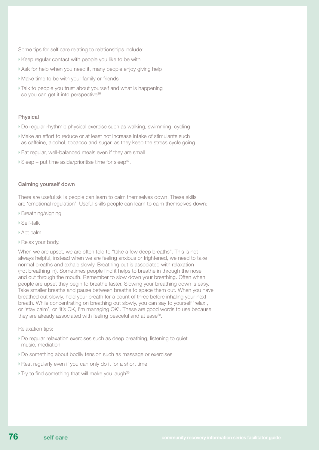Some tips for self care relating to relationships include:

- ` Keep regular contact with people you like to be with
- ` Ask for help when you need it, many people enjoy giving help
- ` Make time to be with your family or friends
- ` Talk to people you trust about yourself and what is happening so you can get it into perspective<sup>36</sup>.

#### Physical

- ` Do regular rhythmic physical exercise such as walking, swimming, cycling
- ` Make an effort to reduce or at least not increase intake of stimulants such as caffeine, alcohol, tobacco and sugar, as they keep the stress cycle going
- ` Eat regular, well-balanced meals even if they are small
- $\blacktriangleright$  Sleep put time aside/prioritise time for sleep<sup>37</sup>.

### Calming yourself down

There are useful skills people can learn to calm themselves down. These skills are 'emotional regulation'. Useful skills people can learn to calm themselves down:

- ` Breathing/sighing
- ` Self-talk
- ▶ Act calm
- ` Relax your body.

When we are upset, we are often told to "take a few deep breaths". This is not always helpful, instead when we are feeling anxious or frightened, we need to take normal breaths and exhale slowly. Breathing out is associated with relaxation (not breathing in). Sometimes people find it helps to breathe in through the nose and out through the mouth. Remember to slow down your breathing. Often when people are upset they begin to breathe faster. Slowing your breathing down is easy. Take smaller breaths and pause between breaths to space them out. When you have breathed out slowly, hold your breath for a count of three before inhaling your next breath. While concentrating on breathing out slowly, you can say to yourself 'relax', or 'stay calm', or 'it's OK, I'm managing OK'. These are good words to use because they are already associated with feeling peaceful and at ease<sup>38</sup>.

### Relaxation tips:

- ` Do regular relaxation exercises such as deep breathing, listening to quiet music, mediation
- ` Do something about bodily tension such as massage or exercises
- ` Rest regularly even if you can only do it for a short time
- $\triangleright$  Try to find something that will make you laugh<sup>39</sup>.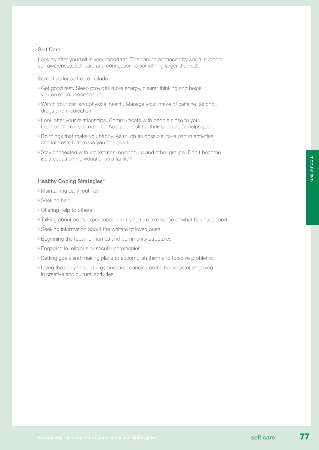### Self Care

Looking after yourself is very important. This can be enhanced by social support, self awareness, self-care and connection to something larger than self.

Some tips for self-care include:

- ` Get good rest. Sleep provides more energy, clearer thinking and helps you be more understanding
- ` Watch your diet and physical health. Manage your intake of caffeine, alcohol, drugs and medication
- ` Look after your relationships. Communicate with people close to you. Lean on them if you need to. Accept or ask for their support if it helps you
- ` Do things that make you happy. As much as possible, take part in activities and interests that make you feel good
- ` Stay connected with workmates, neighbours and other groups. Don't become isolated, as an individual or as a family $40$ .

### Healthy Coping Strategies<sup>41</sup>

- ` Maintaining daily routines
- ` Seeking help
- $\triangleright$  Offering help to others
- ` Talking about one's experiences and trying to make sense of what has happened
- ` Seeking information about the welfare of loved ones
- ` Beginning the repair of homes and community structures
- ` Engaging in religious or secular ceremonies
- ` Setting goals and making plans to accomplish them and to solve problems
- ` Using the body in sports, gymnastics, dancing and other ways of engaging in creative and cultural activities.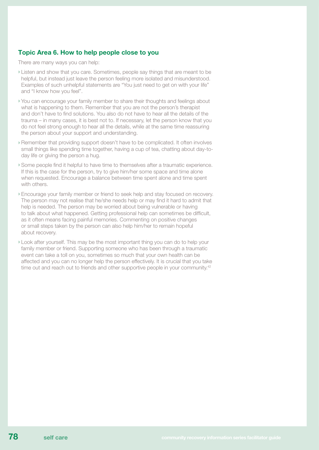# **Topic Area 6. How to help people close to you**

There are many ways you can help:

- ` Listen and show that you care. Sometimes, people say things that are meant to be helpful, but instead just leave the person feeling more isolated and misunderstood. Examples of such unhelpful statements are "You just need to get on with your life" and "I know how you feel".
- ` You can encourage your family member to share their thoughts and feelings about what is happening to them. Remember that you are not the person's therapist and don't have to find solutions. You also do not have to hear all the details of the trauma – in many cases, it is best not to. If necessary, let the person know that you do not feel strong enough to hear all the details, while at the same time reassuring the person about your support and understanding.
- ` Remember that providing support doesn't have to be complicated. It often involves small things like spending time together, having a cup of tea, chatting about day-today life or giving the person a hug.
- ` Some people find it helpful to have time to themselves after a traumatic experience. If this is the case for the person, try to give him/her some space and time alone when requested. Encourage a balance between time spent alone and time spent with others.
- ` Encourage your family member or friend to seek help and stay focused on recovery. The person may not realise that he/she needs help or may find it hard to admit that help is needed. The person may be worried about being vulnerable or having to talk about what happened. Getting professional help can sometimes be difficult, as it often means facing painful memories. Commenting on positive changes or small steps taken by the person can also help him/her to remain hopeful about recovery.
- ` Look after yourself. This may be the most important thing you can do to help your family member or friend. Supporting someone who has been through a traumatic event can take a toll on you, sometimes so much that your own health can be affected and you can no longer help the person effectively. It is crucial that you take time out and reach out to friends and other supportive people in your community.<sup>42</sup>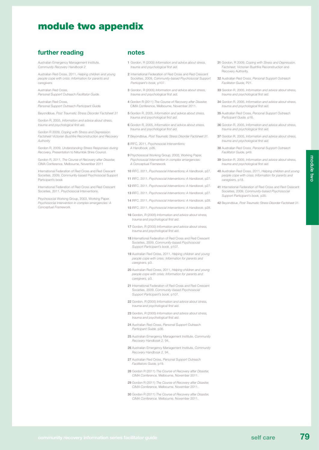# **module two appendix**

### further reading **notes**

Australian Emergency Management Institute, Community Recovery Handbook 2

Australian Red Cross, 2011, Helping children and young people cope with crisis: Information for parents and caregivers.

Australian Red Cross, Personal Support Outreach Facilitator Guide.

Australian Red Cross, Personal Support Outreach Participant Guide.

Beyondblue, Post Traumatic Stress Disorder Factsheet 31

Gordon R, 2005, Information and advice about stress, trauma and psychological first aid.

Gordon R 2009, Coping with Stress and Depression. Factsheet Victorian Bushfire Reconstruction and Recovery **Authority** 

Gordon R, 2009, Understanding Stress Responses during Recovery, Presentation to Nillumbik Shire Council.

Gordon R, 2011, The Course of Recovery after Disaster, CIMA Conference, Melbourne, November 2011

International Federation of Red Cross and Red Crescent Societies, 2009, Community-based Psychosocial Support Participant's book

International Federation of Red Cross and Red Crescent Societies, 2011, Psychosocial Interventions.

Psychosocial Working Group, 2003, Working Paper. Psychosocial Intervention in complex emergencies: A Conceptual Framework.

- 
- 1 Gordon, R (2005) Information and advice about stress. trauma and psychological first aid.
- 2 International Federation of Red Cross and Red Crescent Societies, 2009, Community-based Psychosocial Support Participant's book, p107.
- 3 Gordon, R (2005) Information and advice about stress, trauma and psychological first aid.
- 4 Gordon R (2011) The Course of Recovery after Disaster, CIMA Conference, Melbourne, November 2011.
- 5 Gordon R, 2005, Information and advice about stress, trauma and psychological first aid.
- 6 Gordon R, 2005, Information and advice about stress, trauma and psychological first aid.
- 7 Beyondblue, Post Traumatic Stress Disorder Factsheet 31.
- 8 IRFC, 2011, Psychosocial Interventions: A Handbook, p26.
- 9 Psychosocial Working Group, 2003, Working Paper. Psychosocial Intervention in complex emergencies: A Conceptual Framework.
- 10 IRFC, 2011, Psychosocial Interventions: A Handbook, p27.
- 11 IRFC, 2011, Psychosocial Interventions: A Handbook, p27.
- 12 IRFC, 2011, Psychosocial Interventions: A Handbook, p27.
- 13 IRFC, 2011, Psychosocial Interventions: A Handbook, p27.
- 14 IRFC, 2011, Psychosocial Interventions: A Handbook, p28.
- 15 IRFC, 2011, Psychosocial Interventions: A Handbook, p28.
- 16 Gordon, B (2005) Information and advice about stress trauma and psychological first aid.
- 17 Gordon, R (2005) Information and advice about stress, trauma and psychological first aid.
- 18 International Federation of Red Cross and Red Crescent Societies, 2009, Community-based Psychosocial Support Participant's book, p107.
- 19 Australian Red Cross, 2011, Helping children and young people cope with crisis: Information for parents and caregivers, p3.
- 20 Australian Red Cross, 2011, Helping children and young people cope with crisis: Information for parents and caregivers, p3.
- 21 International Federation of Red Cross and Red Crescent Societies, 2009, Community-based Psychosocial Support Participant's book, p107.
- 22 Gordon, R (2005) Information and advice about stress, auma and psychological first aid.
- 23 Gordon, R (2005) Information and advice about stress, trauma and psychological first aid.
- 24 Australian Red Cross, Personal Support Outreach Participant Guide, p36.
- 25 Australian Emergency Management Institute, Community Recovery Handbook 2, 94.
- 26 Australian Emergency Management Institute, Community Recovery Handbook 2, 94.
- 27 Australian Red Cross, Personal Support Outreach Facilitators Guide, p19.
- 28 Gordon R (2011) The Course of Recovery after Disaster CIMA Conference, Melbourne, November 2011.
- 29 Gordon R (2011) The Course of Recovery after Disaster, CIMA Conference, Melbourne, November 2011.
- 30 Gordon R (2011) The Course of Recovery after Disaster, CIMA Conference, Melbourne, November 2011.
- 31 Gordon, R 2009, Coping with Stress and Depression. Factsheet, Victorian Bushfire Reconstruction and Recovery Authority.
- 32 Australian Red Cross, Personal Support Outreach Facilitator Guide, P21.
- 33 Gordon R, 2005, Information and advice about stress, trauma and psychological first aid.
- 34 Gordon R, 2005, Information and advice about stress, trauma and psychological first aid.
- 35 Australian Red Cross, Personal Support Outreach Participant Guide, p16.
- 36 Gordon R, 2005, Information and advice about stress, trauma and psychological first aid.
- 37 Gordon R, 2005, Information and advice about stress, trauma and psychological first aid.
- 38 Australian Red Cross, Personal Support Outreach Facilitator Guide, p49.
- 39 Gordon B, 2005, Information and advice about stress trauma and psychological first aid.
- 40 Australian Red Cross, 2011, Helping children and young people cope with crisis: Information for parents and caregivers, p18.
- 41 International Federation of Red Cross and Red Crescent Societies, 2009, Community-based Psychosocial Support Participant's book, p35.
- 42 Beyondblue, Post Traumatic Stress Disorder Factsheet 31.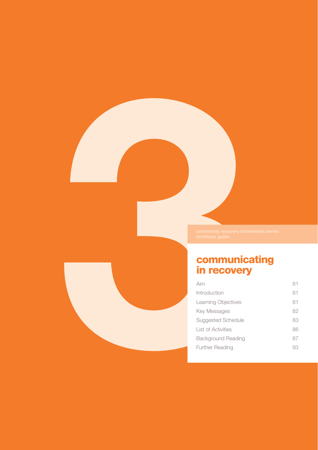# communicating<br>in recovery

| community recovery information series<br>facilitator guide                                                                                                                                    |                                              |
|-----------------------------------------------------------------------------------------------------------------------------------------------------------------------------------------------|----------------------------------------------|
| communicating<br>in recovery<br>Aim<br>Introduction<br>Learning Objectives<br>Key Messages<br>Suggested Schedule<br><b>List of Activities</b><br><b>Background Reading</b><br>Further Reading | 81<br>81<br>81<br>82<br>83<br>86<br>87<br>93 |
|                                                                                                                                                                                               |                                              |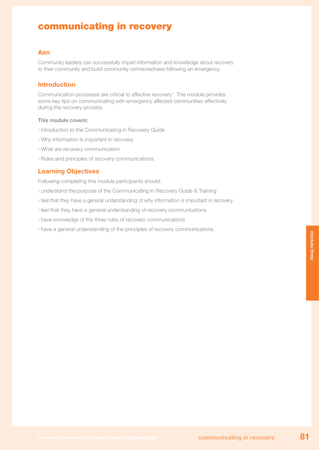# **communicating in recovery**

### **Aim**

Community leaders can successfully impart information and knowledge about recovery to their community and build community connectedness following an emergency.

### **Introduction**

Communication processes are critical to effective recovery<sup>1</sup>. This module provides some key tips on communicating with emergency affected communities effectively during the recovery process.

### This module covers:

- ` Introduction to the Communicating in Recovery Guide
- ` Why information is important in recovery
- ` What are recovery communication
- ` Rules and principles of recovery communications.

### **Learning Objectives**

Following completing this module participants should:

- ` understand the purpose of the Communicating in Recovery Guide & Training
- ` feel that they have a general understanding of why information is important in recovery
- ` feel that they have a general understanding of recovery communications
- ` have knowledge of the three rules of recovery communications
- ` have a general understanding of the principles of recovery communications.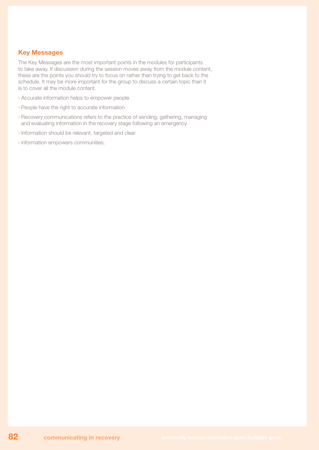# **Key Messages**

The Key Messages are the most important points in the modules for participants to take away. If discussion during the session moves away from the module content, these are the points you should try to focus on rather than trying to get back to the schedule. It may be more important for the group to discuss a certain topic than it is to cover all the module content.

- ` Accurate information helps to empower people
- ` People have the right to accurate information
- ` Recovery communications refers to the practice of sending, gathering, managing and evaluating information in the recovery stage following an emergency
- ` Information should be relevant, targeted and clear
- **Information empowers communities.**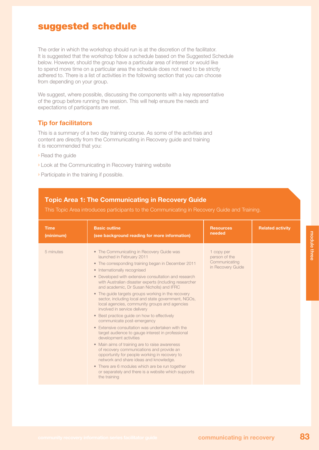# **suggested schedule**

The order in which the workshop should run is at the discretion of the facilitator. It is suggested that the workshop follow a schedule based on the Suggested Schedule below. However, should the group have a particular area of interest or would like to spend more time on a particular area the schedule does not need to be strictly adhered to. There is a list of activities in the following section that you can choose from depending on your group.

We suggest, where possible, discussing the components with a key representative of the group before running the session. This will help ensure the needs and expectations of participants are met.

### **Tip for facilitators**

This is a summary of a two day training course. As some of the activities and content are directly from the Communicating in Recovery guide and training it is recommended that you:

- ` Read the guide
- **Look at the Communicating in Recovery training website**
- ` Participate in the training if possible.

# **Topic Area 1: The Communicating in Recovery Guide**

This Topic Area introduces participants to the Communicating in Recovery Guide and Training.

| <b>Time</b> | <b>Basic outline</b>                                                                                                                                                                                                                                                                                                                                                                                                                                                                                                                                                                                                                                                                                                                                                                                                                                                                                                                                                                                                                                           | <b>Resources</b>                                                  | <b>Related activity</b> |
|-------------|----------------------------------------------------------------------------------------------------------------------------------------------------------------------------------------------------------------------------------------------------------------------------------------------------------------------------------------------------------------------------------------------------------------------------------------------------------------------------------------------------------------------------------------------------------------------------------------------------------------------------------------------------------------------------------------------------------------------------------------------------------------------------------------------------------------------------------------------------------------------------------------------------------------------------------------------------------------------------------------------------------------------------------------------------------------|-------------------------------------------------------------------|-------------------------|
| (minimum)   | (see background reading for more information)                                                                                                                                                                                                                                                                                                                                                                                                                                                                                                                                                                                                                                                                                                                                                                                                                                                                                                                                                                                                                  | needed                                                            |                         |
| 5 minutes   | • The Communicating in Recovery Guide was<br>launched in February 2011<br>• The corresponding training began in December 2011<br>• Internationally recognised<br>• Developed with extensive consultation and research<br>with Australian disaster experts (including researcher<br>and academic, Dr Susan Nicholls) and IFRC<br>• The quide targets groups working in the recovery<br>sector, including local and state government, NGOs,<br>local agencies, community groups and agencies<br>involved in service delivery<br>• Best practice guide on how to effectively<br>communicate post-emergency<br>• Extensive consultation was undertaken with the<br>target audience to gauge interest in professional<br>development activities<br>• Main aims of training are to raise awareness<br>of recovery communications and provide an<br>opportunity for people working in recovery to<br>network and share ideas and knowledge.<br>• There are 6 modules which are be run together<br>or separately and there is a website which supports<br>the training | 1 copy per<br>person of the<br>Communicating<br>in Recovery Guide |                         |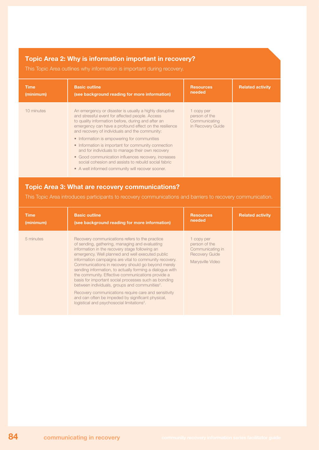# **Topic Area 2: Why is information important in recovery?**

This Topic Area outlines why information is important during recovery.

| <b>Time</b><br>(minimum) | <b>Basic outline</b><br>(see background reading for more information)                                                                                                                                                                                                                                                     | <b>Resources</b><br>needed                                        | <b>Related activity</b> |
|--------------------------|---------------------------------------------------------------------------------------------------------------------------------------------------------------------------------------------------------------------------------------------------------------------------------------------------------------------------|-------------------------------------------------------------------|-------------------------|
| 10 minutes               | An emergency or disaster is usually a highly disruptive<br>and stressful event for affected people. Access<br>to quality information before, during and after an<br>emergency can have a profound effect on the resilience<br>and recovery of individuals and the community:                                              | 1 copy per<br>person of the<br>Communicating<br>in Recovery Guide |                         |
|                          | • Information is empowering for communities<br>• Information is important for community connection<br>and for individuals to manage their own recovery<br>• Good communication influences recovery, increases<br>social cohesion and assists to rebuild social fabric<br>• A well informed community will recover sooner. |                                                                   |                         |

# **Topic Area 3: What are recovery communications?**

This Topic Area introduces participants to recovery communications and barriers to recovery communication.

| <b>Time</b> | <b>Basic outline</b>                                                                                                                                                                                                                                                                                                                                                                                                                                                                                                                                                                                                                                                                                                                 | <b>Resources</b>                                                                             | <b>Related activity</b> |
|-------------|--------------------------------------------------------------------------------------------------------------------------------------------------------------------------------------------------------------------------------------------------------------------------------------------------------------------------------------------------------------------------------------------------------------------------------------------------------------------------------------------------------------------------------------------------------------------------------------------------------------------------------------------------------------------------------------------------------------------------------------|----------------------------------------------------------------------------------------------|-------------------------|
| (minimum)   | (see background reading for more information)                                                                                                                                                                                                                                                                                                                                                                                                                                                                                                                                                                                                                                                                                        | needed                                                                                       |                         |
| 5 minutes   | Recovery communications refers to the practice<br>of sending, gathering, managing and evaluating<br>information in the recovery stage following an<br>emergency. Well planned and well executed public<br>information campaigns are vital to community recovery.<br>Communications in recovery should go beyond merely<br>sending information, to actually forming a dialogue with<br>the community. Effective communications provide a<br>basis for important social processes such as bonding<br>between individuals, groups and communities <sup>2</sup> .<br>Recovery communications require care and sensitivity<br>and can often be impeded by significant physical,<br>logistical and psychosocial limitations <sup>3</sup> . | 1 copy per<br>person of the<br>Communicating in<br><b>Recovery Guide</b><br>Marysville Video |                         |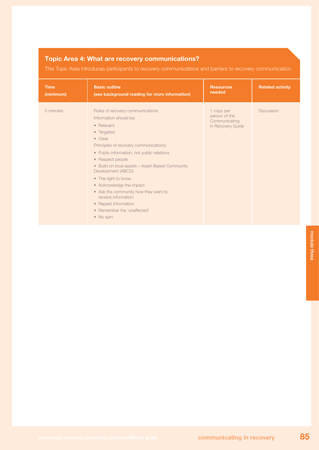# **Topic Area 4: What are recovery communications?**

This Topic Area introduces participants to recovery communications and barriers to recovery communication.

| <b>Time</b> | <b>Basic outline</b>                                                                                                                                                                                                                                                                                                                                                                                                                                                           | <b>Resources</b>                                                  | <b>Related activity</b> |
|-------------|--------------------------------------------------------------------------------------------------------------------------------------------------------------------------------------------------------------------------------------------------------------------------------------------------------------------------------------------------------------------------------------------------------------------------------------------------------------------------------|-------------------------------------------------------------------|-------------------------|
| (minimum)   | (see background reading for more information)                                                                                                                                                                                                                                                                                                                                                                                                                                  | needed                                                            |                         |
| 5 minutes   | Rules of recovery communications<br>Information should be:<br>• Relevant<br>• Targeted<br>• Clear.<br>Principles of recovery communications:<br>• Public information, not public relations<br>• Respect people<br>• Build on local assets - Asset-Based Community<br>Development (ABCD)<br>• The right to know<br>• Acknowledge the impact<br>• Ask the community how they want to<br>receive information<br>• Repeat Information<br>• Remember the 'unaffected'<br>• No spin. | 1 copy per<br>person of the<br>Communicating<br>in Recovery Guide | <b>Discussion</b>       |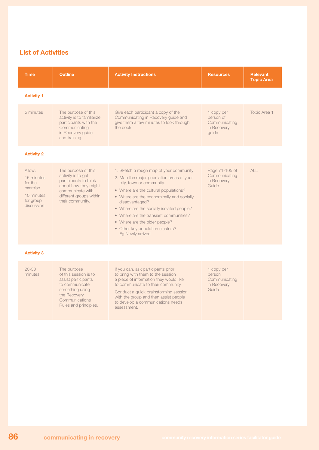# **List of Activities**

| <b>Time</b>                                                                          | <b>Outline</b>                                                                                                                                                | <b>Activity Instructions</b>                                                                                                                                                                                                                                                                                                                                                                             | <b>Resources</b>                                                 | <b>Relevant</b><br><b>Topic Area</b> |
|--------------------------------------------------------------------------------------|---------------------------------------------------------------------------------------------------------------------------------------------------------------|----------------------------------------------------------------------------------------------------------------------------------------------------------------------------------------------------------------------------------------------------------------------------------------------------------------------------------------------------------------------------------------------------------|------------------------------------------------------------------|--------------------------------------|
| <b>Activity 1</b>                                                                    |                                                                                                                                                               |                                                                                                                                                                                                                                                                                                                                                                                                          |                                                                  |                                      |
| 5 minutes                                                                            | The purpose of this<br>activity is to familiarize<br>participants with the<br>Communicating<br>in Recovery guide<br>and training.                             | Give each participant a copy of the<br>Communicating in Recovery guide and<br>give them a few minutes to look through<br>the book                                                                                                                                                                                                                                                                        | 1 copy per<br>person of<br>Communicating<br>in Recovery<br>quide | Topic Area 1                         |
| <b>Activity 2</b>                                                                    |                                                                                                                                                               |                                                                                                                                                                                                                                                                                                                                                                                                          |                                                                  |                                      |
| Allow:<br>15 minutes<br>for the<br>exercise<br>10 minutes<br>for group<br>discussion | The purpose of this<br>activity is to get<br>participants to think<br>about how they might<br>communicate with<br>different groups within<br>their community. | 1. Sketch a rough map of your community<br>2. Map the major population areas of your<br>city, town or community.<br>• Where are the cultural populations?<br>• Where are the economically and socially<br>disadvantaged?<br>• Where are the socially isolated people?<br>• Where are the transient communities?<br>• Where are the older people?<br>• Other key population clusters?<br>Eq Newly arrived | Page 71-105 of<br>Communicating<br>in Recovery<br>Guide          | ALL                                  |
| <b>Activity 3</b>                                                                    |                                                                                                                                                               |                                                                                                                                                                                                                                                                                                                                                                                                          |                                                                  |                                      |
| $20 - 30$<br>minutes                                                                 | The purpose<br>of this session is to<br>assist participants<br>to communicate<br>something using<br>the Recovery<br>Communications<br>Rules and principles.   | If you can, ask participants prior<br>to bring with them to the session<br>a piece of information they would like<br>to communicate to their community.<br>Conduct a quick brainstorming session<br>with the group and then assist people<br>to develop a communications needs<br>assessment.                                                                                                            | 1 copy per<br>person<br>Communicating<br>in Recovery<br>Guide    |                                      |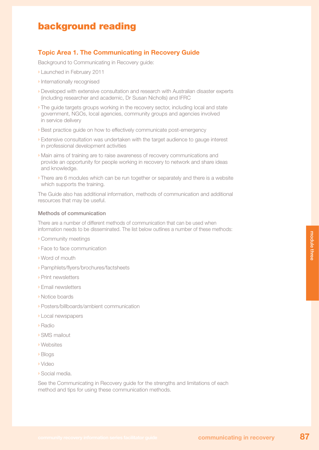# **background reading**

### **Topic Area 1. The Communicating in Recovery Guide**

Background to Communicating in Recovery guide:

- Launched in February 2011
- ` Internationally recognised
- ` Developed with extensive consultation and research with Australian disaster experts (including researcher and academic, Dr Susan Nicholls) and IFRC
- $\blacktriangleright$  The guide targets groups working in the recovery sector, including local and state government, NGOs, local agencies, community groups and agencies involved in service delivery
- ` Best practice guide on how to effectively communicate post-emergency
- ` Extensive consultation was undertaken with the target audience to gauge interest in professional development activities
- ` Main aims of training are to raise awareness of recovery communications and provide an opportunity for people working in recovery to network and share ideas and knowledge.
- ` There are 6 modules which can be run together or separately and there is a website which supports the training.

The Guide also has additional information, methods of communication and additional resources that may be useful.

### Methods of communication

There are a number of different methods of communication that can be used when information needs to be disseminated. The list below outlines a number of these methods:

- ` Community meetings
- ▶ Face to face communication
- ▶ Word of mouth
- ` Pamphlets/flyers/brochures/factsheets
- ▶ Print newsletters
- ` Email newsletters
- ` Notice boards
- ` Posters/billboards/ambient communication
- **Local newspapers**
- ` Radio
- ` SMS mailout
- ` Websites
- ` Blogs
- ` Video
- ` Social media.

See the Communicating in Recovery guide for the strengths and limitations of each method and tips for using these communication methods.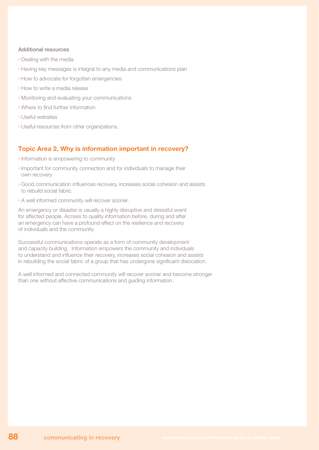### Additional resources

- Dealing with the media
- ` Having key messages is integral to any media and communications plan
- How to advocate for forgotten emergencies
- ` How to write a media release
- ` Monitoring and evaluating your communications
- ` Where to find further information
- ` Useful websites
- **Useful resources from other organizations.**

### **Topic Area 2. Why is information important in recovery?**

- ` Information is empowering to community
- ` Important for community connection and for individuals to manage their own recovery
- ` Good communication influences recovery, increases social cohesion and assists to rebuild social fabric
- ` A well informed community will recover sooner.

An emergency or disaster is usually a highly disruptive and stressful event for affected people. Access to quality information before, during and after an emergency can have a profound effect on the resilience and recovery of individuals and the community.

Successful communications operate as a form of community development and capacity building. Information empowers the community and individuals to understand and influence their recovery, increases social cohesion and assists in rebuilding the social fabric of a group that has undergone significant dislocation.

A well informed and connected community will recover sooner and become stronger than one without effective communications and guiding information.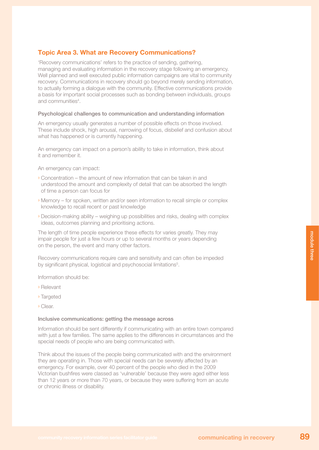# **Topic Area 3. What are Recovery Communications?**

'Recovery communications' refers to the practice of sending, gathering, managing and evaluating information in the recovery stage following an emergency. Well planned and well executed public information campaigns are vital to community recovery. Communications in recovery should go beyond merely sending information, to actually forming a dialogue with the community. Effective communications provide a basis for important social processes such as bonding between individuals, groups and communities<sup>4</sup>.

### Psychological challenges to communication and understanding information

An emergency usually generates a number of possible effects on those involved. These include shock, high arousal, narrowing of focus, disbelief and confusion about what has happened or is currently happening.

An emergency can impact on a person's ability to take in information, think about it and remember it.

#### An emergency can impact:

- ` Concentration the amount of new information that can be taken in and understood the amount and complexity of detail that can be absorbed the length of time a person can focus for
- ` Memory for spoken, written and/or seen information to recall simple or complex knowledge to recall recent or past knowledge
- ` Decision-making ability weighing up possibilities and risks, dealing with complex ideas, outcomes planning and prioritising actions.

The length of time people experience these effects for varies greatly. They may impair people for just a few hours or up to several months or years depending on the person, the event and many other factors.

Recovery communications require care and sensitivity and can often be impeded by significant physical, logistical and psychosocial limitations<sup>5</sup>.

Information should be:

- ` Relevant
- ` Targeted
- Clear.

#### Inclusive communications: getting the message across

Information should be sent differently if communicating with an entire town compared with just a few families. The same applies to the differences in circumstances and the special needs of people who are being communicated with.

Think about the issues of the people being communicated with and the environment they are operating in. Those with special needs can be severely affected by an emergency. For example, over 40 percent of the people who died in the 2009 Victorian bushfires were classed as 'vulnerable' because they were aged either less than 12 years or more than 70 years, or because they were suffering from an acute or chronic illness or disability.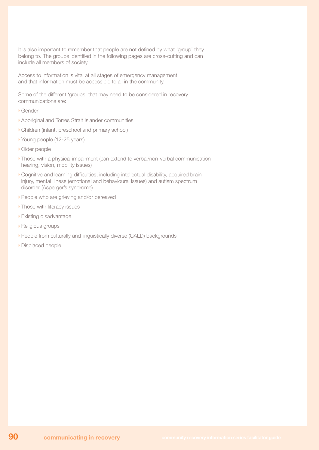It is also important to remember that people are not defined by what 'group' they belong to. The groups identified in the following pages are cross-cutting and can include all members of society.

Access to information is vital at all stages of emergency management, and that information must be accessible to all in the community.

Some of the different 'groups' that may need to be considered in recovery communications are:

` Gender

- ` Aboriginal and Torres Strait Islander communities
- ` Children (infant, preschool and primary school)
- ` Young people (12-25 years)
- ` Older people
- ` Those with a physical impairment (can extend to verbal/non-verbal communication hearing, vision, mobility issues)
- ` Cognitive and learning difficulties, including intellectual disability, acquired brain injury, mental illness (emotional and behavioural issues) and autism spectrum disorder (Asperger's syndrome)
- ` People who are grieving and/or bereaved
- **Those with literacy issues**
- **Existing disadvantage**
- ` Religious groups
- ` People from culturally and linguistically diverse (CALD) backgrounds
- ` Displaced people.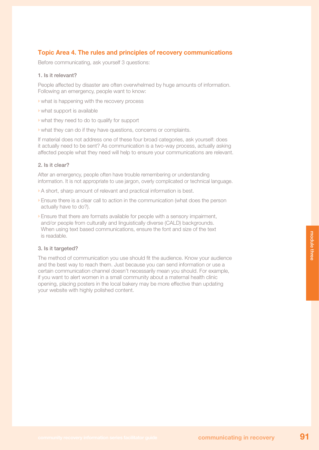# **Topic Area 4. The rules and principles of recovery communications**

Before communicating, ask yourself 3 questions:

### 1. Is it relevant?

People affected by disaster are often overwhelmed by huge amounts of information. Following an emergency, people want to know:

- ` what is happening with the recovery process
- $\blacktriangleright$  what support is available
- ` what they need to do to qualify for support
- ` what they can do if they have questions, concerns or complaints.

If material does not address one of these four broad categories, ask yourself: does it actually need to be sent? As communication is a two-way process, actually asking affected people what they need will help to ensure your communications are relevant.

### 2. Is it clear?

After an emergency, people often have trouble remembering or understanding information. It is not appropriate to use jargon, overly complicated or technical language.

- ` A short, sharp amount of relevant and practical information is best.
- ` Ensure there is a clear call to action in the communication (what does the person actually have to do?).
- ` Ensure that there are formats available for people with a sensory impairment, and/or people from culturally and linguistically diverse (CALD) backgrounds. When using text based communications, ensure the font and size of the text is readable.

### 3. Is it targeted?

The method of communication you use should fit the audience. Know your audience and the best way to reach them. Just because you can send information or use a certain communication channel doesn't necessarily mean you should. For example, if you want to alert women in a small community about a maternal health clinic opening, placing posters in the local bakery may be more effective than updating your website with highly polished content.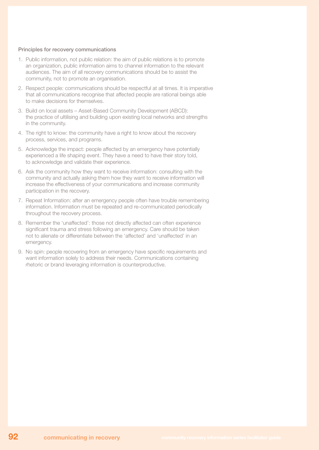### Principles for recovery communications

- 1. Public information, not public relation: the aim of public relations is to promote an organization, public information aims to channel information to the relevant audiences. The aim of all recovery communications should be to assist the community, not to promote an organisation.
- 2. Respect people: communications should be respectful at all times. It is imperative that all communications recognise that affected people are rational beings able to make decisions for themselves.
- 3. Build on local assets Asset-Based Community Development (ABCD): the practice of ultilising and building upon existing local networks and strengths in the community.
- 4. The right to know: the community have a right to know about the recovery process, services, and programs.
- 5. Acknowledge the impact: people affected by an emergency have potentially experienced a life shaping event. They have a need to have their story told, to acknowledge and validate their experience.
- 6. Ask the community how they want to receive information: consulting with the community and actually asking them how they want to receive information will increase the effectiveness of your communications and increase community participation in the recovery.
- 7. Repeat Information: after an emergency people often have trouble remembering information. Information must be repeated and re-communicated periodically throughout the recovery process.
- 8. Remember the 'unaffected': those not directly affected can often experience significant trauma and stress following an emergency. Care should be taken not to alienate or differentiate between the 'affected' and 'unaffected' in an emergency.
- 9. No spin: people recovering from an emergency have specific requirements and want information solely to address their needs. Communications containing rhetoric or brand leveraging information is counterproductive.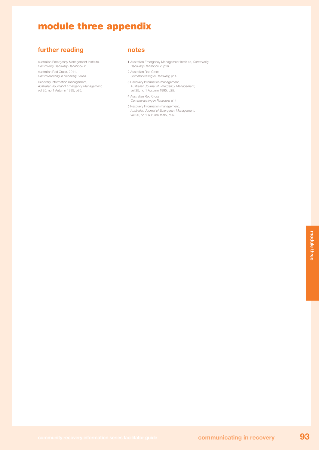# **module three appendix**

# **further reading**

Australian Emergency Management Institute, Community Recovery Handbook 2.

Australian Red Cross, 2011, Communicating in Recovery Guide.

Recovery Information management,

Australian Journal of Emergency Management, vol 25, no 1 Autumn 1995, p25.

### **notes**

- 1 Australian Emergency Management Institute, Community Recovery Handbook 2, p16.
- 2 Australian Red Cross, Communicating in Recovery, p14.
- 3 Recovery Information management, Australian Journal of Emergency Management, vol 25, no 1 Autumn 1995, p25.
- 4 Australian Red Cross, Communicating in Recovery, p14.
- **5** Recovery Information management, Australian Journal of Emergency Management, vol 25, no 1 Autumn 1995, p25.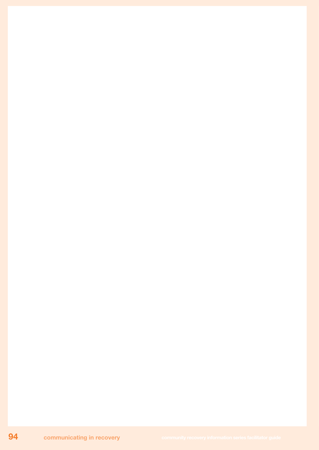# **communicating in recovery community recovery information series**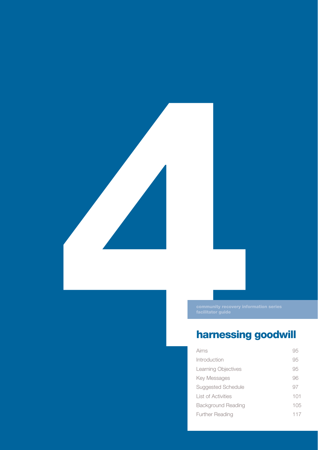| community recovery information series<br>facilitator guide |     |
|------------------------------------------------------------|-----|
| harnessing goodwill                                        |     |
| Aims                                                       | 95  |
| Introduction                                               | 95  |
| Learning Objectives                                        | 95  |
| Key Messages                                               | 96  |
| Suggested Schedule                                         | 97  |
| List of Activities                                         | 101 |
| <b>Background Reading</b>                                  | 105 |
| Further Reading                                            | 117 |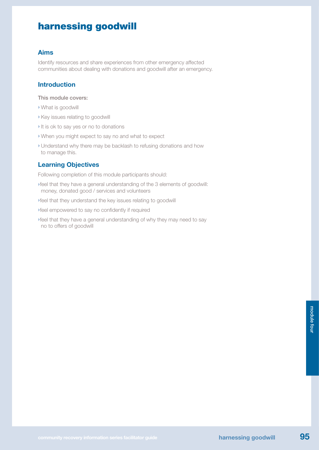# **harnessing goodwill**

## **Aims**

Identify resources and share experiences from other emergency affected communities about dealing with donations and goodwill after an emergency.

### **Introduction**

### This module covers:

- ` What is goodwill
- ` Key issues relating to goodwill
- It is ok to say yes or no to donations
- ` When you might expect to say no and what to expect
- ` Understand why there may be backlash to refusing donations and how to manage this.

### **Learning Objectives**

Following completion of this module participants should:

- `feel that they have a general understanding of the 3 elements of goodwill: money, donated good / services and volunteers
- `feel that they understand the key issues relating to goodwill
- `feel empowered to say no confidently if required
- `feel that they have a general understanding of why they may need to say no to offers of goodwill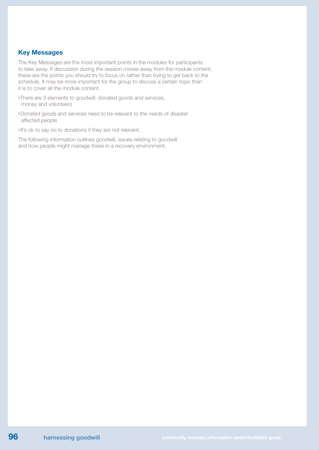# **Key Messages**

The Key Messages are the most important points in the modules for participants to take away. If discussion during the session moves away from the module content, these are the points you should try to focus on rather than trying to get back to the schedule. It may be more important for the group to discuss a certain topic than it is to cover all the module content.

- There are 3 elements to goodwill: donated goods and services, money and volunteers
- `Donated goods and services need to be relevant to the needs of disaster affected people
- It's ok to say no to donations if they are not relevant.

The following information outlines goodwill, issues relating to goodwill and how people might manage these in a recovery environment.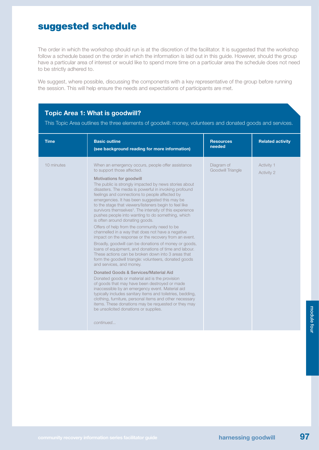# **suggested schedule**

The order in which the workshop should run is at the discretion of the facilitator. It is suggested that the workshop follow a schedule based on the order in which the information is laid out in this guide. However, should the group have a particular area of interest or would like to spend more time on a particular area the schedule does not need to be strictly adhered to.

We suggest, where possible, discussing the components with a key representative of the group before running the session. This will help ensure the needs and expectations of participants are met.

# **Topic Area 1: What is goodwill?**

This Topic Area outlines the three elements of goodwill: money, volunteers and donated goods and services.

| <b>Time</b> | <b>Basic outline</b><br>(see background reading for more information)                                                                                                                                                                                                                                                                                                                                                                                                                                                                                                                                                                                                                                                                                                                                                                                                                                                                                                                                                                                                                                                                                                                                                                                                                                                                                                                                                        | <b>Resources</b><br>needed      | <b>Related activity</b>         |
|-------------|------------------------------------------------------------------------------------------------------------------------------------------------------------------------------------------------------------------------------------------------------------------------------------------------------------------------------------------------------------------------------------------------------------------------------------------------------------------------------------------------------------------------------------------------------------------------------------------------------------------------------------------------------------------------------------------------------------------------------------------------------------------------------------------------------------------------------------------------------------------------------------------------------------------------------------------------------------------------------------------------------------------------------------------------------------------------------------------------------------------------------------------------------------------------------------------------------------------------------------------------------------------------------------------------------------------------------------------------------------------------------------------------------------------------------|---------------------------------|---------------------------------|
| 10 minutes  | When an emergency occurs, people offer assistance<br>to support those affected.<br>Motivations for goodwill<br>The public is strongly impacted by news stories about<br>disasters. The media is powerful in invoking profound<br>feelings and connections to people affected by<br>emergencies. It has been suggested this may be<br>to the stage that viewers/listeners begin to feel like<br>survivors themselves <sup>1</sup> . The intensity of this experience<br>pushes people into wanting to do something, which<br>is often around donating goods.<br>Offers of help from the community need to be<br>channelled in a way that does not have a negative<br>impact on the response or the recovery from an event.<br>Broadly, goodwill can be donations of money or goods,<br>loans of equipment, and donations of time and labour.<br>These actions can be broken down into 3 areas that<br>form the goodwill triangle: volunteers, donated goods<br>and services, and money.<br>Donated Goods & Services/Material Aid<br>Donated goods or material aid is the provision<br>of goods that may have been destroyed or made<br>inaccessible by an emergency event. Material aid<br>typically includes sanitary items and toiletries, bedding,<br>clothing, furniture, personal items and other necessary<br>items. These donations may be requested or they may<br>be unsolicited donations or supplies.<br>continued | Diagram of<br>Goodwill Triangle | Activity 1<br><b>Activity 2</b> |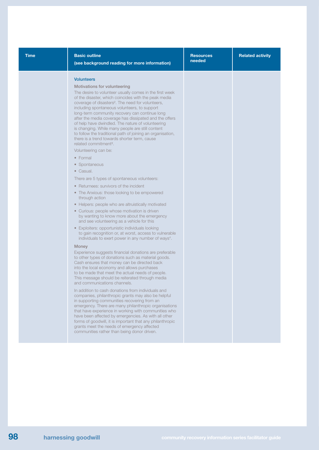| <b>Time</b> | <b>Basic outline</b><br>(see background reading for more information)                                                                                                                                                                                                                                                                                                                                                                                                                                                                                                                                                                                                                                                                                                                                                                                                                                                                                                                                                                                                                                                                                                                                                                                                                                                                                                                                                                                                                                                                                                                                                                                                                                                                                                                                                                                                                                                                                                                                                                                                                                                                                   | <b>Resources</b><br>needed | <b>Related activity</b> |
|-------------|---------------------------------------------------------------------------------------------------------------------------------------------------------------------------------------------------------------------------------------------------------------------------------------------------------------------------------------------------------------------------------------------------------------------------------------------------------------------------------------------------------------------------------------------------------------------------------------------------------------------------------------------------------------------------------------------------------------------------------------------------------------------------------------------------------------------------------------------------------------------------------------------------------------------------------------------------------------------------------------------------------------------------------------------------------------------------------------------------------------------------------------------------------------------------------------------------------------------------------------------------------------------------------------------------------------------------------------------------------------------------------------------------------------------------------------------------------------------------------------------------------------------------------------------------------------------------------------------------------------------------------------------------------------------------------------------------------------------------------------------------------------------------------------------------------------------------------------------------------------------------------------------------------------------------------------------------------------------------------------------------------------------------------------------------------------------------------------------------------------------------------------------------------|----------------------------|-------------------------|
|             | <b>Volunteers</b><br>Motivations for volunteering<br>The desire to volunteer usually comes in the first week<br>of the disaster, which coincides with the peak media<br>coverage of disasters <sup>2</sup> . The need for volunteers,<br>including spontaneous volunteers, to support<br>long-term community recovery can continue long<br>after the media coverage has dissipated and the offers<br>of help have dwindled. The nature of volunteering<br>is changing. While many people are still content<br>to follow the traditional path of joining an organisation,<br>there is a trend towards shorter term, cause<br>related commitment <sup>3</sup> .<br>Volunteering can be:<br>$\bullet$ Formal<br>• Spontaneous<br>• Casual.<br>There are 5 types of spontaneous volunteers:<br>• Returnees: survivors of the incident<br>• The Anxious: those looking to be empowered<br>through action<br>• Helpers: people who are altruistically motivated<br>• Curious: people whose motivation is driven<br>by wanting to know more about the emergency<br>and see volunteering as a vehicle for this<br>• Exploiters: opportunistic individuals looking<br>to gain recognition or, at worst, access to vulnerable<br>individuals to exert power in any number of ways <sup>4</sup> .<br>Money<br>Experience suggests financial donations are preferable<br>to other types of donations such as material goods.<br>Cash ensures that money can be directed back<br>into the local economy and allows purchases<br>to be made that meet the actual needs of people.<br>This message should be reiterated through media<br>and communications channels.<br>In addition to cash donations from individuals and<br>companies, philanthropic grants may also be helpful<br>in supporting communities recovering from an<br>emergency. There are many philanthropic organisations<br>that have experience in working with communities who<br>have been affected by emergencies. As with all other<br>forms of goodwill, it is important that any philanthropic<br>grants meet the needs of emergency affected<br>communities rather than being donor driven. |                            |                         |
|             |                                                                                                                                                                                                                                                                                                                                                                                                                                                                                                                                                                                                                                                                                                                                                                                                                                                                                                                                                                                                                                                                                                                                                                                                                                                                                                                                                                                                                                                                                                                                                                                                                                                                                                                                                                                                                                                                                                                                                                                                                                                                                                                                                         |                            |                         |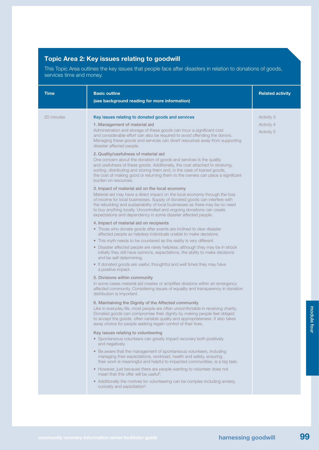# **Topic Area 2: Key issues relating to goodwill**

This Topic Area outlines the key issues that people face after disasters in relation to donations of goods, services time and money.

| <b>Time</b> | <b>Basic outline</b>                                                                                                                                                                                                                                                                                                                                                                                                                                                                                                                                                                                                                                                                                                                                                                                                                                                                                                                                                                                                                                                                                                                                                                                                                                                                                                                                                                                                                                                                                                                                                                                                                                                                                                                                                                                                                                                                                                                                                                                                                                                                                                                                                                                                                                                                                                                                                                                                                                                                                                                                                                                                                                                                                                                                                                                                                                            | <b>Related activity</b>                |
|-------------|-----------------------------------------------------------------------------------------------------------------------------------------------------------------------------------------------------------------------------------------------------------------------------------------------------------------------------------------------------------------------------------------------------------------------------------------------------------------------------------------------------------------------------------------------------------------------------------------------------------------------------------------------------------------------------------------------------------------------------------------------------------------------------------------------------------------------------------------------------------------------------------------------------------------------------------------------------------------------------------------------------------------------------------------------------------------------------------------------------------------------------------------------------------------------------------------------------------------------------------------------------------------------------------------------------------------------------------------------------------------------------------------------------------------------------------------------------------------------------------------------------------------------------------------------------------------------------------------------------------------------------------------------------------------------------------------------------------------------------------------------------------------------------------------------------------------------------------------------------------------------------------------------------------------------------------------------------------------------------------------------------------------------------------------------------------------------------------------------------------------------------------------------------------------------------------------------------------------------------------------------------------------------------------------------------------------------------------------------------------------------------------------------------------------------------------------------------------------------------------------------------------------------------------------------------------------------------------------------------------------------------------------------------------------------------------------------------------------------------------------------------------------------------------------------------------------------------------------------------------------|----------------------------------------|
|             |                                                                                                                                                                                                                                                                                                                                                                                                                                                                                                                                                                                                                                                                                                                                                                                                                                                                                                                                                                                                                                                                                                                                                                                                                                                                                                                                                                                                                                                                                                                                                                                                                                                                                                                                                                                                                                                                                                                                                                                                                                                                                                                                                                                                                                                                                                                                                                                                                                                                                                                                                                                                                                                                                                                                                                                                                                                                 |                                        |
| 20 minutes  | (see background reading for more information)<br>Key issues relating to donated goods and services<br>1. Management of material aid<br>Administration and storage of these goods can incur a significant cost<br>and considerable effort can also be required to avoid offending the donors.<br>Managing these goods and services can divert resources away from supporting<br>disaster affected people.<br>2. Quality/usefulness of material aid<br>One concern about the donation of goods and services is the quality<br>and usefulness of these goods. Additionally, the cost attached to receiving,<br>sorting, distributing and storing them and, in the case of loaned goods,<br>the cost of making good or returning them to the owners can place a significant<br>burden on resources.<br>3. Impact of material aid on the local economy<br>Material aid may have a direct impact on the local economy through the loss<br>of income for local businesses. Supply of donated goods can interfere with<br>the rebuilding and sustainability of local businesses as there may be no need<br>to buy anything locally. Uncontrolled and ongoing donations can create<br>expectations and dependency in some disaster affected people.<br>4. Impact of material aid on recipients<br>• Those who donate goods after events are inclined to view disaster<br>affected people as helpless individuals unable to make decisions.<br>• This myth needs to be countered as the reality is very different.<br>• Disaster affected people are rarely helpless; although they may be in shock<br>initially they still have opinions, expectations, the ability to make decisions<br>and be self determining.<br>• If donated goods are useful, thoughtful and well times they may have<br>a positive impact.<br>5. Divisions within community<br>In some cases material aid creates or amplifies divisions within an emergency<br>affected community. Considering issues of equality and transparency in donation<br>distribution is important.<br>6. Maintaining the Dignity of the Affected community<br>Like in everyday life, most people are often uncomfortable in receiving charity.<br>Donated goods can compromise their dignity by making people feel obliged<br>to accept the goods, often variable quality and appropriateness. It also takes<br>away choice for people seeking regain control of their lives.<br>Key issues relating to volunteering<br>• Spontaneous volunteers can greatly impact recovery both positively<br>and negatively.<br>• Be aware that the management of spontaneous volunteers, including<br>managing their expectations, workload, health and safety, ensuring<br>their work is meaningful and helpful to impacted communities, is a big task.<br>• However, just because there are people wanting to volunteer does not | Activity 3<br>Activity 4<br>Activity 5 |
|             | mean that this offer will be useful <sup>5</sup> .<br>• Additionally the motives for volunteering can be complex including anxiety,<br>curiosity and exploitation <sup>6</sup> .                                                                                                                                                                                                                                                                                                                                                                                                                                                                                                                                                                                                                                                                                                                                                                                                                                                                                                                                                                                                                                                                                                                                                                                                                                                                                                                                                                                                                                                                                                                                                                                                                                                                                                                                                                                                                                                                                                                                                                                                                                                                                                                                                                                                                                                                                                                                                                                                                                                                                                                                                                                                                                                                                |                                        |
|             |                                                                                                                                                                                                                                                                                                                                                                                                                                                                                                                                                                                                                                                                                                                                                                                                                                                                                                                                                                                                                                                                                                                                                                                                                                                                                                                                                                                                                                                                                                                                                                                                                                                                                                                                                                                                                                                                                                                                                                                                                                                                                                                                                                                                                                                                                                                                                                                                                                                                                                                                                                                                                                                                                                                                                                                                                                                                 |                                        |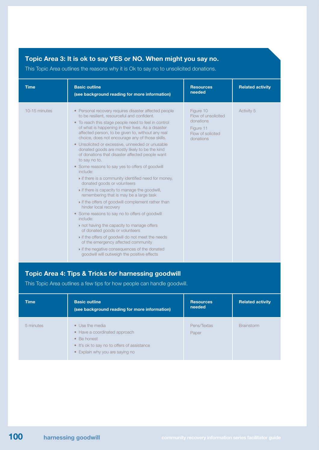# **Topic Area 3: It is ok to say YES or NO. When might you say no.**

This Topic Area outlines the reasons why it is Ok to say no to unsolicited donations.

| <b>Time</b>   | <b>Basic outline</b><br>(see background reading for more information)                                                                                                                                                                                                                                                                                                                                                                                                                                                                                                                                                                                                                                                                                                                                                                                                                                                                                                                                                                                                                                                                                                | <b>Resources</b><br>needed                                                                   | <b>Related activity</b> |
|---------------|----------------------------------------------------------------------------------------------------------------------------------------------------------------------------------------------------------------------------------------------------------------------------------------------------------------------------------------------------------------------------------------------------------------------------------------------------------------------------------------------------------------------------------------------------------------------------------------------------------------------------------------------------------------------------------------------------------------------------------------------------------------------------------------------------------------------------------------------------------------------------------------------------------------------------------------------------------------------------------------------------------------------------------------------------------------------------------------------------------------------------------------------------------------------|----------------------------------------------------------------------------------------------|-------------------------|
| 10-15 minutes | • Personal recovery requires disaster affected people<br>to be resilient, resourceful and confident.<br>• To reach this stage people need to feel in control<br>of what is happening in their lives. As a disaster<br>affected person, to be given to, without any real<br>choice, does not encourage any of those skills.<br>• Unsolicited or excessive, unneeded or unusable<br>donated goods are mostly likely to be the kind<br>of donations that disaster affected people want<br>to say no to.<br>• Some reasons to say yes to offers of goodwill<br>include:<br>if there is a community identified need for money,<br>donated goods or volunteers<br>if there is capacity to manage the goodwill,<br>remembering that is may be a large task<br>if the offers of goodwill complement rather than<br>hinder local recovery<br>• Some reasons to say no to offers of goodwill<br>include:<br>not having the capacity to manage offers<br>of donated goods or volunteers<br>if the offers of goodwill do not meet the needs<br>of the emergency affected community<br>if the negative consequences of the donated<br>goodwill will outweigh the positive effects | Figure 10<br>Flow of unsolicited<br>donations<br>Figure 11<br>Flow of solicited<br>donations | Activity 5              |

# **Topic Area 4: Tips & Tricks for harnessing goodwill**

This Topic Area outlines a few tips for how people can handle goodwill.

| <b>Time</b> | <b>Basic outline</b><br>(see background reading for more information)                                                                             | <b>Resources</b><br>needed | <b>Related activity</b> |
|-------------|---------------------------------------------------------------------------------------------------------------------------------------------------|----------------------------|-------------------------|
| 5 minutes   | • Use the media<br>• Have a coordinated approach<br>• Be honest<br>• It's ok to say no to offers of assistance<br>• Explain why you are saying no | Pens/Textas<br>Paper       | <b>Brainstorm</b>       |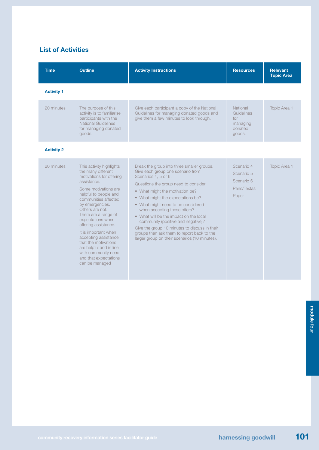# **List of Activities**

| <b>Time</b>       | <b>Outline</b>                                                                                                                                                                                                                                                                                                                                                                                                                                     | <b>Activity Instructions</b>                                                                                                                                                                                                                                                                                                                                                                                                                                                                                                   | <b>Resources</b>                                               | <b>Relevant</b><br><b>Topic Area</b> |
|-------------------|----------------------------------------------------------------------------------------------------------------------------------------------------------------------------------------------------------------------------------------------------------------------------------------------------------------------------------------------------------------------------------------------------------------------------------------------------|--------------------------------------------------------------------------------------------------------------------------------------------------------------------------------------------------------------------------------------------------------------------------------------------------------------------------------------------------------------------------------------------------------------------------------------------------------------------------------------------------------------------------------|----------------------------------------------------------------|--------------------------------------|
| <b>Activity 1</b> |                                                                                                                                                                                                                                                                                                                                                                                                                                                    |                                                                                                                                                                                                                                                                                                                                                                                                                                                                                                                                |                                                                |                                      |
| 20 minutes        | The purpose of this<br>activity is to familiarise<br>participants with the<br><b>National Guidelines</b><br>for managing donated<br>goods.                                                                                                                                                                                                                                                                                                         | Give each participant a copy of the National<br>Guidelines for managing donated goods and<br>give them a few minutes to look through.                                                                                                                                                                                                                                                                                                                                                                                          | National<br>Guidelines<br>for<br>managing<br>donated<br>goods. | Topic Area 1                         |
| <b>Activity 2</b> |                                                                                                                                                                                                                                                                                                                                                                                                                                                    |                                                                                                                                                                                                                                                                                                                                                                                                                                                                                                                                |                                                                |                                      |
| 20 minutes        | This activity highlights<br>the many different<br>motivations for offering<br>assistance.<br>Some motivations are<br>helpful to people and<br>communities affected<br>by emergencies.<br>Others are not.<br>There are a range of<br>expectations when<br>offering assistance.<br>It is important when<br>accepting assistance<br>that the motivations<br>are helpful and in line<br>with community need<br>and that expectations<br>can be managed | Break the group into three smaller groups.<br>Give each group one scenario from<br>Scenarios 4, 5 or 6.<br>Questions the group need to consider:<br>• What might the motivation be?<br>• What might the expectations be?<br>• What might need to be considered<br>when accepting these offers?<br>• What will be the impact on the local<br>community (positive and negative)?<br>Give the group 10 minutes to discuss in their<br>groups then ask them to report back to the<br>larger group on their scenarios (10 minutes). | Scenario 4<br>Scenario 5<br>Scenario 6<br>Pens/Textas<br>Paper | Topic Area 1                         |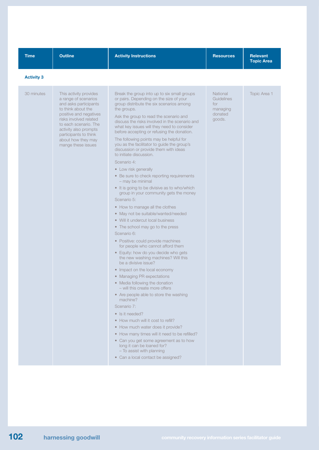| <b>Time</b>       | <b>Outline</b>                                                                                                                                                                                                                                                           | <b>Activity Instructions</b>                                                                                                                                                                                                                                                                                                                                                                                                                                                                                                                                                                                                                                                                                                                                                                                                                                                                                                                                                                                                                                                                                                                                                                                                                                                                                                                                                                                                                                                                                                                                                           | <b>Resources</b>                                               | <b>Relevant</b><br><b>Topic Area</b> |
|-------------------|--------------------------------------------------------------------------------------------------------------------------------------------------------------------------------------------------------------------------------------------------------------------------|----------------------------------------------------------------------------------------------------------------------------------------------------------------------------------------------------------------------------------------------------------------------------------------------------------------------------------------------------------------------------------------------------------------------------------------------------------------------------------------------------------------------------------------------------------------------------------------------------------------------------------------------------------------------------------------------------------------------------------------------------------------------------------------------------------------------------------------------------------------------------------------------------------------------------------------------------------------------------------------------------------------------------------------------------------------------------------------------------------------------------------------------------------------------------------------------------------------------------------------------------------------------------------------------------------------------------------------------------------------------------------------------------------------------------------------------------------------------------------------------------------------------------------------------------------------------------------------|----------------------------------------------------------------|--------------------------------------|
| <b>Activity 3</b> |                                                                                                                                                                                                                                                                          |                                                                                                                                                                                                                                                                                                                                                                                                                                                                                                                                                                                                                                                                                                                                                                                                                                                                                                                                                                                                                                                                                                                                                                                                                                                                                                                                                                                                                                                                                                                                                                                        |                                                                |                                      |
| 30 minutes        | This activity provides<br>a range of scenarios<br>and asks participants<br>to think about the<br>positive and negatives<br>risks involved related<br>to each scenario. The<br>activity also prompts<br>participants to think<br>about how they may<br>mange these issues | Break the group into up to six small groups<br>or pairs. Depending on the size of your<br>group distribute the six scenarios among<br>the groups.<br>Ask the group to read the scenario and<br>discuss the risks involved in the scenario and<br>what key issues will they need to consider<br>before accepting or refusing the donation.<br>The following points may be helpful for<br>you as the facilitator to guide the group's<br>discussion or provide them with ideas<br>to initiate discussion.<br>Scenario 4:<br>• Low risk generally<br>• Be sure to check reporting requirements<br>- may be minimal<br>• It is going to be divisive as to who/which<br>group in your community gets the money<br>Scenario 5:<br>• How to manage all the clothes<br>• May not be suitable/wanted/needed<br>• Will it undercut local business<br>• The school may go to the press<br>Scenario 6:<br>• Positive: could provide machines<br>for people who cannot afford them<br>• Equity: how do you decide who gets<br>the new washing machines? Will this<br>be a divisive issue?<br>• Impact on the local economy<br>• Managing PR expectations<br>• Media following the donation<br>- will this create more offers<br>• Are people able to store the washing<br>machine?<br>Scenario 7:<br>$\bullet$ Is it needed?<br>• How much will it cost to refill?<br>• How much water does it provide?<br>• How many times will it need to be refilled?<br>• Can you get some agreement as to how<br>long it can be loaned for?<br>- To assist with planning<br>• Can a local contact be assigned? | National<br>Guidelines<br>for<br>managing<br>donated<br>goods. | Topic Area 1                         |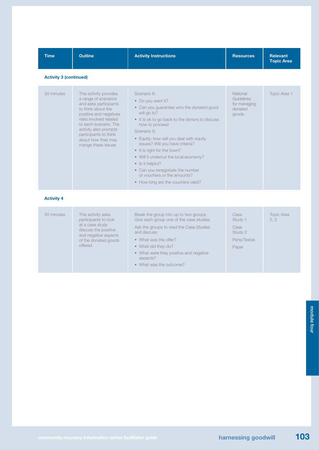| <b>Time</b>                   | <b>Outline</b>                                                                                                                                                                                                                                                           | <b>Activity Instructions</b>                                                                                                                                                                                                                                                                                                                                                                                                                                      | <b>Resources</b>                                            | <b>Relevant</b><br><b>Topic Area</b> |
|-------------------------------|--------------------------------------------------------------------------------------------------------------------------------------------------------------------------------------------------------------------------------------------------------------------------|-------------------------------------------------------------------------------------------------------------------------------------------------------------------------------------------------------------------------------------------------------------------------------------------------------------------------------------------------------------------------------------------------------------------------------------------------------------------|-------------------------------------------------------------|--------------------------------------|
| <b>Activity 3 (continued)</b> |                                                                                                                                                                                                                                                                          |                                                                                                                                                                                                                                                                                                                                                                                                                                                                   |                                                             |                                      |
| 30 minutes                    | This activity provides<br>a range of scenarios<br>and asks participants<br>to think about the<br>positive and negatives<br>risks involved related<br>to each scenario. The<br>activity also prompts<br>participants to think<br>about how they may<br>mange these issues | Scenario 8:<br>• Do you want it?<br>• Can you guarantee who the donated good<br>will go to?<br>• It is ok to go back to the donors to discuss<br>how to proceed<br>Scenario 9:<br>• Equity: how will you deal with equity<br>issues? Will you have criteria?<br>• It is right for the town?<br>• Will it undercut the local economy?<br>• Is it helpful?<br>• Can you renegotiate the number<br>of vouchers or the amounts?<br>• How long are the vouchers valid? | National<br>Guidelines<br>for managing<br>donated<br>goods. | Topic Area 1                         |
| <b>Activity 4</b>             |                                                                                                                                                                                                                                                                          |                                                                                                                                                                                                                                                                                                                                                                                                                                                                   |                                                             |                                      |
| 20 minutes                    | This activity asks<br>participants to look<br>at a case study<br>discuss the positive<br>and negative aspects<br>of the donated goods<br>offered.                                                                                                                        | Break the group into up to two groups.<br>Give each group one of the case studies.<br>Ask the groups to read the Case Studies<br>and discuss:<br>• What was the offer?<br>• What did they do?<br>• What were they positive and negative<br>aspects?<br>• What was the outcome?                                                                                                                                                                                    | Case<br>Study 1<br>Case<br>Study 2<br>Pens/Textas<br>Paper  | <b>Topic Area</b><br>2, 3            |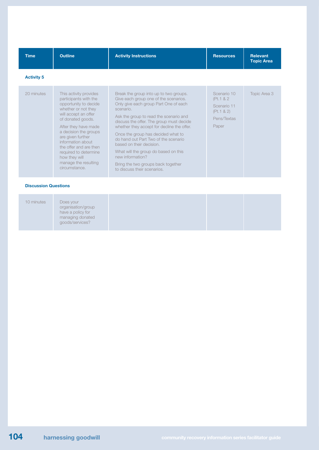| <b>Time</b>       | <b>Outline</b>                                                                                                                                                                                                                                                                                                                                       | <b>Activity Instructions</b>                                                                                                                                                                                                                                                                                                                                                                                                                                                                                         | <b>Resources</b>                                                                   | <b>Relevant</b><br><b>Topic Area</b> |
|-------------------|------------------------------------------------------------------------------------------------------------------------------------------------------------------------------------------------------------------------------------------------------------------------------------------------------------------------------------------------------|----------------------------------------------------------------------------------------------------------------------------------------------------------------------------------------------------------------------------------------------------------------------------------------------------------------------------------------------------------------------------------------------------------------------------------------------------------------------------------------------------------------------|------------------------------------------------------------------------------------|--------------------------------------|
| <b>Activity 5</b> |                                                                                                                                                                                                                                                                                                                                                      |                                                                                                                                                                                                                                                                                                                                                                                                                                                                                                                      |                                                                                    |                                      |
| 20 minutes        | This activity provides<br>participants with the<br>opportunity to decide<br>whether or not they<br>will accept an offer<br>of donated goods.<br>After they have made<br>a decision the groups<br>are given further<br>information about<br>the offer and are then<br>required to determine<br>how they will<br>manage the resulting<br>circumstance. | Break the group into up to two groups.<br>Give each group one of the scenarios.<br>Only give each group Part One of each<br>scenario.<br>Ask the group to read the scenario and<br>discuss the offer. The group must decide<br>whether they accept for decline the offer.<br>Once the group has decided what to<br>do hand out Part Two of the scenario<br>based on their decision.<br>What will the group do based on this<br>new information?<br>Bring the two groups back together<br>to discuss their scenarios. | Scenario 10<br>(Pt.1 & 8 & 2)<br>Scenario 11<br>(Pt.1 & 2)<br>Pens/Textas<br>Paper | Topic Area 3                         |

#### **Discussion Questions**

|--|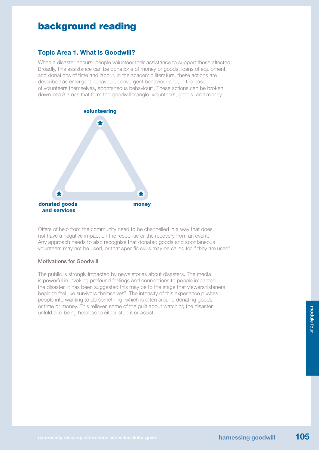### **background reading**

#### **Topic Area 1. What is Goodwill?**

When a disaster occurs, people volunteer their assistance to support those affected. Broadly, this assistance can be donations of money or goods, loans of equipment, and donations of time and labour. In the academic literature, these actions are described as emergent behaviour, convergent behaviour and, in the case of volunteers themselves, spontaneous behaviour<sup>7</sup>. These actions can be broken down into 3 areas that form the goodwill triangle: volunteers, goods, and money.



Offers of help from the community need to be channelled in a way that does not have a negative impact on the response or the recovery from an event. Any approach needs to also recognise that donated goods and spontaneous volunteers may not be used, or that specific skills may be called for if they are used<sup>8</sup>.

#### Motivations for Goodwill

The public is strongly impacted by news stories about disasters. The media is powerful in invoking profound feelings and connections to people impacted the disaster. It has been suggested this may be to the stage that viewers/listeners begin to feel like survivors themselves<sup>9</sup>. The intensity of this experience pushes people into wanting to do something, which is often around donating goods or time or money. This relieves some of the guilt about watching the disaster unfold and being helpless to either stop it or assist.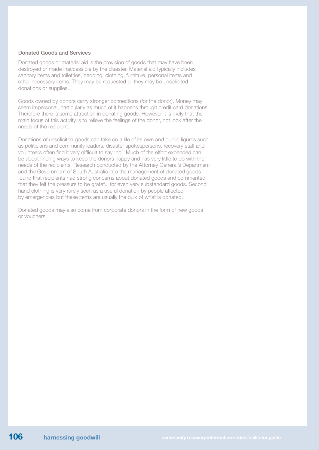#### Donated Goods and Services

Donated goods or material aid is the provision of goods that may have been destroyed or made inaccessible by the disaster. Material aid typically includes sanitary items and toiletries, bedding, clothing, furniture, personal items and other necessary items. They may be requested or they may be unsolicited donations or supplies.

Goods owned by donors carry stronger connections (for the donor). Money may seem impersonal, particularly as much of it happens through credit card donations. Therefore there is some attraction in donating goods. However it is likely that the main focus of this activity is to relieve the feelings of the donor, not look after the needs of the recipient.

Donations of unsolicited goods can take on a life of its own and public figures such as politicians and community leaders, disaster spokespersons, recovery staff and volunteers often find it very difficult to say 'no'. Much of the effort expended can be about finding ways to keep the donors happy and has very little to do with the needs of the recipients. Research conducted by the Attorney General's Department and the Government of South Australia into the management of donated goods found that recipients had strong concerns about donated goods and commented that they felt the pressure to be grateful for even very substandard goods. Second hand clothing is very rarely seen as a useful donation by people affected by emergencies but these items are usually the bulk of what is donated.

Donated goods may also come from corporate donors in the form of new goods or vouchers.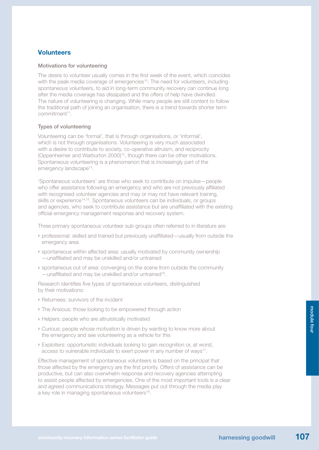#### **Volunteers**

#### Motivations for volunteering

The desire to volunteer usually comes in the first week of the event, which coincides with the peak media coverage of emergencies<sup>10</sup>. The need for volunteers, including spontaneous volunteers, to aid in long-term community recovery can continue long after the media coverage has dissipated and the offers of help have dwindled. The nature of volunteering is changing. While many people are still content to follow the traditional path of joining an organisation, there is a trend towards shorter term commitment<sup>11</sup>.

#### Types of volunteering

Volunteering can be 'formal', that is through organisations, or 'informal', which is not through organisations. Volunteering is very much associated with a desire to contribute to society, co-operative altruism, and reciprocity (Oppenheimer and Warburton 2000)<sup>12</sup>, though there can be other motivations. Spontaneous volunteering is a phenomenon that is increasingly part of the emergency landscape<sup>13</sup>.

'Spontaneous volunteers' are those who seek to contribute on impulse—people who offer assistance following an emergency and who are not previously affiliated with recognised volunteer agencies and may or may not have relevant training, skills or experience<sup>14,15</sup>. Spontaneous volunteers can be individuals, or groups and agencies, who seek to contribute assistance but are unaffiliated with the existing official emergency management response and recovery system.

Three primary spontaneous volunteer sub-groups often referred to in literature are:

- ` professional: skilled and trained but previously unaffiliated—usually from outside the emergency area
- ` spontaneous within affected area: usually motivated by community ownership —unaffiliated and may be unskilled and/or untrained
- ` spontaneous out of area: converging on the scene from outside the community —unaffiliated and may be unskilled and/or untrained16.

Research identifies five types of spontaneous volunteers, distinguished by their motivations:

- ▶ Returnees: survivors of the incident
- $\triangleright$  The Anxious: those looking to be empowered through action
- ` Helpers: people who are altruistically motivated
- ` Curious: people whose motivation is driven by wanting to know more about the emergency and see volunteering as a vehicle for this
- ` Exploiters: opportunistic individuals looking to gain recognition or, at worst, access to vulnerable individuals to exert power in any number of ways<sup>17</sup>.

Effective management of spontaneous volunteers is based on the principal that those affected by the emergency are the first priority. Offers of assistance can be productive, but can also overwhelm response and recovery agencies attempting to assist people affected by emergencies. One of the most important tools is a clear and agreed communications strategy. Messages put out through the media play a key role in managing spontaneous volunteers<sup>18</sup>.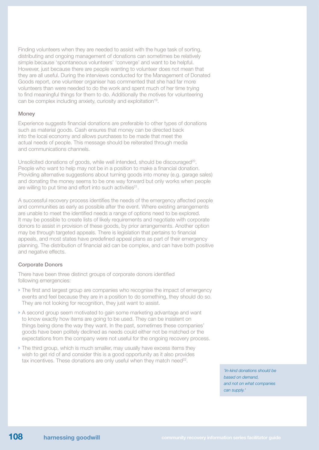Finding volunteers when they are needed to assist with the huge task of sorting, distributing and ongoing management of donations can sometimes be relatively simple because 'spontaneous volunteers' 'converge' and want to be helpful. However, just because there are people wanting to volunteer does not mean that they are all useful. During the interviews conducted for the Management of Donated Goods report, one volunteer organiser has commented that she had far more volunteers than were needed to do the work and spent much of her time trying to find meaningful things for them to do. Additionally the motives for volunteering can be complex including anxiety, curiosity and exploitation<sup>19</sup>.

#### **Money**

Experience suggests financial donations are preferable to other types of donations such as material goods. Cash ensures that money can be directed back into the local economy and allows purchases to be made that meet the actual needs of people. This message should be reiterated through media and communications channels.

Unsolicited donations of goods, while well intended, should be discouraged<sup>20</sup>. People who want to help may not be in a position to make a financial donation. Providing alternative suggestions about turning goods into money (e.g. garage sales) and donating the money seems to be one way forward but only works when people are willing to put time and effort into such activities $21$ .

A successful recovery process identifies the needs of the emergency affected people and communities as early as possible after the event. Where existing arrangements are unable to meet the identified needs a range of options need to be explored. It may be possible to create lists of likely requirements and negotiate with corporate donors to assist in provision of these goods, by prior arrangements. Another option may be through targeted appeals. There is legislation that pertains to financial appeals, and most states have predefined appeal plans as part of their emergency planning. The distribution of financial aid can be complex, and can have both positive and negative effects.

#### Corporate Donors

There have been three distinct groups of corporate donors identified following emergencies:

- $\triangleright$  The first and largest group are companies who recognise the impact of emergency events and feel because they are in a position to do something, they should do so. They are not looking for recognition, they just want to assist.
- A second group seem motivated to gain some marketing advantage and want to know exactly how items are going to be used. They can be insistent on things being done the way they want. In the past, sometimes these companies' goods have been politely declined as needs could either not be matched or the expectations from the company were not useful for the ongoing recovery process.
- If The third group, which is much smaller, may usually have excess items they wish to get rid of and consider this is a good opportunity as it also provides tax incentives. These donations are only useful when they match need<sup>22</sup>.

'In-kind donations should be based on demand, and not on what companies can supply.'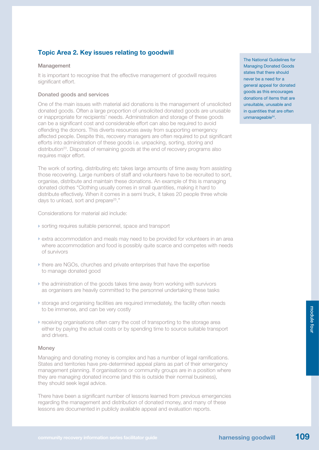#### **Topic Area 2. Key issues relating to goodwill**

#### Management

It is important to recognise that the effective management of goodwill requires significant effort.

#### Donated goods and services

One of the main issues with material aid donations is the management of unsolicited donated goods. Often a large proportion of unsolicited donated goods are unusable or inappropriate for recipients' needs. Administration and storage of these goods can be a significant cost and considerable effort can also be required to avoid offending the donors. This diverts resources away from supporting emergency affected people. Despite this, recovery managers are often required to put significant efforts into administration of these goods i.e. unpacking, sorting, storing and distribution<sup>23</sup>. Disposal of remaining goods at the end of recovery programs also requires major effort.

The work of sorting, distributing etc takes large amounts of time away from assisting those recovering. Large numbers of staff and volunteers have to be recruited to sort, organise, distribute and maintain these donations. An example of this is managing donated clothes "Clothing usually comes in small quantities, making it hard to distribute effectively. When it comes in a semi truck, it takes 20 people three whole days to unload, sort and prepare<sup>25</sup>."

Considerations for material aid include:

- $\triangleright$  sorting requires suitable personnel, space and transport
- ` extra accommodation and meals may need to be provided for volunteers in an area where accommodation and food is possibly quite scarce and competes with needs of survivors
- ` there are NGOs, churches and private enterprises that have the expertise to manage donated good
- ` the administration of the goods takes time away from working with survivors as organisers are heavily committed to the personnel undertaking these tasks
- ` storage and organising facilities are required immediately, the facility often needs to be immense, and can be very costly
- ` receiving organisations often carry the cost of transporting to the storage area either by paying the actual costs or by spending time to source suitable transport and drivers.

#### **Money**

Managing and donating money is complex and has a number of legal ramifications. States and territories have pre-determined appeal plans as part of their emergency management planning. If organisations or community groups are in a position where they are managing donated income (and this is outside their normal business), they should seek legal advice.

There have been a significant number of lessons learned from previous emergencies regarding the management and distribution of donated money, and many of these lessons are documented in publicly available appeal and evaluation reports.

The National Guidelines for Managing Donated Goods states that there should never be a need for a general appeal for donated goods as this encourages donations of items that are unsuitable, unusable and in quantities that are often unmanageable<sup>24</sup>.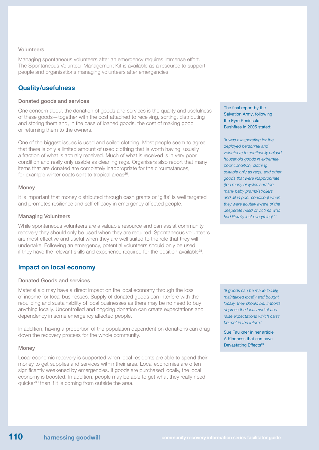#### Volunteers

Managing spontaneous volunteers after an emergency requires immense effort. The Spontaneous Volunteer Management Kit is available as a resource to support people and organisations managing volunteers after emergencies.

#### **Quality/usefulness**

#### Donated goods and services

One concern about the donation of goods and services is the quality and usefulness of these goods—together with the cost attached to receiving, sorting, distributing and storing them and, in the case of loaned goods, the cost of making good or returning them to the owners.

One of the biggest issues is used and soiled clothing. Most people seem to agree that there is only a limited amount of used clothing that is worth having; usually a fraction of what is actually received. Much of what is received is in very poor condition and really only usable as cleaning rags. Organisers also report that many items that are donated are completely inappropriate for the circumstances, for example winter coats sent to tropical areas $26$ .

#### **Money**

It is important that money distributed through cash grants or 'gifts' is well targeted and promotes resilience and self efficacy in emergency affected people.

#### Managing Volunteers

While spontaneous volunteers are a valuable resource and can assist community recovery they should only be used when they are required. Spontaneous volunteers are most effective and useful when they are well suited to the role that they will undertake. Following an emergency, potential volunteers should only be used if they have the relevant skills and experience required for the position available28.

#### **Impact on local economy**

#### Donated Goods and services

Material aid may have a direct impact on the local economy through the loss of income for local businesses. Supply of donated goods can interfere with the rebuilding and sustainability of local businesses as there may be no need to buy anything locally. Uncontrolled and ongoing donation can create expectations and dependency in some emergency affected people.

In addition, having a proportion of the population dependent on donations can drag down the recovery process for the whole community.

#### **Money**

Local economic recovery is supported when local residents are able to spend their money to get supplies and services within their area. Local economies are often significantly weakened by emergencies. If goods are purchased locally, the local economy is boosted. In addition, people may be able to get what they really need quicker<sup>30</sup> than if it is coming from outside the area.

The final report by the Salvation Army, following the Eyre Peninsula Bushfires in 2005 stated:

'It was exasperating for the deployed personnel and volunteers to continually unload household goods in extremely poor condition, clothing suitable only as rags, and other goods that were inappropriate (too many bicycles and too many baby prams/strollers and all in poor condition) when they were acutely aware of the desperate need of victims who had literally lost everything<sup>27</sup>.'

'If goods can be made locally, maintained locally and bought locally, they should be. Imports depress the local market and raise expectations which can't be met in the future.'

Sue Faulkner in her article A Kindness that can have Devastating Effects<sup>29</sup>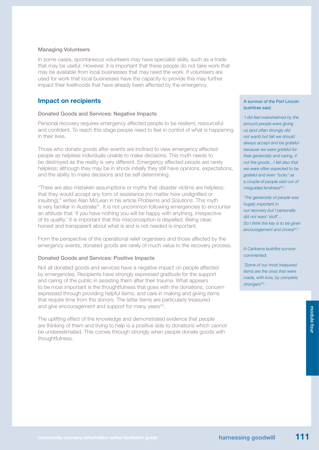#### Managing Volunteers

In some cases, spontaneous volunteers may have specialist skills, such as a trade that may be useful. However, it is important that these people do not take work that may be available from local businesses that may need the work. If volunteers are used for work that local businesses have the capacity to provide this may further impact their livelihoods that have already been affected by the emergency.

#### **Impact on recipients**

#### Donated Goods and Services: Negative Impacts

Personal recovery requires emergency affected people to be resilient, resourceful and confident. To reach this stage people need to feel in control of what is happening in their lives.

Those who donate goods after events are inclined to view emergency affected people as helpless individuals unable to make decisions. This myth needs to be destroyed as the reality is very different. Emergency affected people are rarely helpless; although they may be in shock initially they still have opinions, expectations, and the ability to make decisions and be self determining.

"There are also mistaken assumptions or myths that disaster victims are helpless; that they would accept any form of assistance (no matter how undignified or insulting);" writes Alan McLean in his article Problems and Solutions. This myth is very familiar in Australia<sup>31</sup>. It is not uncommon following emergencies to encounter an attitude that 'if you have nothing you will be happy with anything, irrespective of its quality.' It is important that this misconception is dispelled. Being clear, honest and transparent about what is and is not needed is important.

From the perspective of the operational relief organisers and those affected by the emergency events, donated goods are rarely of much value to the recovery process.

#### Donated Goods and Services: Positive Impacts

Not all donated goods and services have a negative impact on people affected by emergencies. Recipients have strongly expressed gratitude for the support and caring of the public in assisting them after their trauma. What appears to be most important is the thoughtfulness that goes with the donations, concern expressed through providing helpful items, and care in making and giving items that require time from the donors. The latter items are particularly treasured and give encouragement and support for many years<sup>34</sup>.

The uplifting effect of the knowledge and demonstrated evidence that people are thinking of them and trying to help is a positive side to donations which cannot be underestimated. This comes through strongly when people donate goods with thoughtfulness.

#### A survivor of the Port Lincoln bushfires said:

'I did feel overwhelmed by the amount people were giving us (and often strongly did not want) but felt we should always accept and be grateful because we were grateful for their generosity and caring, if not the goods…I felt also that we were often expected to be grateful and even "lucky" as a couple of people said out of misquided kindness<sup>32</sup>.'

'The generosity of people was hugely important in our recovery but I personally did not want 'stuff'... So I think the key is to be given encouragement and choice<sup>33</sup>.'

A Canberra bushfire survivor commented:

'Some of our most treasured items are the ones that were made, with love, by complete strangers<sup>35</sup>.'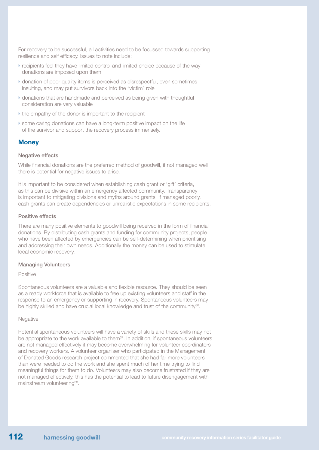For recovery to be successful, all activities need to be focussed towards supporting resilience and self efficacy. Issues to note include:

- ` recipients feel they have limited control and limited choice because of the way donations are imposed upon them
- ` donation of poor quality items is perceived as disrespectful, even sometimes insulting, and may put survivors back into the "victim" role
- ` donations that are handmade and perceived as being given with thoughtful consideration are very valuable
- $\blacktriangleright$  the empathy of the donor is important to the recipient
- ` some caring donations can have a long-term positive impact on the life of the survivor and support the recovery process immensely.

#### **Money**

#### Negative effects

While financial donations are the preferred method of goodwill, if not managed well there is potential for negative issues to arise.

It is important to be considered when establishing cash grant or 'gift' criteria, as this can be divisive within an emergency affected community. Transparency is important to mitigating divisions and myths around grants. If managed poorly, cash grants can create dependencies or unrealistic expectations in some recipients.

#### Positive effects

There are many positive elements to goodwill being received in the form of financial donations. By distributing cash grants and funding for community projects, people who have been affected by emergencies can be self-determining when prioritising and addressing their own needs. Additionally the money can be used to stimulate local economic recovery.

#### Managing Volunteers

#### Positive

Spontaneous volunteers are a valuable and flexible resource. They should be seen as a ready workforce that is available to free up existing volunteers and staff in the response to an emergency or supporting in recovery. Spontaneous volunteers may be highly skilled and have crucial local knowledge and trust of the community<sup>36</sup>.

#### **Negative**

Potential spontaneous volunteers will have a variety of skills and these skills may not be appropriate to the work available to them<sup>37</sup>. In addition, if spontaneous volunteers are not managed effectively it may become overwhelming for volunteer coordinators and recovery workers. A volunteer organiser who participated in the Management of Donated Goods research project commented that she had far more volunteers than were needed to do the work and she spent much of her time trying to find meaningful things for them to do. Volunteers may also become frustrated if they are not managed effectively, this has the potential to lead to future disengagement with mainstream volunteering<sup>38</sup>.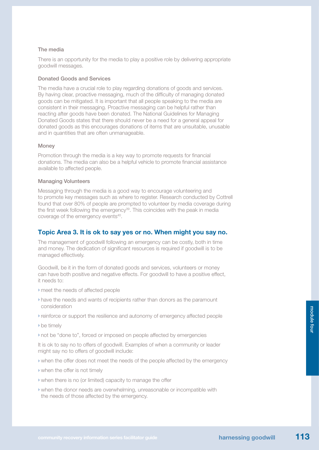#### The media

There is an opportunity for the media to play a positive role by delivering appropriate goodwill messages.

#### Donated Goods and Services

The media have a crucial role to play regarding donations of goods and services. By having clear, proactive messaging, much of the difficulty of managing donated goods can be mitigated. It is important that all people speaking to the media are consistent in their messaging. Proactive messaging can be helpful rather than reacting after goods have been donated. The National Guidelines for Managing Donated Goods states that there should never be a need for a general appeal for donated goods as this encourages donations of items that are unsuitable, unusable and in quantities that are often unmanageable.

#### **Money**

Promotion through the media is a key way to promote requests for financial donations. The media can also be a helpful vehicle to promote financial assistance available to affected people.

#### Managing Volunteers

Messaging through the media is a good way to encourage volunteering and to promote key messages such as where to register. Research conducted by Cottrell found that over 80% of people are prompted to volunteer by media coverage during the first week following the emergency<sup>39</sup>. This coincides with the peak in media coverage of the emergency events<sup>40</sup>.

#### **Topic Area 3. It is ok to say yes or no. When might you say no.**

The management of goodwill following an emergency can be costly, both in time and money. The dedication of significant resources is required if goodwill is to be managed effectively.

Goodwill, be it in the form of donated goods and services, volunteers or money can have both positive and negative effects. For goodwill to have a positive effect, it needs to:

- ` meet the needs of affected people
- ` have the needs and wants of recipients rather than donors as the paramount consideration
- ` reinforce or support the resilience and autonomy of emergency affected people
- $\blacktriangleright$  be timely
- ` not be "done to", forced or imposed on people affected by emergencies

It is ok to say no to offers of goodwill. Examples of when a community or leader might say no to offers of goodwill include:

- ` when the offer does not meet the needs of the people affected by the emergency
- $\blacktriangleright$  when the offer is not timely
- ` when there is no (or limited) capacity to manage the offer
- ` when the donor needs are overwhelming, unreasonable or incompatible with the needs of those affected by the emergency.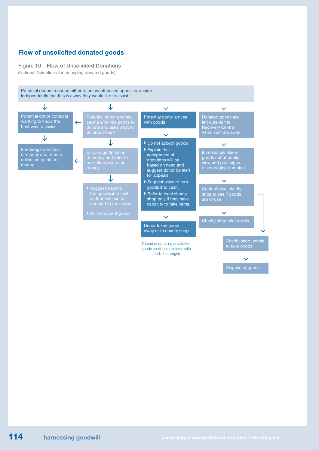### **Flow of unsolicited donated goods**

Figure 10 – Flow of Unsolicited Donations (National Guidelines for managing donated goods)

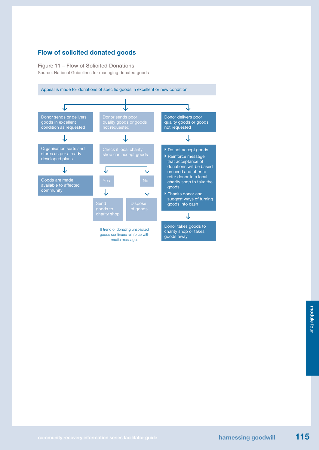#### **Flow of solicited donated goods**

#### Figure 11 – Flow of Solicited Donations

Source: National Guidelines for managing donated goods

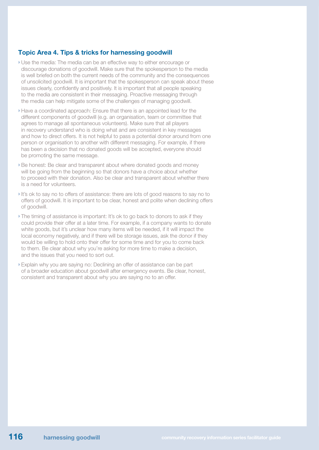#### **Topic Area 4. Tips & tricks for harnessing goodwill**

- ` Use the media: The media can be an effective way to either encourage or discourage donations of goodwill. Make sure that the spokesperson to the media is well briefed on both the current needs of the community and the consequences of unsolicited goodwill. It is important that the spokesperson can speak about these issues clearly, confidently and positively. It is important that all people speaking to the media are consistent in their messaging. Proactive messaging through the media can help mitigate some of the challenges of managing goodwill.
- ` Have a coordinated approach: Ensure that there is an appointed lead for the different components of goodwill (e.g. an organisation, team or committee that agrees to manage all spontaneous volunteers). Make sure that all players in recovery understand who is doing what and are consistent in key messages and how to direct offers. It is not helpful to pass a potential donor around from one person or organisation to another with different messaging. For example, if there has been a decision that no donated goods will be accepted, everyone should be promoting the same message.
- ` Be honest: Be clear and transparent about where donated goods and money will be going from the beginning so that donors have a choice about whether to proceed with their donation. Also be clear and transparent about whether there is a need for volunteers.
- It's ok to say no to offers of assistance: there are lots of good reasons to say no to offers of goodwill. It is important to be clear, honest and polite when declining offers of goodwill.
- If The timing of assistance is important: It's ok to go back to donors to ask if they could provide their offer at a later time. For example, if a company wants to donate white goods, but it's unclear how many items will be needed, if it will impact the local economy negatively, and if there will be storage issues, ask the donor if they would be willing to hold onto their offer for some time and for you to come back to them. Be clear about why you're asking for more time to make a decision, and the issues that you need to sort out.
- ` Explain why you are saying no: Declining an offer of assistance can be part of a broader education about goodwill after emergency events. Be clear, honest, consistent and transparent about why you are saying no to an offer.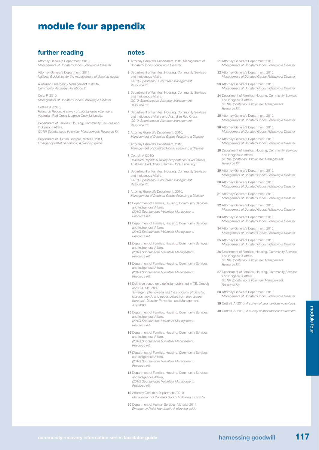### **module four appendix**

#### **further reading**

Attorney General's Department, 2010, Management of Donated Goods Following a Disaster

Attorney General's Department, 2011, National Guidelines for the management of donated goods

Australian Emergency Management Institute, Community Recovery Handbook 2

Cole, P, 2010, Management of Donated Goods Following a Disaster

Cottrell, A (2010) Research Report: A survey of spontaneous volunteers, Australian Red Cross & James Cook University.

Department of Families, Housing, Community Services and Indigenous Affairs,

(2010) Spontaneous Volunteer Management: Resource Kit

Department of Human Services, Victoria, 2011, Emergency Relief Handbook: A planning guide

#### **notes**

- 1 Attorney General's Department, 2010,Management of Donated Goods Following a Disaster
- 2 Department of Families, Housing, Community Services and Indigenous Affairs (2010) Spontaneous Volunteer Management: Resource Kit.
- 3 Department of Families, Housing, Community Services and Indigenous Affairs (2010) Spontaneous Volunteer Management: source Kit.
- 4 Department of Families, Housing, Community Services and Indigenous Affairs and Australian Red Cross, (2010) Spontaneous Volunteer Management: Resource Kit.
- 5 Attorney General's Department, 2010, Management of Donated Goods Following a Disaster
- 6 Attorney General's Department, 2010, Management of Donated Goods Following a Disaster
- 7 Cottrell, A (2010) Research Report: A survey of spontaneous volunteers, Australian Red Cross & James Cook University.
- 8 Department of Families, Housing, Community Services and Indigenous Affairs (2010) Spontaneous Volunteer Management: Resource Kit.
- 9 Attorney General's Department, 2010, Management of Donated Goods Following a Disaster
- 10 Department of Families, Housing, Community Services and Indigenous Affairs, (2010) Spontaneous Volunteer Management: Resource Kit.
- 11 Department of Families, Housing, Community Services and Indigenous Affairs (2010) Spontaneous Volunteer Management: Resource Kit.
- 12 Department of Families, Housing, Community Services and Indigenous Affairs, (2010) Spontaneous Volunteer Management: Resource Kit.
- 13 Department of Families, Housing, Community Services and Indigenous Affairs (2010) Spontaneous Volunteer Management: Resource Kit.
- 14 Definition based on a definition published in T.E. Drabek and D.A. McEntire, 'Emergent phenomena and the sociology of disaster: lessons, trends and opportunities from the research literature', Disaster Prevention and Management, July 2003.
- 15 Department of Families, Housing, Community Services and Indigenous Affairs, (2010) Spontaneous Volunteer Management: Resource Kit.
- 16 Department of Families, Housing, Community Services and Indigenous Affairs (2010) Spontaneous Volunteer Management: Resource Kit.
- 17 Department of Families, Housing, Community Services and Indigenous Affairs, (2010) Spontaneous Volunteer Management: Resource Kit.
- 18 Department of Families, Housing, Community Services and Indigenous Affairs (2010) Spontaneous Volunteer Management: Resource Kit.
- 19 Attorney General's Department, 2010, Management of Donated Goods Following a Disaster
- 20 Department of Human Services, Victoria, 2011, Emergency Relief Handbook: A planning guide
- 21 Attorney General's Department, 2010, Management of Donated Goods Following a Disaster
- 22 Attorney General's Department, 2010, Management of Donated Goods Following a Disaster
- 23 Attorney General's Department, 2010, Management of Donated Goods Following a Disaster
- 24 Department of Families, Housing, Community Services and Indigenous Affairs (2010) Spontaneous Volunteer Management: Resource Kit.
- 25 Attorney General's Department, 2010, Management of Donated Goods Following a Disaster
- 26 Attorney General's Department, 2010, Management of Donated Goods Following a Disaster
- 27 Attorney General's Department, 2010, Management of Donated Goods Following a Disaster
- 28 Department of Families, Housing, Community Services and Indigenous Affairs (2010) Spontaneous Volunteer Management: Resource Kit.
- 29 Attorney General's Department, 2010, Management of Donated Goods Following a Disaster
- 30 Attorney General's Department, 2010, Management of Donated Goods Following a Disaster
- 31 Attorney General's Department, 2010, Management of Donated Goods Following a Disaster
- 32 Attorney General's Department, 2010, Management of Donated Goods Following a Disaster
- 33 Attorney General's Department, 2010, Management of Donated Goods Following a Disaster
- 34 Attorney General's Department, 2010 Management of Donated Goods Following a Disaster
- 35 Attorney General's Department, 2010, Management of Donated Goods Following a Disaster
- 36 Department of Families, Housing, Community Services and Indigenous Affairs, (2010) Spontaneous Volunteer Management: Resource Kit.
- 37 Department of Families, Housing, Community Services and Indigenous Affairs, (2010) Spontaneous Volunteer Management: Resource Kit.
- 38 Attorney General's Department, 2010, Management of Donated Goods Following a Disaster
- 39 Cottrell, A, 2010, A survey of spontaneous volunteers.
- 40 Cottrell, A, 2010, A survey of spontaneous volunteers.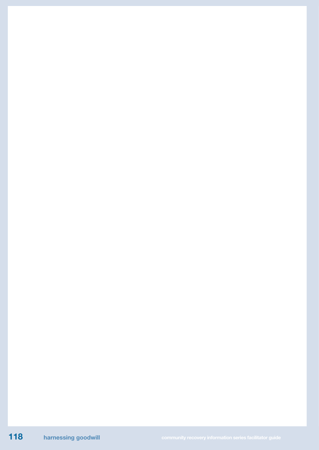### **harnessing goodwill community recovery information series facilitator guide**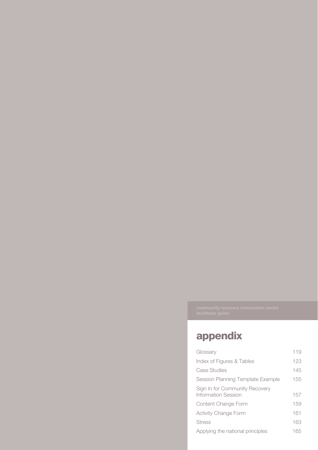# appendix

| Glossary                                              | 119 |
|-------------------------------------------------------|-----|
| Index of Figures & Tables                             | 123 |
| Case Studies                                          | 145 |
| Session Planning Template Example                     | 155 |
| Sign In for Community Recovery<br>Information Session | 157 |
| Content Change Form                                   | 159 |
| <b>Activity Change Form</b>                           | 161 |
| <b>Stress</b>                                         | 163 |
| Applying the national principles                      | 165 |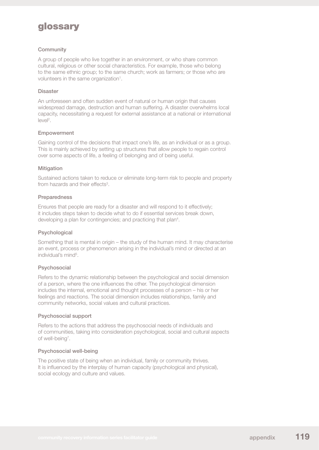### **glossary**

#### **Community**

A group of people who live together in an environment, or who share common cultural, religious or other social characteristics. For example, those who belong to the same ethnic group; to the same church; work as farmers; or those who are volunteers in the same organization<sup>1</sup>.

#### **Disaster**

An unforeseen and often sudden event of natural or human origin that causes widespread damage, destruction and human suffering. A disaster overwhelms local capacity, necessitating a request for external assistance at a national or international level2 .

#### Empowerment

Gaining control of the decisions that impact one's life, as an individual or as a group. This is mainly achieved by setting up structures that allow people to regain control over some aspects of life, a feeling of belonging and of being useful.

#### **Mitigation**

Sustained actions taken to reduce or eliminate long-term risk to people and property from hazards and their effects<sup>3</sup>.

#### Preparedness

Ensures that people are ready for a disaster and will respond to it effectively; it includes steps taken to decide what to do if essential services break down, developing a plan for contingencies; and practicing that plan<sup>4</sup>.

#### Psychological

Something that is mental in origin – the study of the human mind. It may characterise an event, process or phenomenon arising in the individual's mind or directed at an individual's mind<sup>5</sup>.

#### Psychosocial

Refers to the dynamic relationship between the psychological and social dimension of a person, where the one influences the other. The psychological dimension includes the internal, emotional and thought processes of a person – his or her feelings and reactions. The social dimension includes relationships, family and community networks, social values and cultural practices.

#### Psychosocial support

Refers to the actions that address the psychosocial needs of individuals and of communities, taking into consideration psychological, social and cultural aspects of well-being<sup>7</sup>.

#### Psychosocial well-being

The positive state of being when an individual, family or community thrives. It is influenced by the interplay of human capacity (psychological and physical), social ecology and culture and values.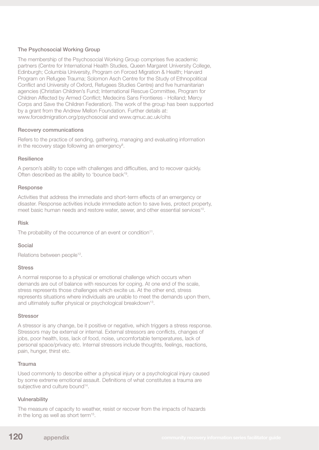#### The Psychosocial Working Group

The membership of the Psychosocial Working Group comprises five academic partners (Centre for International Health Studies, Queen Margaret University College, Edinburgh; Columbia University, Program on Forced Migration & Health; Harvard Program on Refugee Trauma; Solomon Asch Centre for the Study of Ethnopolitical Conflict and University of Oxford, Refugees Studies Centre) and five humanitarian agencies (Christian Children's Fund; International Rescue Committee, Program for Children Affected by Armed Conflict; Medecins Sans Frontieres - Holland; Mercy Corps and Save the Children Federation). The work of the group has been supported by a grant from the Andrew Mellon Foundation. Further details at: www.forcedmigration.org/psychosocial and www.qmuc.ac.uk/cihs

#### Recovery communications

Refers to the practice of sending, gathering, managing and evaluating information in the recovery stage following an emergency<sup>8</sup>.

#### Resilience

A person's ability to cope with challenges and difficulties, and to recover quickly. Often described as the ability to 'bounce back'<sup>9</sup>.

#### Response

Activities that address the immediate and short-term effects of an emergency or disaster. Response activities include immediate action to save lives, protect property, meet basic human needs and restore water, sewer, and other essential services<sup>10</sup>.

#### Risk

The probability of the occurrence of an event or condition<sup>11</sup>.

#### Social

Relations between people<sup>12</sup>.

#### **Stress**

A normal response to a physical or emotional challenge which occurs when demands are out of balance with resources for coping. At one end of the scale, stress represents those challenges which excite us. At the other end, stress represents situations where individuals are unable to meet the demands upon them, and ultimately suffer physical or psychological breakdown<sup>13</sup>.

#### **Stressor**

A stressor is any change, be it positive or negative, which triggers a stress response. Stressors may be external or internal. External stressors are conflicts, changes of jobs, poor health, loss, lack of food, noise, uncomfortable temperatures, lack of personal space/privacy etc. Internal stressors include thoughts, feelings, reactions, pain, hunger, thirst etc.

#### **Trauma**

Used commonly to describe either a physical injury or a psychological injury caused by some extreme emotional assault. Definitions of what constitutes a trauma are subjective and culture bound<sup>14</sup>.

#### Vulnerability

The measure of capacity to weather, resist or recover from the impacts of hazards in the long as well as short term<sup>15</sup>.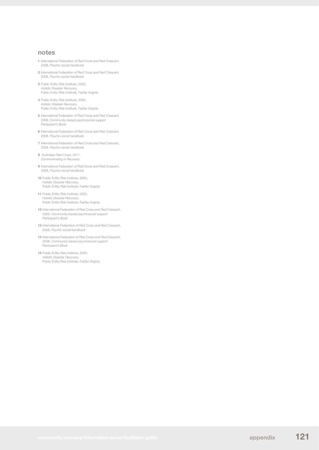#### **notes**

- 1 International Federation of Red Cross and Red Crescent, 2008, Psycho-social handbook
- 2 International Federation of Red Cross and Red Crescent, 2008, Psycho-social handbook
- 3 Public Entity Risk Institute, 2005, Holistic Disaster Recovery, Public Entity Risk Institute, Fairfax Virginia
- 4 Public Entity Risk Institute, 2005, Holistic Disaster Recovery, Public Entity Risk Institute, Fairfax Virginia
- 5 International Federation of Red Cross and Red Crescent, 2009, Community-based psychosocial support Participant's Book
- 6 International Federation of Red Cross and Red Crescent, 2008, Psycho-social handbook
- 7 International Federation of Red Cross and Red Crescent, 2008, Psycho-social handbook
- 8 Australian Red Cross, 2011, Communicating in Recovery
- 9 International Federation of Red Cross and Red Crescent, 2008, Psycho-social handbook
- 10 Public Entity Risk Institute, 2005, Holistic Disaster Recovery, Public Entity Risk Institute, Fairfax Virginia
- 11 Public Entity Risk Institute, 2005, Holistic Disaster Recovery, Public Entity Risk Institute, Fairfax Virginia
- 12 International Federation of Red Cross and Red Crescent, 2009, Community-based psychosocial support Participant's Book
- 13 International Federation of Red Cross and Red Crescent, 2008, Psycho-social handbook
- 14 International Federation of Red Cross and Red Crescent, 2008, Community-based psychosocial support Participant's Book
- 15 Public Entity Risk Institute, 2005, Holistic Disaster Recovery, Public Entity Risk Institute, Fairfax Virginia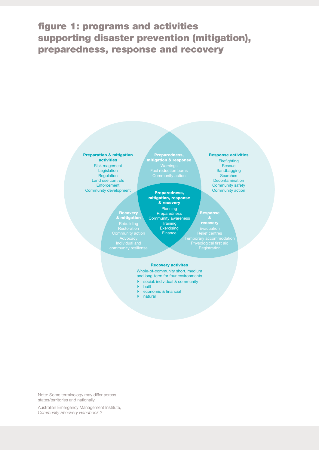### **figure 1: programs and activities supporting disaster prevention (mitigation), preparedness, response and recovery**

#### **Preparation & mitigation activities** Risk magement Legislation **Regulation** Land use controls Enforcement Community development

#### **Recovery & mitigation**

Community action

**Preparedness, mitigation & response**

**Preparedness, mitigation, response & recovery** Planning **Preparedness** Community awareness **Training Exercising Finance** 

**Response activities** Firefighting Rescue **Sandbagging Searches Decontamination** 

Community safety Community action

Relief centres

#### **Recovery activites**

Whole-of-community short, medium and long-term for four environments

- ▶ social: individual & community
- } built
- ▶ economic & financial } natural
	-

Note: Some terminology may differ across states/territories and nationally.

Australian Emergency Management Institute, Community Recovery Handbook 2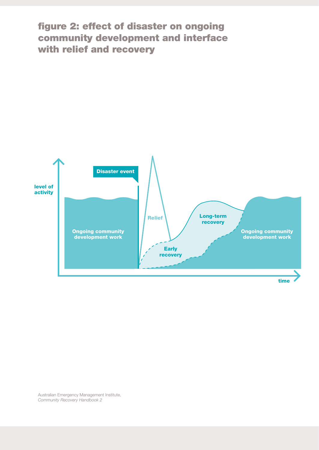**figure 2: effect of disaster on ongoing community development and interface with relief and recovery**



Australian Emergency Management Institute, Community Recovery Handbook 2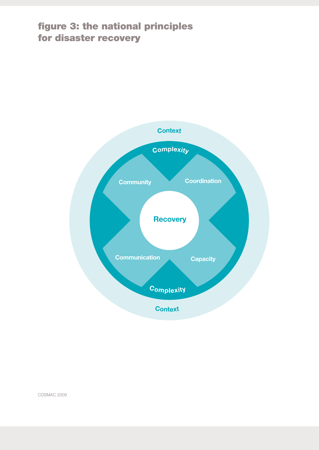### **figure 3: the national principles for disaster recovery**

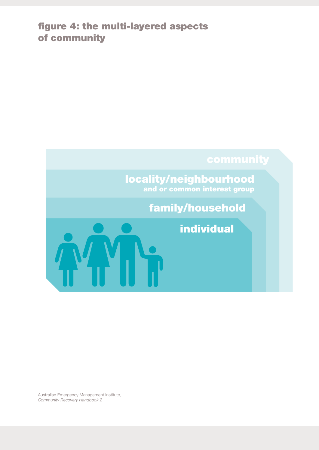### **figure 4: the multi-layered aspects of community**

### **locality/neighbourhood and or common interest group**

**family/household**

**individual**

Australian Emergency Management Institute, Community Recovery Handbook 2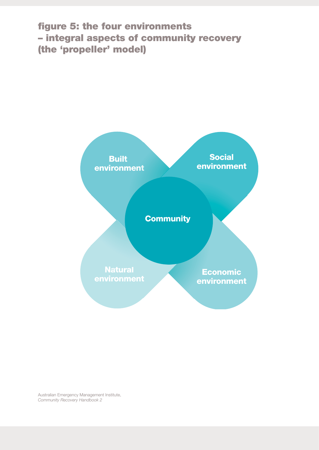**figure 5: the four environments – integral aspects of community recovery (the 'propeller' model)**



Australian Emergency Management Institute, Community Recovery Handbook 2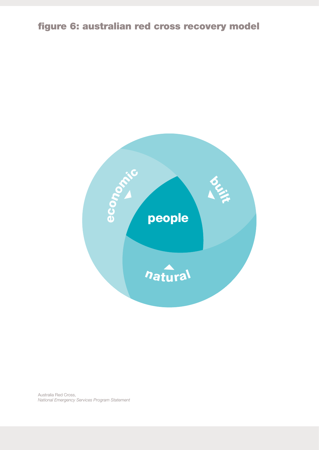### **figure 6: australian red cross recovery model**



Australia Red Cross, National Emergency Services Program Statement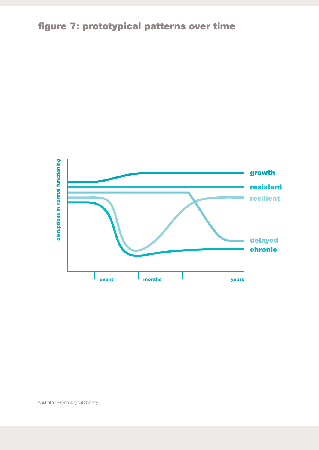## **figure 7: prototypical patterns over time**

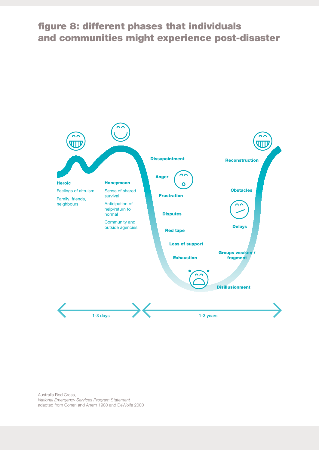### **figure 8: different phases that individuals and communities might experience post-disaster**



Australia Red Cross, National Emergency Services Program Statement adapted from Cohen and Ahern 1980 and DeWolfe 2000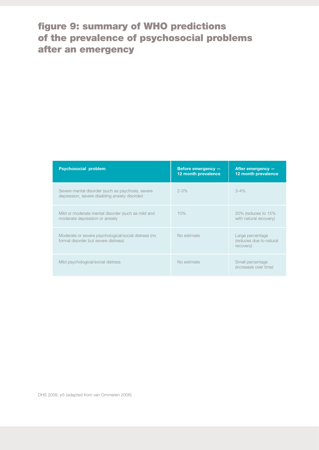## **figure 9: summary of WHO predictions of the prevalence of psychosocial problems after an emergency**

| <b>Psychosocial problem</b>                                                                         | Before emergency -<br>12 month prevalence | After emergency -<br>12 month prevalence                 |
|-----------------------------------------------------------------------------------------------------|-------------------------------------------|----------------------------------------------------------|
| Severe mental disorder (such as psychosis, severe<br>depression, severe disabling anxiety disorder) | $2 - 3%$                                  | $3 - 4%$                                                 |
| Mild or moderate mental disorder (such as mild and<br>moderate depression or anxiety                | 10%                                       | 20% (reduces to 15%)<br>with natural recovery)           |
| Moderate or severe psychological/social distress (no<br>formal disorder but severe distress)        | No estimate                               | Large percentage<br>(reduces due to natural<br>recovery) |
| Mild psychological/social distress                                                                  | No estimate                               | Small percentage<br>(increases over time)                |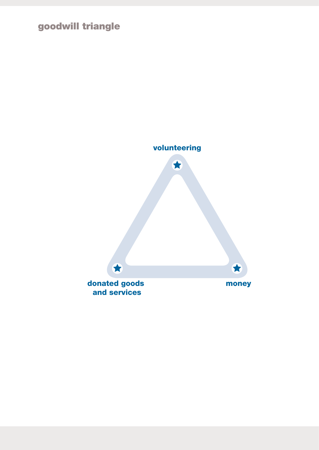## **goodwill triangle**

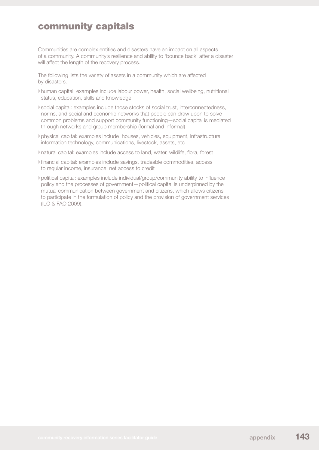### **community capitals**

Communities are complex entities and disasters have an impact on all aspects of a community. A community's resilience and ability to 'bounce back' after a disaster will affect the length of the recovery process.

The following lists the variety of assets in a community which are affected by disasters:

- ` human capital: examples include labour power, health, social wellbeing, nutritional status, education, skills and knowledge
- ` social capital: examples include those stocks of social trust, interconnectedness, norms, and social and economic networks that people can draw upon to solve common problems and support community functioning—social capital is mediated through networks and group membership (formal and informal)
- ` physical capital: examples include houses, vehicles, equipment, infrastructure, information technology, communications, livestock, assets, etc
- ` natural capital: examples include access to land, water, wildlife, flora, forest
- ` financial capital: examples include savings, tradeable commodities, access to regular income, insurance, net access to credit
- ` political capital: examples include individual/group/community ability to influence policy and the processes of government—political capital is underpinned by the mutual communication between government and citizens, which allows citizens to participate in the formulation of policy and the provision of government services (ILO & FAO 2009).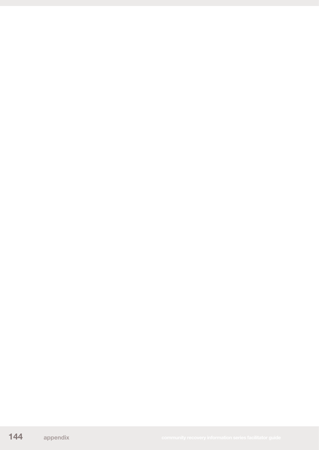**appendix community recovery information series facilitator guide**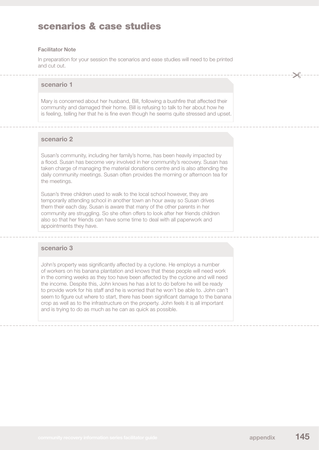### **scenarios & case studies**

### Facilitator Note

In preparation for your session the scenarios and ease studies will need to be printed and cut out.

### **scenario 1**

Mary is concerned about her husband, Bill, following a bushfire that affected their community and damaged their home. Bill is refusing to talk to her about how he is feeling, telling her that he is fine even though he seems quite stressed and upset.

### **scenario 2**

Susan's community, including her family's home, has been heavily impacted by a flood. Susan has become very involved in her community's recovery. Susan has taken charge of managing the material donations centre and is also attending the daily community meetings. Susan often provides the morning or afternoon tea for the meetings.

Susan's three children used to walk to the local school however, they are temporarily attending school in another town an hour away so Susan drives them their each day. Susan is aware that many of the other parents in her community are struggling. So she often offers to look after her friends children also so that her friends can have some time to deal with all paperwork and appointments they have.

### **scenario 3**

John's property was significantly affected by a cyclone. He employs a number of workers on his banana plantation and knows that these people will need work in the coming weeks as they too have been affected by the cyclone and will need the income. Despite this, John knows he has a lot to do before he will be ready to provide work for his staff and he is worried that he won't be able to. John can't seem to figure out where to start, there has been significant damage to the banana crop as well as to the infrastructure on the property. John feels it is all important and is trying to do as much as he can as quick as possible.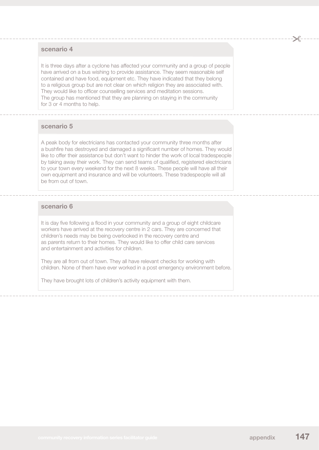### **scenario 4**

It is three days after a cyclone has affected your community and a group of people have arrived on a bus wishing to provide assistance. They seem reasonable self contained and have food, equipment etc. They have indicated that they belong to a religious group but are not clear on which religion they are associated with. They would like to officer counselling services and meditation sessions. The group has mentioned that they are planning on staying in the community for 3 or 4 months to help.

### **scenario 5**

A peak body for electricians has contacted your community three months after a bushfire has destroyed and damaged a significant number of homes. They would like to offer their assistance but don't want to hinder the work of local tradespeople by taking away their work. They can send teams of qualified, registered electricians to your town every weekend for the next 8 weeks. These people will have all their own equipment and insurance and will be volunteers. These tradespeople will all be from out of town.

### **scenario 6**

It is day five following a flood in your community and a group of eight childcare workers have arrived at the recovery centre in 2 cars. They are concerned that children's needs may be being overlooked in the recovery centre and as parents return to their homes. They would like to offer child care services and entertainment and activities for children.

They are all from out of town. They all have relevant checks for working with children. None of them have ever worked in a post emergency environment before.

They have brought lots of children's activity equipment with them.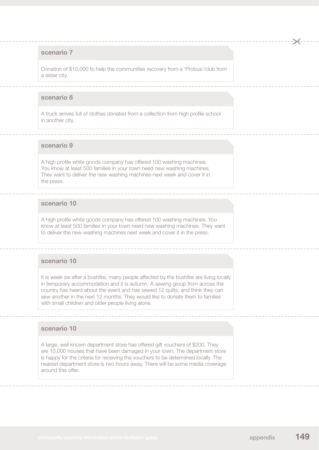### **scenario 7**

Donation of \$10,000 to help the communities recovery from a 'Probus'/club from a sister city.

### **scenario 8**

A truck arrives full of clothes donated from a collection from high profile school in another city.

### **scenario 9**

A high profile white goods company has offered 100 washing machines. You know at least 500 families in your town need new washing machines. They want to deliver the new washing machines next week and cover it in the press.

### **scenario 10**

A high profile white goods company has offered 100 washing machines. You know at least 500 families in your town need new washing machines. They want to deliver the new washing machines next week and cover it in the press.

### **scenario 10**

It is week six after a bushfire, many people affected by the bushfire are living locally in temporary accommodation and it is autumn. A sewing group from across the country has heard about the event and has sewed 12 quilts, and think they can sew another in the next 12 months. They would like to donate them to families with small children and older people living alone.

### **scenario 10**

A large, well known department store has offered gift vouchers of \$200. They are 10,000 houses that have been damaged in your town. The department store is happy for the criteria for receiving the vouchers to be determined locally. The nearest department store is two hours away. There will be some media coverage around this offer.

 $>\hspace{-2.1mm}\times$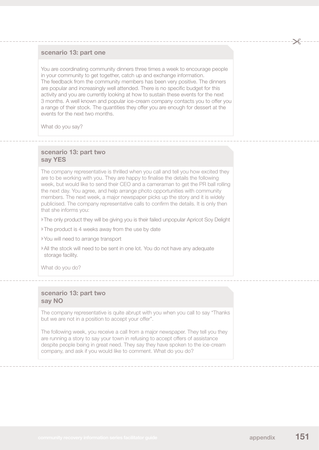### **scenario 13: part one**

You are coordinating community dinners three times a week to encourage people in your community to get together, catch up and exchange information. The feedback from the community members has been very positive. The dinners are popular and increasingly well attended. There is no specific budget for this activity and you are currently looking at how to sustain these events for the next 3 months. A well known and popular ice-cream company contacts you to offer you a range of their stock. The quantities they offer you are enough for dessert at the events for the next two months.

What do you say?

### **scenario 13: part two say YES**

The company representative is thrilled when you call and tell you how excited they are to be working with you. They are happy to finalise the details the following week, but would like to send their CEO and a cameraman to get the PR ball rolling the next day. You agree, and help arrange photo opportunities with community members. The next week, a major newspaper picks up the story and it is widely publicised. The company representative calls to confirm the details. It is only then that she informs you:

`The only product they will be giving you is their failed unpopular Apricot Soy Delight

The product is 4 weeks away from the use by date

`You will need to arrange transport

All the stock will need to be sent in one lot. You do not have any adequate storage facility.

What do you do?

### **scenario 13: part two say NO**

The company representative is quite abrupt with you when you call to say "Thanks but we are not in a position to accept your offer".

The following week, you receive a call from a major newspaper. They tell you they are running a story to say your town in refusing to accept offers of assistance despite people being in great need. They say they have spoken to the ice-cream company, and ask if you would like to comment. What do you do?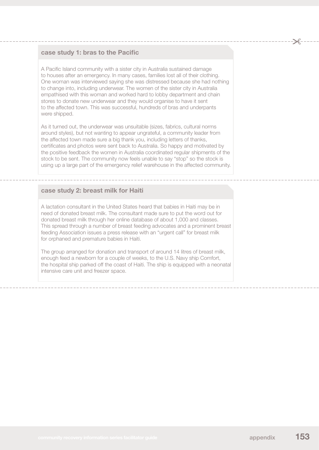### **case study 1: bras to the Pacific**

A Pacific Island community with a sister city in Australia sustained damage to houses after an emergency. In many cases, families lost all of their clothing. One woman was interviewed saying she was distressed because she had nothing to change into, including underwear. The women of the sister city in Australia empathised with this woman and worked hard to lobby department and chain stores to donate new underwear and they would organise to have it sent to the affected town. This was successful, hundreds of bras and underpants were shipped.

As it turned out, the underwear was unsuitable (sizes, fabrics, cultural norms around styles), but not wanting to appear ungrateful, a community leader from the affected town made sure a big thank you, including letters of thanks, certificates and photos were sent back to Australia. So happy and motivated by the positive feedback the women in Australia coordinated regular shipments of the stock to be sent. The community now feels unable to say "stop" so the stock is using up a large part of the emergency relief warehouse in the affected community.

### **case study 2: breast milk for Haiti**

A lactation consultant in the United States heard that babies in Haiti may be in need of donated breast milk. The consultant made sure to put the word out for donated breast milk through her online database of about 1,000 and classes. This spread through a number of breast feeding advocates and a prominent breast feeding Association issues a press release with an "urgent call" for breast milk for orphaned and premature babies in Haiti.

The group arranged for donation and transport of around 14 litres of breast milk, enough feed a newborn for a couple of weeks, to the U.S. Navy ship Comfort, the hospital ship parked off the coast of Haiti. The ship is equipped with a neonatal intensive care unit and freezer space.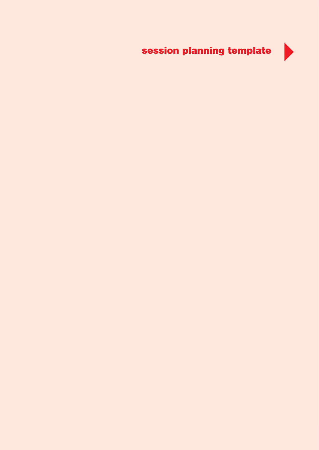

## **session planning template** `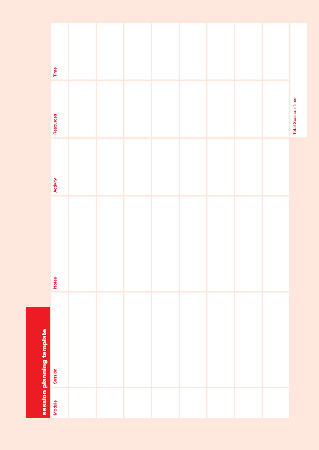|                           | Time            |  |  |  |  |                           |
|---------------------------|-----------------|--|--|--|--|---------------------------|
|                           | Resources       |  |  |  |  | <b>Total Session Time</b> |
|                           | <b>Activity</b> |  |  |  |  |                           |
|                           | <b>Notes</b>    |  |  |  |  |                           |
| session planning template | Session         |  |  |  |  |                           |
|                           | Module          |  |  |  |  |                           |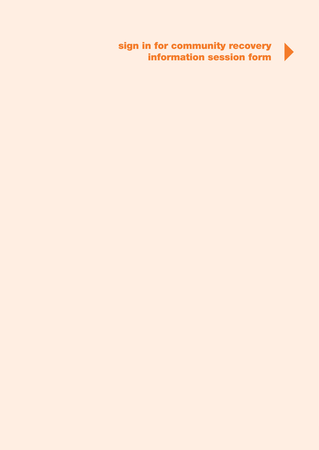| sign in for community recovery  |  |
|---------------------------------|--|
| <b>information session form</b> |  |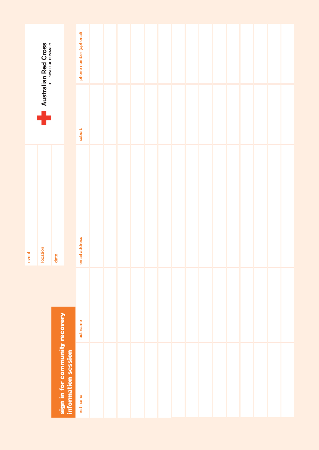|                                                       |           | event         |        |                             |
|-------------------------------------------------------|-----------|---------------|--------|-----------------------------|
|                                                       |           | location      |        | <b>Australian Red Cross</b> |
|                                                       |           | date          |        |                             |
| sign in for community recovery<br>information session |           |               |        |                             |
| first name                                            | last name | email address | suburb | phone number (optional)     |
|                                                       |           |               |        |                             |
|                                                       |           |               |        |                             |
|                                                       |           |               |        |                             |
|                                                       |           |               |        |                             |
|                                                       |           |               |        |                             |
|                                                       |           |               |        |                             |
|                                                       |           |               |        |                             |
|                                                       |           |               |        |                             |
|                                                       |           |               |        |                             |
|                                                       |           |               |        |                             |
|                                                       |           |               |        |                             |
|                                                       |           |               |        |                             |
|                                                       |           |               |        |                             |
|                                                       |           |               |        |                             |
|                                                       |           |               |        |                             |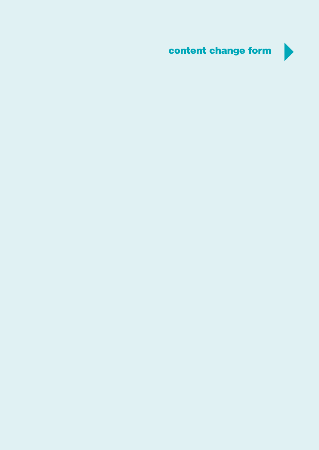

# **content change form** `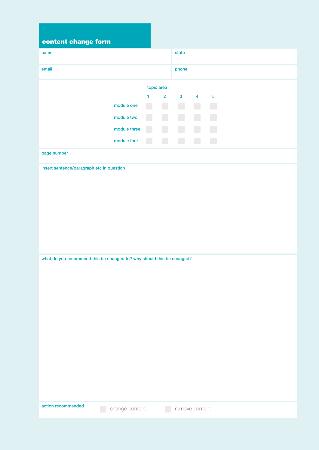| content change form |  |  |
|---------------------|--|--|

| phone<br>email<br>topic area<br>$\overline{2}$<br>$3 \t 4$<br>$\overline{\mathbf{5}}$<br>1.<br>module one<br>module two<br><b>Common</b><br>module three | name |  | state |  |
|----------------------------------------------------------------------------------------------------------------------------------------------------------|------|--|-------|--|
|                                                                                                                                                          |      |  |       |  |
|                                                                                                                                                          |      |  |       |  |
|                                                                                                                                                          |      |  |       |  |
|                                                                                                                                                          |      |  |       |  |
|                                                                                                                                                          |      |  |       |  |
|                                                                                                                                                          |      |  |       |  |
| module four<br><b>Contract Contract</b><br>$\mathcal{L}^{\text{max}}$                                                                                    |      |  |       |  |

page number

insert sentence/paragraph etc in question

what do you recommend this be changed to? why should this be changed?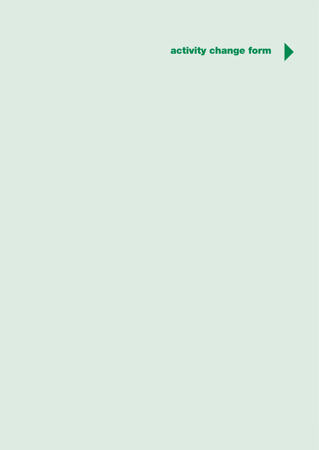

## **activity change form** `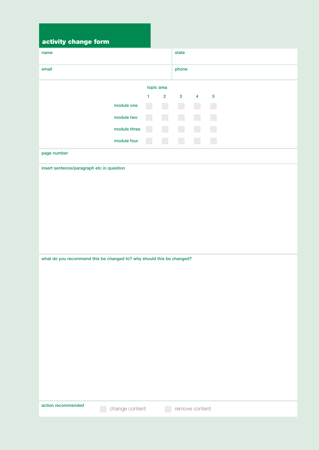| activity change form                                                  |              |                             |                             |                             |                             |                |
|-----------------------------------------------------------------------|--------------|-----------------------------|-----------------------------|-----------------------------|-----------------------------|----------------|
| name                                                                  |              |                             |                             | state                       |                             |                |
| email                                                                 |              |                             |                             | phone                       |                             |                |
|                                                                       |              | topic area                  |                             |                             |                             |                |
|                                                                       | $\mathbf{1}$ |                             | $\overline{2}$              | $\mathbf{3}$                | $\overline{\mathbf{4}}$     | $\overline{5}$ |
|                                                                       | module one   | и.                          | M.                          | $\mathbb{R}^2$              | L.                          | r.             |
|                                                                       | module two   | n.                          | r.                          | $\mathbb{R}^2$              | $\mathcal{L}$               |                |
|                                                                       | module three | $\mathcal{L}_{\mathcal{A}}$ |                             | $\mathbb{R}^2$              |                             |                |
|                                                                       | module four  | $\mathbb{R}^2$              | $\mathcal{L}_{\mathcal{A}}$ | $\mathcal{L}_{\mathcal{A}}$ | $\mathcal{L}_{\mathcal{A}}$ | $\mathcal{L}$  |
| page number                                                           |              |                             |                             |                             |                             |                |
| insert sentence/paragraph etc in question                             |              |                             |                             |                             |                             |                |
|                                                                       |              |                             |                             |                             |                             |                |
|                                                                       |              |                             |                             |                             |                             |                |
|                                                                       |              |                             |                             |                             |                             |                |
|                                                                       |              |                             |                             |                             |                             |                |
|                                                                       |              |                             |                             |                             |                             |                |
|                                                                       |              |                             |                             |                             |                             |                |
|                                                                       |              |                             |                             |                             |                             |                |
|                                                                       |              |                             |                             |                             |                             |                |
| what do you recommend this be changed to? why should this be changed? |              |                             |                             |                             |                             |                |
|                                                                       |              |                             |                             |                             |                             |                |
|                                                                       |              |                             |                             |                             |                             |                |
|                                                                       |              |                             |                             |                             |                             |                |
|                                                                       |              |                             |                             |                             |                             |                |
|                                                                       |              |                             |                             |                             |                             |                |
|                                                                       |              |                             |                             |                             |                             |                |
|                                                                       |              |                             |                             |                             |                             |                |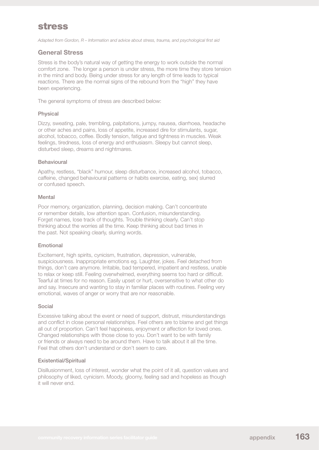## **stress**

Adapted from Gordon, R – Information and advice about stress, trauma, and psychological first aid

### **General Stress**

Stress is the body's natural way of getting the energy to work outside the normal comfort zone. The longer a person is under stress, the more time they store tension in the mind and body. Being under stress for any length of time leads to typical reactions. There are the normal signs of the rebound from the "high" they have been experiencing.

The general symptoms of stress are described below:

### Physical

Dizzy, sweating, pale, trembling, palpitations, jumpy, nausea, diarrhoea, headache or other aches and pains, loss of appetite, increased dire for stimulants, sugar, alcohol, tobacco, coffee. Bodily tension, fatigue and tightness in muscles. Weak feelings, tiredness, loss of energy and enthusiasm. Sleepy but cannot sleep, disturbed sleep, dreams and nightmares.

### Behavioural

Apathy, restless, "black" humour, sleep disturbance, increased alcohol, tobacco, caffeine, changed behavioural patterns or habits exercise, eating, sex) slurred or confused speech.

### Mental

Poor memory, organization, planning, decision making. Can't concentrate or remember details, low attention span. Confusion, misunderstanding. Forget names, lose track of thoughts. Trouble thinking clearly. Can't stop thinking about the worries all the time. Keep thinking about bad times in the past. Not speaking clearly, slurring words.

### Emotional

Excitement, high spirits, cynicism, frustration, depression, vulnerable, suspiciousness. Inappropriate emotions eg. Laughter, jokes. Feel detached from things, don't care anymore. Irritable, bad tempered, impatient and restless, unable to relax or keep still. Feeling overwhelmed, everything seems too hard or difficult. Tearful at times for no reason. Easily upset or hurt, oversensitive to what other do and say. Insecure and wanting to stay in familiar places with routines. Feeling very emotional, waves of anger or worry that are nor reasonable.

### Social

Excessive talking about the event or need of support, distrust, misunderstandings and conflict in close personal relationships. Feel others are to blame and get things all out of proportion. Can't feel happiness, enjoyment or affection for loved ones. Changed relationships with those close to you. Don't want to be with family or friends or always need to be around them. Have to talk about it all the time. Feel that others don't understand or don't seem to care.

### Existential/Spiritual

Disillusionment, loss of interest, wonder what the point of it all, question values and philosophy of liked, cynicism. Moody, gloomy, feeling sad and hopeless as though it will never end.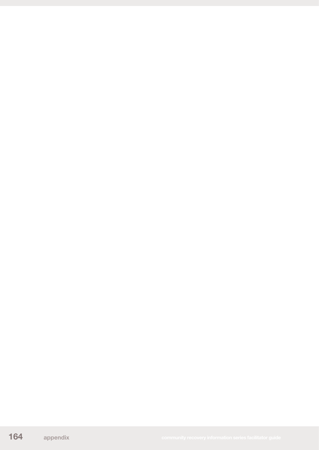**appendix community recovery information series facilitator guide**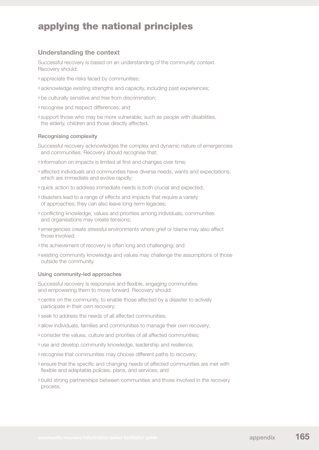## **applying the national principles**

### **Understanding the context**

Successful recovery is based on an understanding of the community context. Recovery should:

` appreciate the risks faced by communities;

- ` acknowledge existing strengths and capacity, including past experiences;
- ` be culturally sensitive and free from discrimination;
- ` recognise and respect differences; and
- ` support those who may be more vulnerable; such as people with disabilities, the elderly, children and those directly affected.

### Recognising complexity

- Successful recovery acknowledges the complex and dynamic nature of emergencies and communities. Recovery should recognise that:
- ` information on impacts is limited at first and changes over time;
- ` affected individuals and communities have diverse needs, wants and expectations, which are immediate and evolve rapidly;
- ` quick action to address immediate needs is both crucial and expected;
- ` disasters lead to a range of effects and impacts that require a variety of approaches; they can also leave long-term legacies;
- ` conflicting knowledge, values and priorities among individuals, communities and organisations may create tensions;
- ` emergencies create stressful environments where grief or blame may also affect those involved;
- ` the achievement of recovery is often long and challenging; and
- ` existing community knowledge and values may challenge the assumptions of those outside the community.

### Using community-led approaches

Successful recovery is responsive and flexible, engaging communities and empowering them to move forward. Recovery should:

- ` centre on the community, to enable those affected by a disaster to actively participate in their own recovery;
- ` seek to address the needs of all affected communities;
- ` allow individuals, families and communities to manage their own recovery;
- ` consider the values, culture and priorities of all affected communities;
- ` use and develop community knowledge, leadership and resilience;
- ` recognise that communities may choose different paths to recovery;
- ` ensure that the specific and changing needs of affected communities are met with flexible and adaptable policies, plans, and services; and
- ` build strong partnerships between communities and those involved in the recovery process.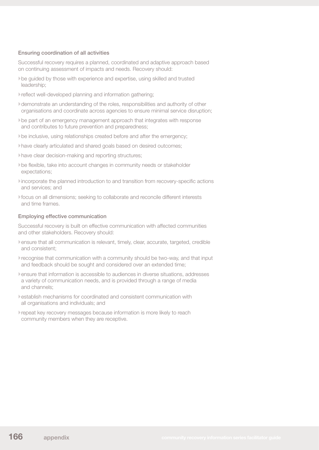### Ensuring coordination of all activities

Successful recovery requires a planned, coordinated and adaptive approach based on continuing assessment of impacts and needs. Recovery should:

- ` be guided by those with experience and expertise, using skilled and trusted leadership;
- ` reflect well-developed planning and information gathering;
- ` demonstrate an understanding of the roles, responsibilities and authority of other organisations and coordinate across agencies to ensure minimal service disruption;
- ` be part of an emergency management approach that integrates with response and contributes to future prevention and preparedness;
- ` be inclusive, using relationships created before and after the emergency;
- ` have clearly articulated and shared goals based on desired outcomes;
- ` have clear decision-making and reporting structures;
- ` be flexible, take into account changes in community needs or stakeholder expectations;
- ` incorporate the planned introduction to and transition from recovery-specific actions and services; and
- ` focus on all dimensions; seeking to collaborate and reconcile different interests and time frames.

#### Employing effective communication

Successful recovery is built on effective communication with affected communities and other stakeholders. Recovery should:

- ` ensure that all communication is relevant, timely, clear, accurate, targeted, credible and consistent;
- ` recognise that communication with a community should be two-way, and that input and feedback should be sought and considered over an extended time;
- ` ensure that information is accessible to audiences in diverse situations, addresses a variety of communication needs, and is provided through a range of media and channels;
- ` establish mechanisms for coordinated and consistent communication with all organisations and individuals; and
- ` repeat key recovery messages because information is more likely to reach community members when they are receptive.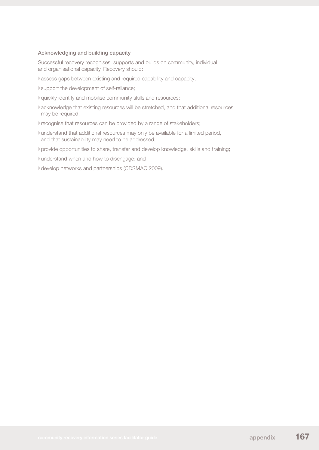### Acknowledging and building capacity

Successful recovery recognises, supports and builds on community, individual and organisational capacity. Recovery should:

- **Lassess gaps between existing and required capability and capacity;**
- ` support the development of self-reliance;
- ` quickly identify and mobilise community skills and resources;
- ` acknowledge that existing resources will be stretched, and that additional resources may be required;
- ` recognise that resources can be provided by a range of stakeholders;
- ` understand that additional resources may only be available for a limited period, and that sustainability may need to be addressed;
- ` provide opportunities to share, transfer and develop knowledge, skills and training;
- ` understand when and how to disengage; and
- ` develop networks and partnerships (CDSMAC 2009).